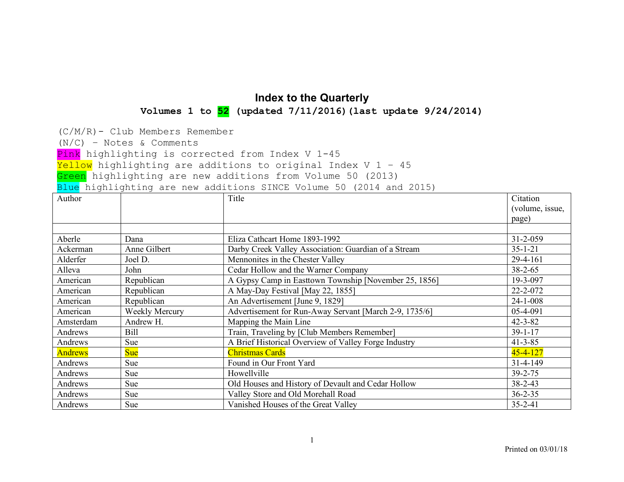## **Index to the Quarterly Volumes 1 to 52 (updated 7/11/2016)(last update 9/24/2014)**

(C/M/R)- Club Members Remember

(N/C) – Notes & Comments

Pink highlighting is corrected from Index V 1-45

 $Yellow$  highlighting are additions to original Index V 1 - 45

Green highlighting are new additions from Volume 50 (2013)

Blue highlighting are new additions SINCE Volume 50 (2014 and 2015)

| Author         |                       | Title                                                  | Citation        |
|----------------|-----------------------|--------------------------------------------------------|-----------------|
|                |                       |                                                        | (volume, issue, |
|                |                       |                                                        | page)           |
|                |                       |                                                        |                 |
| Aberle         | Dana                  | Eliza Cathcart Home 1893-1992                          | 31-2-059        |
| Ackerman       | Anne Gilbert          | Darby Creek Valley Association: Guardian of a Stream   | $35 - 1 - 21$   |
| Alderfer       | Joel D.               | Mennonites in the Chester Valley                       | $29-4-161$      |
| Alleva         | John                  | Cedar Hollow and the Warner Company                    | $38 - 2 - 65$   |
| American       | Republican            | A Gypsy Camp in Easttown Township [November 25, 1856]  | 19-3-097        |
| American       | Republican            | A May-Day Festival [May 22, 1855]                      | 22-2-072        |
| American       | Republican            | An Advertisement [June 9, 1829]                        | $24 - 1 - 008$  |
| American       | <b>Weekly Mercury</b> | Advertisement for Run-Away Servant [March 2-9, 1735/6] | 05-4-091        |
| Amsterdam      | Andrew H.             | Mapping the Main Line                                  | $42 - 3 - 82$   |
| Andrews        | Bill                  | Train, Traveling by [Club Members Remember]            | $39 - 1 - 17$   |
| Andrews        | Sue                   | A Brief Historical Overview of Valley Forge Industry   | $41 - 3 - 85$   |
| <b>Andrews</b> | <b>Sue</b>            | <b>Christmas Cards</b>                                 | $45 - 4 - 127$  |
| Andrews        | Sue                   | Found in Our Front Yard                                | $31 - 4 - 149$  |
| Andrews        | Sue                   | Howellville                                            | $39 - 2 - 75$   |
| Andrews        | Sue                   | Old Houses and History of Devault and Cedar Hollow     | $38 - 2 - 43$   |
| Andrews        | <b>Sue</b>            | Valley Store and Old Morehall Road                     | $36 - 2 - 35$   |
| Andrews        | Sue                   | Vanished Houses of the Great Valley                    | $35 - 2 - 41$   |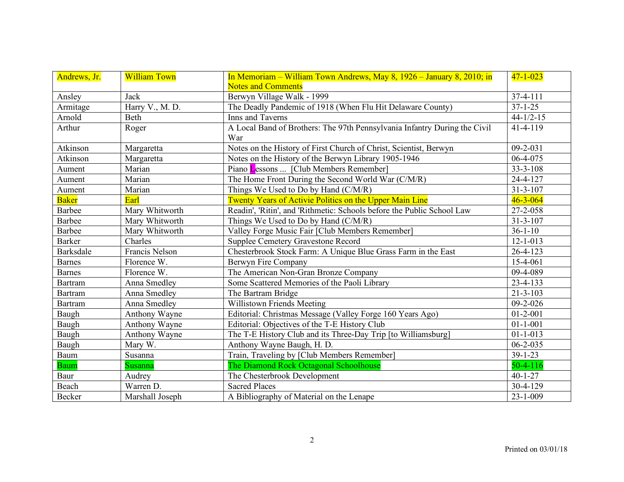| Andrews, Jr.     | <b>William Town</b> | In Memoriam – William Town Andrews, May 8, 1926 – January 8, 2010; in            | $47 - 1 - 023$  |
|------------------|---------------------|----------------------------------------------------------------------------------|-----------------|
|                  |                     | <b>Notes and Comments</b>                                                        |                 |
| Ansley           | Jack                | Berwyn Village Walk - 1999                                                       | 37-4-111        |
| Armitage         | Harry V., M. D.     | The Deadly Pandemic of 1918 (When Flu Hit Delaware County)                       | $37 - 1 - 25$   |
| Arnold           | Beth                | Inns and Taverns                                                                 | $44 - 1/2 - 15$ |
| Arthur           | Roger               | A Local Band of Brothers: The 97th Pennsylvania Infantry During the Civil<br>War | 41-4-119        |
| Atkinson         | Margaretta          | Notes on the History of First Church of Christ, Scientist, Berwyn                | $09 - 2 - 031$  |
| Atkinson         | Margaretta          | Notes on the History of the Berwyn Library 1905-1946                             | 06-4-075        |
| Aument           | Marian              | Piano Lessons  [Club Members Remember]                                           | $33 - 3 - 108$  |
| Aument           | Marian              | The Home Front During the Second World War (C/M/R)                               | 24-4-127        |
| Aument           | Marian              | Things We Used to Do by Hand (C/M/R)                                             | $31 - 3 - 107$  |
| <b>Baker</b>     | Earl                | Twenty Years of Activie Politics on the Upper Main Line                          | $46 - 3 - 064$  |
| <b>Barbee</b>    | Mary Whitworth      | Readin', 'Ritin', and 'Rithmetic: Schools before the Public School Law           | 27-2-058        |
| <b>Barbee</b>    | Mary Whitworth      | Things We Used to Do by Hand (C/M/R)                                             | $31 - 3 - 107$  |
| <b>Barbee</b>    | Mary Whitworth      | Valley Forge Music Fair [Club Members Remember]                                  | $36 - 1 - 10$   |
| <b>Barker</b>    | Charles             | <b>Supplee Cemetery Gravestone Record</b>                                        | $12 - 1 - 013$  |
| <b>Barksdale</b> | Francis Nelson      | Chesterbrook Stock Farm: A Unique Blue Grass Farm in the East                    | $26 - 4 - 123$  |
| <b>Barnes</b>    | Florence W.         | Berwyn Fire Company                                                              | 15-4-061        |
| <b>Barnes</b>    | Florence W.         | The American Non-Gran Bronze Company                                             | 09-4-089        |
| <b>Bartram</b>   | Anna Smedley        | Some Scattered Memories of the Paoli Library                                     | 23-4-133        |
| <b>Bartram</b>   | Anna Smedley        | The Bartram Bridge                                                               | $21 - 3 - 103$  |
| <b>Bartram</b>   | Anna Smedley        | Willistown Friends Meeting                                                       | $09 - 2 - 026$  |
| Baugh            | Anthony Wayne       | Editorial: Christmas Message (Valley Forge 160 Years Ago)                        | $01 - 2 - 001$  |
| Baugh            | Anthony Wayne       | Editorial: Objectives of the T-E History Club                                    | $01 - 1 - 001$  |
| Baugh            | Anthony Wayne       | The T-E History Club and its Three-Day Trip [to Williamsburg]                    | $01 - 1 - 013$  |
| Baugh            | Mary W.             | Anthony Wayne Baugh, H. D.                                                       | $06 - 2 - 035$  |
| Baum             | Susanna             | Train, Traveling by [Club Members Remember]                                      | $39 - 1 - 23$   |
| <b>Baum</b>      | Susanna             | The Diamond Rock Octagonal Schoolhouse                                           | $50-4-116$      |
| Baur             | Audrey              | The Chesterbrook Development                                                     | $40 - 1 - 27$   |
| Beach            | Warren D.           | <b>Sacred Places</b>                                                             | 30-4-129        |
| <b>Becker</b>    | Marshall Joseph     | A Bibliography of Material on the Lenape                                         | $23 - 1 - 009$  |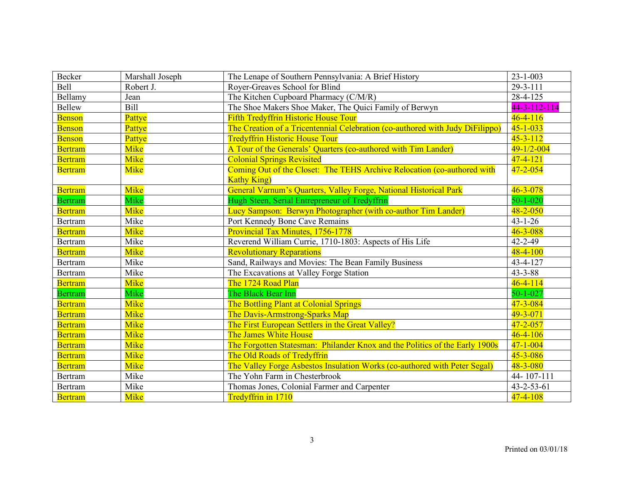| Becker         | Marshall Joseph | The Lenape of Southern Pennsylvania: A Brief History                          | $23 - 1 - 003$     |
|----------------|-----------------|-------------------------------------------------------------------------------|--------------------|
| Bell           | Robert J.       | Royer-Greaves School for Blind                                                | $29 - 3 - 111$     |
| Bellamy        | Jean            | The Kitchen Cupboard Pharmacy (C/M/R)                                         | 28-4-125           |
| Bellew         | Bill            | The Shoe Makers Shoe Maker, The Quici Family of Berwyn                        | 44-3-112-114       |
| <b>Benson</b>  | Pattye          | <b>Fifth Tredyffrin Historic House Tour</b>                                   | $46 - 4 - 116$     |
| <b>Benson</b>  | Pattye          | The Creation of a Tricentennial Celebration (co-authored with Judy DiFilippo) | $45 - 1 - 033$     |
| <b>Benson</b>  | Pattye          | <b>Tredyffrin Historic House Tour</b>                                         | $45 - 3 - 112$     |
| <b>Bertram</b> | Mike            | A Tour of the Generals' Quarters (co-authored with Tim Lander)                | $49 - 1/2 - 004$   |
| <b>Bertram</b> | Mike            | <b>Colonial Springs Revisited</b>                                             | $47 - 4 - 121$     |
| <b>Bertram</b> | Mike            | Coming Out of the Closet: The TEHS Archive Relocation (co-authored with       | $47 - 2 - 054$     |
|                |                 | <b>Kathy King</b> )                                                           |                    |
| <b>Bertram</b> | <b>Mike</b>     | General Varnum's Quarters, Valley Forge, National Historical Park             | $46 - 3 - 078$     |
| <b>Bertram</b> | Mike            | Hugh Steen, Serial Entrepreneur of Tredyffrin                                 | $50 - 1 - 020$     |
| <b>Bertram</b> | <b>Mike</b>     | Lucy Sampson: Berwyn Photographer (with co-author Tim Lander)                 | $48 - 2 - 050$     |
| Bertram        | Mike            | Port Kennedy Bone Cave Remains                                                | $43 - 1 - 26$      |
| <b>Bertram</b> | Mike            | Provincial Tax Minutes, 1756-1778                                             | $46 - 3 - 088$     |
| Bertram        | Mike            | Reverend William Currie, 1710-1803: Aspects of His Life                       | $42 - 2 - 49$      |
| <b>Bertram</b> | Mike            | <b>Revolutionary Reparations</b>                                              | $48 - 4 - 100$     |
| Bertram        | Mike            | Sand, Railways and Movies: The Bean Family Business                           | 43-4-127           |
| Bertram        | Mike            | The Excavations at Valley Forge Station                                       | $43 - 3 - 88$      |
| <b>Bertram</b> | Mike            | The 1724 Road Plan                                                            | $46 - 4 - 114$     |
| <b>Bertram</b> | Mike            | The Black Bear Inn                                                            | $50 - 1 - 027$     |
| <b>Bertram</b> | Mike            | The Bottling Plant at Colonial Springs                                        | $47 - 3 - 084$     |
| <b>Bertram</b> | Mike            | The Davis-Armstrong-Sparks Map                                                | $49 - 3 - 071$     |
| <b>Bertram</b> | Mike            | The First European Settlers in the Great Valley?                              | $47 - 2 - 057$     |
| <b>Bertram</b> | Mike            | The James White House                                                         | $46 - 4 - 106$     |
| <b>Bertram</b> | Mike            | The Forgotten Statesman: Philander Knox and the Politics of the Early 1900s   | $47 - 1 - 004$     |
| <b>Bertram</b> | <b>Mike</b>     | The Old Roads of Tredyffrin                                                   | $45 - 3 - 086$     |
| <b>Bertram</b> | Mike            | The Valley Forge Asbestos Insulation Works (co-authored with Peter Segal)     | $48 - 3 - 080$     |
| Bertram        | Mike            | The Yohn Farm in Chesterbrook                                                 | 44-107-111         |
| Bertram        | Mike            | Thomas Jones, Colonial Farmer and Carpenter                                   | $43 - 2 - 53 - 61$ |
| <b>Bertram</b> | Mike            | Tredyffrin in 1710                                                            | $47 - 4 - 108$     |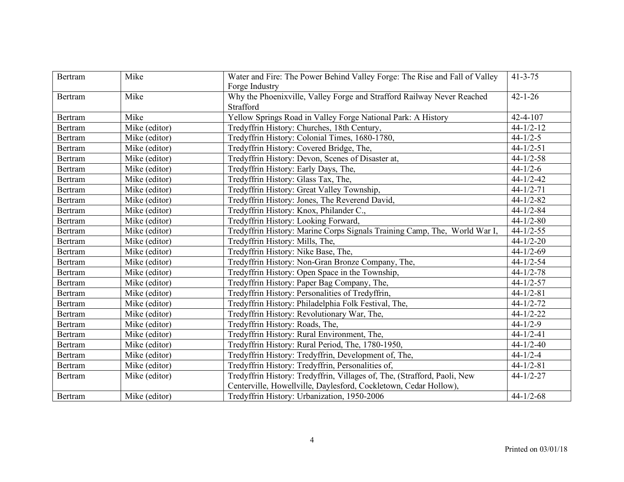| Bertram | Mike          | Water and Fire: The Power Behind Valley Forge: The Rise and Fall of Valley | $41 - 3 - 75$   |
|---------|---------------|----------------------------------------------------------------------------|-----------------|
|         |               | Forge Industry                                                             |                 |
| Bertram | Mike          | Why the Phoenixville, Valley Forge and Strafford Railway Never Reached     | $42 - 1 - 26$   |
|         |               | Strafford                                                                  |                 |
| Bertram | Mike          | Yellow Springs Road in Valley Forge National Park: A History               | $42 - 4 - 107$  |
| Bertram | Mike (editor) | Tredyffrin History: Churches, 18th Century,                                | $44 - 1/2 - 12$ |
| Bertram | Mike (editor) | Tredyffrin History: Colonial Times, 1680-1780,                             | $44 - 1/2 - 5$  |
| Bertram | Mike (editor) | Tredyffrin History: Covered Bridge, The,                                   | $44 - 1/2 - 51$ |
| Bertram | Mike (editor) | Tredyffrin History: Devon, Scenes of Disaster at,                          | $44 - 1/2 - 58$ |
| Bertram | Mike (editor) | Tredyffrin History: Early Days, The,                                       | $44 - 1/2 - 6$  |
| Bertram | Mike (editor) | Tredyffrin History: Glass Tax, The,                                        | $44 - 1/2 - 42$ |
| Bertram | Mike (editor) | Tredyffrin History: Great Valley Township,                                 | $44 - 1/2 - 71$ |
| Bertram | Mike (editor) | Tredyffrin History: Jones, The Reverend David,                             | $44 - 1/2 - 82$ |
| Bertram | Mike (editor) | Tredyffrin History: Knox, Philander C.,                                    | $44 - 1/2 - 84$ |
| Bertram | Mike (editor) | Tredyffrin History: Looking Forward,                                       | $44 - 1/2 - 80$ |
| Bertram | Mike (editor) | Tredyffrin History: Marine Corps Signals Training Camp, The, World War I,  | $44 - 1/2 - 55$ |
| Bertram | Mike (editor) | Tredyffrin History: Mills, The,                                            | $44 - 1/2 - 20$ |
| Bertram | Mike (editor) | Tredyffrin History: Nike Base, The,                                        | $44 - 1/2 - 69$ |
| Bertram | Mike (editor) | Tredyffrin History: Non-Gran Bronze Company, The,                          | $44 - 1/2 - 54$ |
| Bertram | Mike (editor) | Tredyffrin History: Open Space in the Township,                            | $44 - 1/2 - 78$ |
| Bertram | Mike (editor) | Tredyffrin History: Paper Bag Company, The,                                | $44 - 1/2 - 57$ |
| Bertram | Mike (editor) | Tredyffrin History: Personalities of Tredyffrin,                           | $44 - 1/2 - 81$ |
| Bertram | Mike (editor) | Tredyffrin History: Philadelphia Folk Festival, The,                       | $44 - 1/2 - 72$ |
| Bertram | Mike (editor) | Tredyffrin History: Revolutionary War, The,                                | $44 - 1/2 - 22$ |
| Bertram | Mike (editor) | Tredyffrin History: Roads, The,                                            | $44 - 1/2 - 9$  |
| Bertram | Mike (editor) | Tredyffrin History: Rural Environment, The,                                | $44 - 1/2 - 41$ |
| Bertram | Mike (editor) | Tredyffrin History: Rural Period, The, 1780-1950,                          | $44 - 1/2 - 40$ |
| Bertram | Mike (editor) | Tredyffrin History: Tredyffrin, Development of, The,                       | $44 - 1/2 - 4$  |
| Bertram | Mike (editor) | Tredyffrin History: Tredyffrin, Personalities of,                          | $44 - 1/2 - 81$ |
| Bertram | Mike (editor) | Tredyffrin History: Tredyffrin, Villages of, The, (Strafford, Paoli, New   | $44 - 1/2 - 27$ |
|         |               | Centerville, Howellville, Daylesford, Cockletown, Cedar Hollow),           |                 |
| Bertram | Mike (editor) | Tredyffrin History: Urbanization, 1950-2006                                | $44 - 1/2 - 68$ |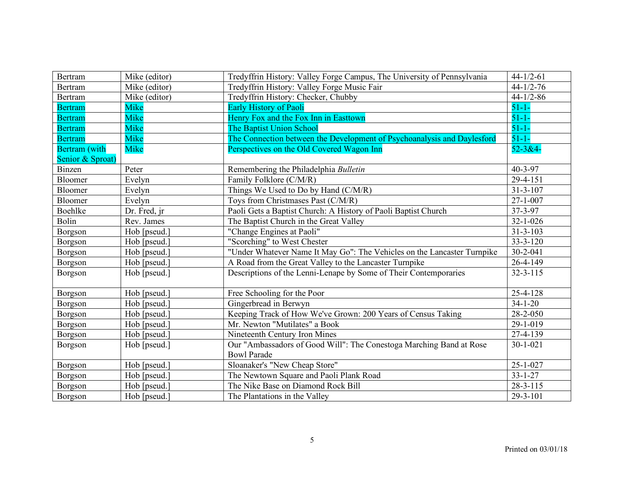| Bertram              | Mike (editor) | Tredyffrin History: Valley Forge Campus, The University of Pennsylvania | $44 - 1/2 - 61$ |
|----------------------|---------------|-------------------------------------------------------------------------|-----------------|
| Bertram              | Mike (editor) | Tredyffrin History: Valley Forge Music Fair                             | $44 - 1/2 - 76$ |
| Bertram              | Mike (editor) | Tredyffrin History: Checker, Chubby                                     | $44 - 1/2 - 86$ |
| <b>Bertram</b>       | <b>Mike</b>   | <b>Early History of Paoli</b>                                           | $51 - 1 -$      |
| <b>Bertram</b>       | Mike          | Henry Fox and the Fox Inn in Easttown                                   | $51 - 1 -$      |
| <b>Bertram</b>       | Mike          | <b>The Baptist Union School</b>                                         | $51 - 1 -$      |
| <b>Bertram</b>       | Mike          | The Connection between the Development of Psychoanalysis and Daylesford | $51 - 1 -$      |
| <b>Bertram</b> (with | <b>Mike</b>   | Perspectives on the Old Covered Wagon Inn                               | $52 - 3 & 4 -$  |
| Senior & Sproat)     |               |                                                                         |                 |
| Binzen               | Peter         | Remembering the Philadelphia Bulletin                                   | 40-3-97         |
| Bloomer              | Evelyn        | Family Folklore (C/M/R)                                                 | $29 - 4 - 151$  |
| Bloomer              | Evelyn        | Things We Used to Do by Hand (C/M/R)                                    | $31 - 3 - 107$  |
| Bloomer              | Evelyn        | Toys from Christmases Past (C/M/R)                                      | $27 - 1 - 007$  |
| Boehlke              | Dr. Fred, jr  | Paoli Gets a Baptist Church: A History of Paoli Baptist Church          | 37-3-97         |
| Bolin                | Rev. James    | The Baptist Church in the Great Valley                                  | $32 - 1 - 026$  |
| Borgson              | Hob [pseud.]  | "Change Engines at Paoli"                                               | $31 - 3 - 103$  |
| Borgson              | Hob [pseud.]  | "Scorching" to West Chester                                             | $33 - 3 - 120$  |
| Borgson              | Hob [pseud.]  | "Under Whatever Name It May Go": The Vehicles on the Lancaster Turnpike | 30-2-041        |
| Borgson              | Hob [pseud.]  | A Road from the Great Valley to the Lancaster Turnpike                  | 26-4-149        |
| Borgson              | Hob [pseud.]  | Descriptions of the Lenni-Lenape by Some of Their Contemporaries        | $32 - 3 - 115$  |
|                      |               |                                                                         |                 |
| Borgson              | Hob [pseud.]  | Free Schooling for the Poor                                             | 25-4-128        |
| Borgson              | Hob [pseud.]  | Gingerbread in Berwyn                                                   | $34 - 1 - 20$   |
| Borgson              | Hob [pseud.]  | Keeping Track of How We've Grown: 200 Years of Census Taking            | 28-2-050        |
| Borgson              | Hob [pseud.]  | Mr. Newton "Mutilates" a Book                                           | 29-1-019        |
| Borgson              | Hob [pseud.]  | Nineteenth Century Iron Mines                                           | 27-4-139        |
| Borgson              | Hob [pseud.]  | Our "Ambassadors of Good Will": The Conestoga Marching Band at Rose     | $30 - 1 - 021$  |
|                      |               | <b>Bowl Parade</b>                                                      |                 |
| Borgson              | Hob [pseud.]  | Sloanaker's "New Cheap Store"                                           | $25 - 1 - 027$  |
| Borgson              | Hob [pseud.]  | The Newtown Square and Paoli Plank Road                                 | $33 - 1 - 27$   |
| Borgson              | Hob [pseud.]  | The Nike Base on Diamond Rock Bill                                      | $28 - 3 - 115$  |
| Borgson              | Hob [pseud.]  | The Plantations in the Valley                                           | $29 - 3 - 101$  |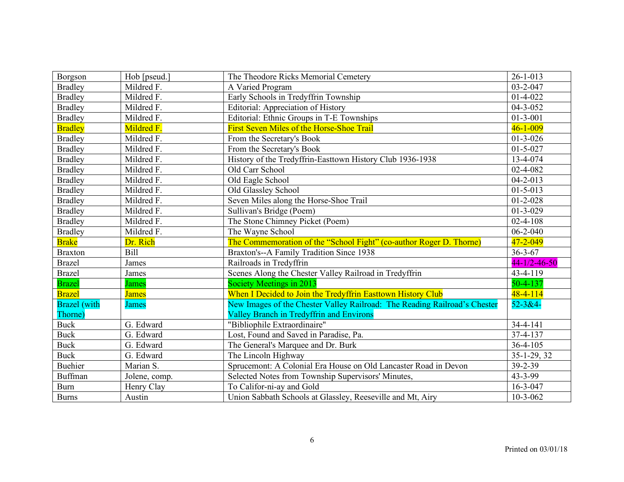| Borgson             | Hob [pseud.]  | The Theodore Ricks Memorial Cemetery                                      | $26 - 1 - 013$       |
|---------------------|---------------|---------------------------------------------------------------------------|----------------------|
| <b>Bradley</b>      | Mildred F.    | A Varied Program                                                          | $03 - 2 - 047$       |
| <b>Bradley</b>      | Mildred F.    | Early Schools in Tredyffrin Township                                      | $01-4-022$           |
| <b>Bradley</b>      | Mildred F.    | <b>Editorial: Appreciation of History</b>                                 | $04 - 3 - 052$       |
| <b>Bradley</b>      | Mildred F.    | Editorial: Ethnic Groups in T-E Townships                                 | $01 - 3 - 001$       |
| <b>Bradley</b>      | Mildred F.    | First Seven Miles of the Horse-Shoe Trail                                 | $46 - 1 - 009$       |
| <b>Bradley</b>      | Mildred F.    | From the Secretary's Book                                                 | $01 - 3 - 026$       |
| <b>Bradley</b>      | Mildred F.    | From the Secretary's Book                                                 | $01 - 5 - 027$       |
| <b>Bradley</b>      | Mildred F.    | History of the Tredyffrin-Easttown History Club 1936-1938                 | 13-4-074             |
| <b>Bradley</b>      | Mildred F.    | Old Carr School                                                           | 02-4-082             |
| <b>Bradley</b>      | Mildred F.    | Old Eagle School                                                          | $04 - 2 - 013$       |
| <b>Bradley</b>      | Mildred F.    | Old Glassley School                                                       | $01 - 5 - 013$       |
| <b>Bradley</b>      | Mildred F.    | Seven Miles along the Horse-Shoe Trail                                    | $01 - 2 - 028$       |
| <b>Bradley</b>      | Mildred F.    | Sullivan's Bridge (Poem)                                                  | $01-3-029$           |
| <b>Bradley</b>      | Mildred F.    | The Stone Chimney Picket (Poem)                                           | $02 - 4 - 108$       |
| <b>Bradley</b>      | Mildred F.    | The Wayne School                                                          | $06 - 2 - 040$       |
| <b>Brake</b>        | Dr. Rich      | The Commemoration of the "School Fight" (co-author Roger D. Thorne)       | 47-2-049             |
| <b>Braxton</b>      | Bill          | Braxton's--A Family Tradition Since 1938                                  | $36 - 3 - 67$        |
| <b>Brazel</b>       | James         | Railroads in Tredyffrin                                                   | $44 - 1/2 - 46 - 50$ |
| <b>Brazel</b>       | James         | Scenes Along the Chester Valley Railroad in Tredyffrin                    | 43-4-119             |
| <b>Brazel</b>       | <b>James</b>  | Society Meetings in 2013                                                  | $50 - 4 - 137$       |
| <b>Brazel</b>       | <b>James</b>  | When I Decided to Join the Tredyffrin Easttown History Club               | $48 - 4 - 114$       |
| <b>Brazel</b> (with | <b>James</b>  | New Images of the Chester Valley Railroad: The Reading Railroad's Chester | $52 - 3 & 4 -$       |
| Thorne)             |               | <b>Valley Branch in Tredyffrin and Environs</b>                           |                      |
| <b>Buck</b>         | G. Edward     | "Bibliophile Extraordinaire"                                              | $34 - 4 - 141$       |
| <b>Buck</b>         | G. Edward     | Lost, Found and Saved in Paradise, Pa.                                    | $37 - 4 - 137$       |
| <b>Buck</b>         | G. Edward     | The General's Marquee and Dr. Burk                                        | 36-4-105             |
| <b>Buck</b>         | G. Edward     | The Lincoln Highway                                                       | $35-1-29, 32$        |
| <b>Buehier</b>      | Marian S.     | Sprucemont: A Colonial Era House on Old Lancaster Road in Devon           | 39-2-39              |
| <b>Buffman</b>      | Jolene, comp. | Selected Notes from Township Supervisors' Minutes,                        | 43-3-99              |
| <b>Burn</b>         | Henry Clay    | To Califor-ni-ay and Gold                                                 | $16 - 3 - 047$       |
| <b>Burns</b>        | Austin        | Union Sabbath Schools at Glassley, Reeseville and Mt, Airy                | $10-3-062$           |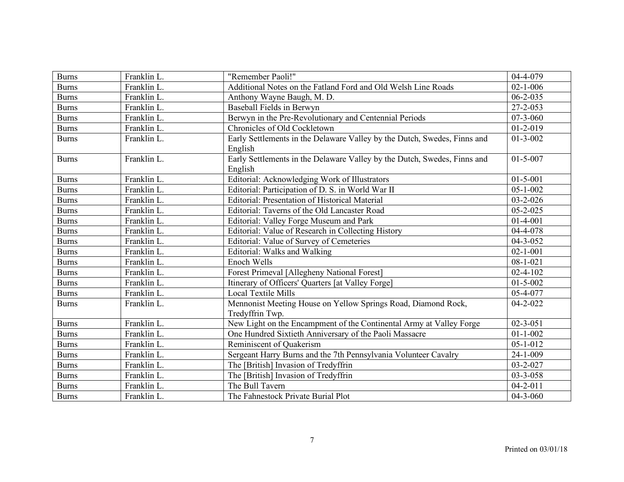| <b>Burns</b> | Franklin L. | "Remember Paoli!"                                                                   | 04-4-079       |
|--------------|-------------|-------------------------------------------------------------------------------------|----------------|
| <b>Burns</b> | Franklin L. | Additional Notes on the Fatland Ford and Old Welsh Line Roads                       | $02 - 1 - 006$ |
| <b>Burns</b> | Franklin L. | Anthony Wayne Baugh, M. D.                                                          | $06 - 2 - 035$ |
| <b>Burns</b> | Franklin L. | <b>Baseball Fields in Berwyn</b>                                                    | 27-2-053       |
| <b>Burns</b> | Franklin L. | Berwyn in the Pre-Revolutionary and Centennial Periods                              | $07 - 3 - 060$ |
| <b>Burns</b> | Franklin L. | Chronicles of Old Cockletown                                                        | $01 - 2 - 019$ |
| <b>Burns</b> | Franklin L. | Early Settlements in the Delaware Valley by the Dutch, Swedes, Finns and<br>English | $01 - 3 - 002$ |
| <b>Burns</b> | Franklin L. | Early Settlements in the Delaware Valley by the Dutch, Swedes, Finns and<br>English | $01 - 5 - 007$ |
| <b>Burns</b> | Franklin L. | Editorial: Acknowledging Work of Illustrators                                       | $01 - 5 - 001$ |
| <b>Burns</b> | Franklin L. | Editorial: Participation of D. S. in World War II                                   | $05 - 1 - 002$ |
| <b>Burns</b> | Franklin L. | <b>Editorial: Presentation of Historical Material</b>                               | $03 - 2 - 026$ |
| <b>Burns</b> | Franklin L. | Editorial: Taverns of the Old Lancaster Road                                        | $05 - 2 - 025$ |
| <b>Burns</b> | Franklin L. | Editorial: Valley Forge Museum and Park                                             | $01 - 4 - 001$ |
| <b>Burns</b> | Franklin L. | Editorial: Value of Research in Collecting History                                  | 04-4-078       |
| <b>Burns</b> | Franklin L. | Editorial: Value of Survey of Cemeteries                                            | $04 - 3 - 052$ |
| <b>Burns</b> | Franklin L. | Editorial: Walks and Walking                                                        | $02 - 1 - 001$ |
| <b>Burns</b> | Franklin L. | Enoch Wells                                                                         | $08 - 1 - 021$ |
| <b>Burns</b> | Franklin L. | Forest Primeval [Allegheny National Forest]                                         | $02 - 4 - 102$ |
| <b>Burns</b> | Franklin L. | Itinerary of Officers' Quarters [at Valley Forge]                                   | $01 - 5 - 002$ |
| <b>Burns</b> | Franklin L. | <b>Local Textile Mills</b>                                                          | 05-4-077       |
| <b>Burns</b> | Franklin L. | Mennonist Meeting House on Yellow Springs Road, Diamond Rock,<br>Tredyffrin Twp.    | $04 - 2 - 022$ |
| <b>Burns</b> | Franklin L. | New Light on the Encampment of the Continental Army at Valley Forge                 | $02 - 3 - 051$ |
| <b>Burns</b> | Franklin L. | One Hundred Sixtieth Anniversary of the Paoli Massacre                              | $01 - 1 - 002$ |
| <b>Burns</b> | Franklin L. | Reminiscent of Quakerism                                                            | $05 - 1 - 012$ |
| <b>Burns</b> | Franklin L. | Sergeant Harry Burns and the 7th Pennsylvania Volunteer Cavalry                     | 24-1-009       |
| <b>Burns</b> | Franklin L. | The [British] Invasion of Tredyffrin                                                | 03-2-027       |
| <b>Burns</b> | Franklin L. | The [British] Invasion of Tredyffrin                                                | 03-3-058       |
| <b>Burns</b> | Franklin L. | The Bull Tavern                                                                     | $04 - 2 - 011$ |
| <b>Burns</b> | Franklin L. | The Fahnestock Private Burial Plot                                                  | $04 - 3 - 060$ |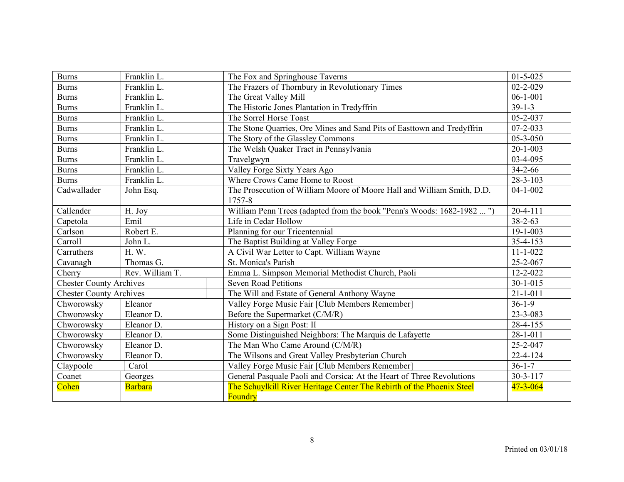| <b>Burns</b>                   | Franklin L.     | The Fox and Springhouse Taverns                                        | $01 - 5 - 025$ |
|--------------------------------|-----------------|------------------------------------------------------------------------|----------------|
| <b>Burns</b>                   | Franklin L.     | The Frazers of Thornbury in Revolutionary Times                        | $02 - 2 - 029$ |
| <b>Burns</b>                   | Franklin L.     | The Great Valley Mill                                                  | $06-1-001$     |
| <b>Burns</b>                   | Franklin L.     | The Historic Jones Plantation in Tredyffrin                            | $39-1-3$       |
| <b>Burns</b>                   | Franklin L.     | The Sorrel Horse Toast                                                 | 05-2-037       |
| <b>Burns</b>                   | Franklin L.     | The Stone Quarries, Ore Mines and Sand Pits of Easttown and Tredyffrin | $07 - 2 - 033$ |
| <b>Burns</b>                   | Franklin L.     | The Story of the Glassley Commons                                      | $05 - 3 - 050$ |
| <b>Burns</b>                   | Franklin L.     | The Welsh Quaker Tract in Pennsylvania                                 | $20 - 1 - 003$ |
| <b>Burns</b>                   | Franklin L.     | Travelgwyn                                                             | 03-4-095       |
| <b>Burns</b>                   | Franklin L.     | Valley Forge Sixty Years Ago                                           | $34 - 2 - 66$  |
| <b>Burns</b>                   | Franklin L.     | Where Crows Came Home to Roost                                         | 28-3-103       |
| Cadwallader                    | John Esq.       | The Prosecution of William Moore of Moore Hall and William Smith, D.D. | $04 - 1 - 002$ |
|                                |                 | 1757-8                                                                 |                |
| Callender                      | H. Joy          | William Penn Trees (adapted from the book "Penn's Woods: 1682-1982 ")  | $20 - 4 - 111$ |
| Capetola                       | Emil            | Life in Cedar Hollow                                                   | $38 - 2 - 63$  |
| Carlson                        | Robert E.       | Planning for our Tricentennial                                         | $19 - 1 - 003$ |
| Carroll                        | John L.         | The Baptist Building at Valley Forge                                   | 35-4-153       |
| Carruthers                     | H.W.            | A Civil War Letter to Capt. William Wayne                              | $11 - 1 - 022$ |
| Cavanagh                       | Thomas G.       | St. Monica's Parish                                                    | 25-2-067       |
| Cherry                         | Rev. William T. | Emma L. Simpson Memorial Methodist Church, Paoli                       | $12 - 2 - 022$ |
| <b>Chester County Archives</b> |                 | <b>Seven Road Petitions</b>                                            | $30 - 1 - 015$ |
| <b>Chester County Archives</b> |                 | The Will and Estate of General Anthony Wayne                           | $21 - 1 - 011$ |
| Chworowsky                     | Eleanor         | Valley Forge Music Fair [Club Members Remember]                        | $36-1-9$       |
| Chworowsky                     | Eleanor D.      | Before the Supermarket (C/M/R)                                         | 23-3-083       |
| Chworowsky                     | Eleanor D.      | History on a Sign Post: II                                             | 28-4-155       |
| Chworowsky                     | Eleanor D.      | Some Distinguished Neighbors: The Marquis de Lafayette                 | $28 - 1 - 011$ |
| Chworowsky                     | Eleanor D.      | The Man Who Came Around (C/M/R)                                        | 25-2-047       |
| Chworowsky                     | Eleanor D.      | The Wilsons and Great Valley Presbyterian Church                       | $22 - 4 - 124$ |
| Claypoole                      | Carol           | Valley Forge Music Fair [Club Members Remember]                        | $36 - 1 - 7$   |
| Coanet                         | Georges         | General Pasquale Paoli and Corsica: At the Heart of Three Revolutions  | $30 - 3 - 117$ |
| Cohen                          | <b>Barbara</b>  | The Schuylkill River Heritage Center The Rebirth of the Phoenix Steel  | $47 - 3 - 064$ |
|                                |                 | <b>Foundry</b>                                                         |                |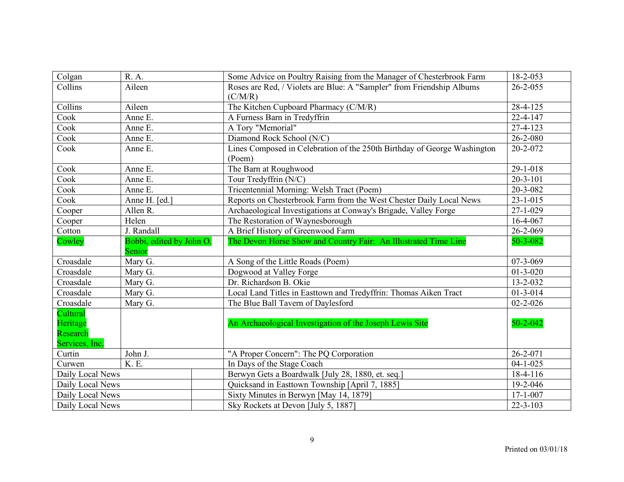| Colgan           | R. A.                    | Some Advice on Poultry Raising from the Manager of Chesterbrook Farm     | 18-2-053       |
|------------------|--------------------------|--------------------------------------------------------------------------|----------------|
| Collins          | Aileen                   | Roses are Red, / Violets are Blue: A "Sampler" from Friendship Albums    | $26 - 2 - 055$ |
|                  |                          | (C/M/R)                                                                  |                |
| Collins          | Aileen                   | The Kitchen Cupboard Pharmacy (C/M/R)                                    | 28-4-125       |
| Cook             | Anne E.                  | A Furness Barn in Tredyffrin                                             | 22-4-147       |
| Cook             | Anne E.                  | A Tory "Memorial"                                                        | 27-4-123       |
| Cook             | Anne E.                  | Diamond Rock School (N/C)                                                | $26 - 2 - 080$ |
| Cook             | Anne E.                  | Lines Composed in Celebration of the 250th Birthday of George Washington | 20-2-072       |
|                  |                          | (Poem)                                                                   |                |
| Cook             | Anne E.                  | The Barn at Roughwood                                                    | 29-1-018       |
| Cook             | Anne E.                  | Tour Tredyffrin (N/C)                                                    | $20 - 3 - 101$ |
| Cook             | Anne E.                  | Tricentennial Morning: Welsh Tract (Poem)                                | 20-3-082       |
| Cook             | Anne H. [ed.]            | Reports on Chesterbrook Farm from the West Chester Daily Local News      | $23 - 1 - 015$ |
| Cooper           | Allen R.                 | Archaeological Investigations at Conway's Brigade, Valley Forge          | $27 - 1 - 029$ |
| Cooper           | Helen                    | The Restoration of Waynesborough                                         | 16-4-067       |
| Cotton           | J. Randall               | A Brief History of Greenwood Farm                                        | 26-2-069       |
| Cowley           | Bobbi, edited by John O. | The Devon Horse Show and Country Fair: An Illustrated Time Line          | 50-3-082       |
|                  | Senior                   |                                                                          |                |
| Croasdale        | Mary G.                  | A Song of the Little Roads (Poem)                                        | 07-3-069       |
| Croasdale        | Mary G.                  | Dogwood at Valley Forge                                                  | $01 - 3 - 020$ |
| Croasdale        | Mary G.                  | Dr. Richardson B. Okie                                                   | 13-2-032       |
| Croasdale        | Mary G.                  | Local Land Titles in Easttown and Tredyffrin: Thomas Aiken Tract         | $01 - 3 - 014$ |
| Croasdale        | Mary G.                  | The Blue Ball Tavern of Daylesford                                       | $02 - 2 - 026$ |
| Cultural         |                          |                                                                          |                |
| Heritage         |                          | An Archaeological Investigation of the Joseph Lewis Site                 | $50 - 2 - 042$ |
| Research         |                          |                                                                          |                |
| Services, Inc.   |                          |                                                                          |                |
| Curtin           | John J.                  | "A Proper Concern": The PQ Corporation                                   | 26-2-071       |
| Curwen           | <b>K.</b> E.             | In Days of the Stage Coach                                               | $04 - 1 - 025$ |
| Daily Local News |                          | Berwyn Gets a Boardwalk [July 28, 1880, et. seq.]                        | 18-4-116       |
| Daily Local News |                          | Quicksand in Easttown Township [April 7, 1885]                           | 19-2-046       |
| Daily Local News |                          | Sixty Minutes in Berwyn [May 14, 1879]                                   | $17 - 1 - 007$ |
| Daily Local News |                          | Sky Rockets at Devon [July 5, 1887]                                      | $22 - 3 - 103$ |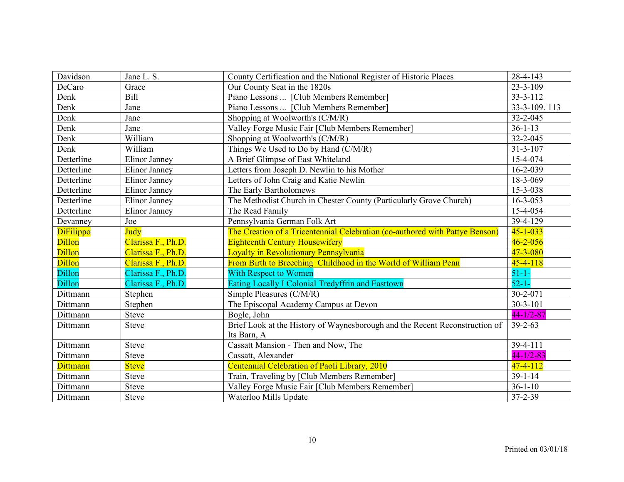| Davidson         | Jane L. S.           | County Certification and the National Register of Historic Places            | 28-4-143        |
|------------------|----------------------|------------------------------------------------------------------------------|-----------------|
| DeCaro           | Grace                | Our County Seat in the 1820s                                                 | $23 - 3 - 109$  |
| Denk             | Bill                 | Piano Lessons  [Club Members Remember]                                       | $33 - 3 - 112$  |
| Denk             | Jane                 | Piano Lessons  [Club Members Remember]                                       | 33-3-109.113    |
| Denk             | Jane                 | Shopping at Woolworth's (C/M/R)                                              | 32-2-045        |
| Denk             | Jane                 | Valley Forge Music Fair [Club Members Remember]                              | $36 - 1 - 13$   |
| Denk             | William              | Shopping at Woolworth's (C/M/R)                                              | 32-2-045        |
| Denk             | William              | Things We Used to Do by Hand (C/M/R)                                         | $31 - 3 - 107$  |
| Detterline       | Elinor Janney        | A Brief Glimpse of East Whiteland                                            | 15-4-074        |
| Detterline       | Elinor Janney        | Letters from Joseph D. Newlin to his Mother                                  | $16 - 2 - 039$  |
| Detterline       | <b>Elinor Janney</b> | Letters of John Craig and Katie Newlin                                       | 18-3-069        |
| Detterline       | Elinor Janney        | The Early Bartholomews                                                       | 15-3-038        |
| Detterline       | Elinor Janney        | The Methodist Church in Chester County (Particularly Grove Church)           | $16 - 3 - 053$  |
| Detterline       | <b>Elinor Janney</b> | The Read Family                                                              | 15-4-054        |
| Devanney         | Joe                  | Pennsylvania German Folk Art                                                 | 39-4-129        |
| <b>DiFilippo</b> | Judy                 | The Creation of a Tricentennial Celebration (co-authored with Pattye Benson) | $45 - 1 - 033$  |
| <b>Dillon</b>    | Clarissa F., Ph.D.   | <b>Eighteenth Century Housewifery</b>                                        | $46 - 2 - 056$  |
| <b>Dillon</b>    | Clarissa F., Ph.D.   | <b>Loyalty in Revolutionary Pennsylvania</b>                                 | $47 - 3 - 080$  |
| <b>Dillon</b>    | Clarissa F., Ph.D.   | From Birth to Breeching Childhood in the World of William Penn               | $45 - 4 - 118$  |
| <b>Dillon</b>    | Clarissa F., Ph.D.   | <b>With Respect to Women</b>                                                 | $51 - 1 -$      |
| <b>Dillon</b>    | Clarissa F., Ph.D.   | Eating Locally I Colonial Tredyffrin and Easttown                            | $52 - 1 -$      |
| Dittmann         | Stephen              | Simple Pleasures (C/M/R)                                                     | $30 - 2 - 071$  |
| Dittmann         | Stephen              | The Episcopal Academy Campus at Devon                                        | $30 - 3 - 101$  |
| Dittmann         | <b>Steve</b>         | Bogle, John                                                                  | $44 - 1/2 - 87$ |
| Dittmann         | <b>Steve</b>         | Brief Look at the History of Waynesborough and the Recent Reconstruction of  | $39 - 2 - 63$   |
|                  |                      | Its Barn, A                                                                  |                 |
| Dittmann         | <b>Steve</b>         | Cassatt Mansion - Then and Now, The                                          | 39-4-111        |
| Dittmann         | <b>Steve</b>         | Cassatt, Alexander                                                           | $44 - 1/2 - 83$ |
| <b>Dittmann</b>  | <b>Steve</b>         | Centennial Celebration of Paoli Library, 2010                                | $47 - 4 - 112$  |
| Dittmann         | <b>Steve</b>         | Train, Traveling by [Club Members Remember]                                  | $39 - 1 - 14$   |
| Dittmann         | <b>Steve</b>         | Valley Forge Music Fair [Club Members Remember]                              | $36-1-10$       |
| Dittmann         | <b>Steve</b>         | Waterloo Mills Update                                                        | 37-2-39         |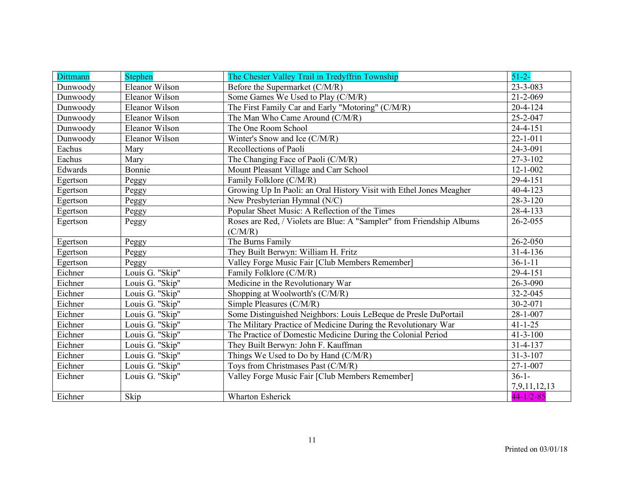| <b>Dittmann</b> | <b>Stephen</b>        | The Chester Valley Trail in Tredyffrin Township                       | $51 - 2 -$      |
|-----------------|-----------------------|-----------------------------------------------------------------------|-----------------|
| Dunwoody        | <b>Eleanor Wilson</b> | Before the Supermarket (C/M/R)                                        | 23-3-083        |
| Dunwoody        | Eleanor Wilson        | Some Games We Used to Play (C/M/R)                                    | $21 - 2 - 069$  |
| Dunwoody        | Eleanor Wilson        | The First Family Car and Early "Motoring" (C/M/R)                     | $20 - 4 - 124$  |
| Dunwoody        | Eleanor Wilson        | The Man Who Came Around (C/M/R)                                       | 25-2-047        |
| Dunwoody        | Eleanor Wilson        | The One Room School                                                   | $24 - 4 - 151$  |
| Dunwoody        | Eleanor Wilson        | Winter's Snow and Ice (C/M/R)                                         | $22 - 1 - 011$  |
| Eachus          | Mary                  | Recollections of Paoli                                                | $24 - 3 - 091$  |
| Eachus          | Mary                  | The Changing Face of Paoli (C/M/R)                                    | 27-3-102        |
| Edwards         | Bonnie                | Mount Pleasant Village and Carr School                                | $12 - 1 - 002$  |
| Egertson        | Peggy                 | Family Folklore (C/M/R)                                               | 29-4-151        |
| Egertson        | Peggy                 | Growing Up In Paoli: an Oral History Visit with Ethel Jones Meagher   | 40-4-123        |
| Egertson        | Peggy                 | New Presbyterian Hymnal (N/C)                                         | $28 - 3 - 120$  |
| Egertson        | Peggy                 | Popular Sheet Music: A Reflection of the Times                        | 28-4-133        |
| Egertson        | Peggy                 | Roses are Red, / Violets are Blue: A "Sampler" from Friendship Albums | $26 - 2 - 055$  |
|                 |                       | (C/M/R)                                                               |                 |
| Egertson        | Peggy                 | The Burns Family                                                      | $26 - 2 - 050$  |
| Egertson        | Peggy                 | They Built Berwyn: William H. Fritz                                   | 31-4-136        |
| Egertson        | Peggy                 | Valley Forge Music Fair [Club Members Remember]                       | $36 - 1 - 11$   |
| Eichner         | Louis G. "Skip"       | Family Folklore (C/M/R)                                               | 29-4-151        |
| Eichner         | Louis G. "Skip"       | Medicine in the Revolutionary War                                     | 26-3-090        |
| Eichner         | Louis G. "Skip"       | Shopping at Woolworth's (C/M/R)                                       | 32-2-045        |
| Eichner         | Louis G. "Skip"       | Simple Pleasures (C/M/R)                                              | 30-2-071        |
| Eichner         | Louis G. "Skip"       | Some Distinguished Neighbors: Louis LeBeque de Presle DuPortail       | $28 - 1 - 007$  |
| Eichner         | Louis G. "Skip"       | The Military Practice of Medicine During the Revolutionary War        | $41 - 1 - 25$   |
| Eichner         | Louis G. "Skip"       | The Practice of Domestic Medicine During the Colonial Period          | $41 - 3 - 100$  |
| Eichner         | Louis G. "Skip"       | They Built Berwyn: John F. Kauffman                                   | $31 - 4 - 137$  |
| Eichner         | Louis G. "Skip"       | Things We Used to Do by Hand (C/M/R)                                  | $31 - 3 - 107$  |
| Eichner         | Louis G. "Skip"       | Toys from Christmases Past (C/M/R)                                    | $27 - 1 - 007$  |
| Eichner         | Louis G. "Skip"       | Valley Forge Music Fair [Club Members Remember]                       | $36-1-$         |
|                 |                       |                                                                       | 7,9,11,12,13    |
| Eichner         | Skip                  | <b>Wharton Esherick</b>                                               | $44 - 1/2 - 85$ |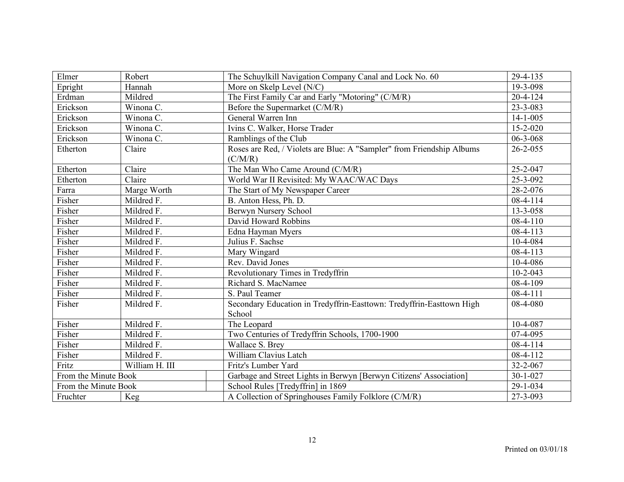| Elmer                | Robert         | The Schuylkill Navigation Company Canal and Lock No. 60               | 29-4-135       |
|----------------------|----------------|-----------------------------------------------------------------------|----------------|
| Epright              | Hannah         | More on Skelp Level (N/C)                                             | 19-3-098       |
| Erdman               | Mildred        | The First Family Car and Early "Motoring" (C/M/R)                     | $20-4-124$     |
| Erickson             | Winona C.      | Before the Supermarket (C/M/R)                                        | 23-3-083       |
| Erickson             | Winona C.      | General Warren Inn                                                    | $14 - 1 - 005$ |
| Erickson             | Winona C.      | Ivins C. Walker, Horse Trader                                         | $15 - 2 - 020$ |
| Erickson             | Winona C.      | Ramblings of the Club                                                 | 06-3-068       |
| Etherton             | Claire         | Roses are Red, / Violets are Blue: A "Sampler" from Friendship Albums | $26 - 2 - 055$ |
|                      |                | (C/M/R)                                                               |                |
| Etherton             | Claire         | The Man Who Came Around (C/M/R)                                       | 25-2-047       |
| Etherton             | Claire         | World War II Revisited: My WAAC/WAC Days                              | 25-3-092       |
| Farra                | Marge Worth    | The Start of My Newspaper Career                                      | 28-2-076       |
| Fisher               | Mildred F.     | B. Anton Hess, Ph. D.                                                 | $08-4-114$     |
| Fisher               | Mildred F.     | Berwyn Nursery School                                                 | 13-3-058       |
| Fisher               | Mildred F.     | David Howard Robbins                                                  | $08-4-110$     |
| Fisher               | Mildred F.     | Edna Hayman Myers                                                     | 08-4-113       |
| Fisher               | Mildred F.     | Julius F. Sachse                                                      | 10-4-084       |
| Fisher               | Mildred F.     | Mary Wingard                                                          | 08-4-113       |
| Fisher               | Mildred F.     | Rev. David Jones                                                      | 10-4-086       |
| Fisher               | Mildred F.     | Revolutionary Times in Tredyffrin                                     | $10-2-043$     |
| Fisher               | Mildred F.     | Richard S. MacNamee                                                   | 08-4-109       |
| Fisher               | Mildred F.     | S. Paul Teamer                                                        | $08-4-111$     |
| Fisher               | Mildred F.     | Secondary Education in Tredyffrin-Easttown: Tredyffrin-Easttown High  | 08-4-080       |
|                      |                | School                                                                |                |
| Fisher               | Mildred F.     | The Leopard                                                           | 10-4-087       |
| Fisher               | Mildred F.     | Two Centuries of Tredyffrin Schools, 1700-1900                        | 07-4-095       |
| Fisher               | Mildred F.     | Wallace S. Brey                                                       | $08-4-114$     |
| Fisher               | Mildred F.     | William Clavius Latch                                                 | 08-4-112       |
| Fritz                | William H. III | Fritz's Lumber Yard                                                   | 32-2-067       |
| From the Minute Book |                | Garbage and Street Lights in Berwyn [Berwyn Citizens' Association]    | $30 - 1 - 027$ |
| From the Minute Book |                | School Rules [Tredyffrin] in 1869                                     | 29-1-034       |
| Fruchter             | Keg            | A Collection of Springhouses Family Folklore (C/M/R)                  | 27-3-093       |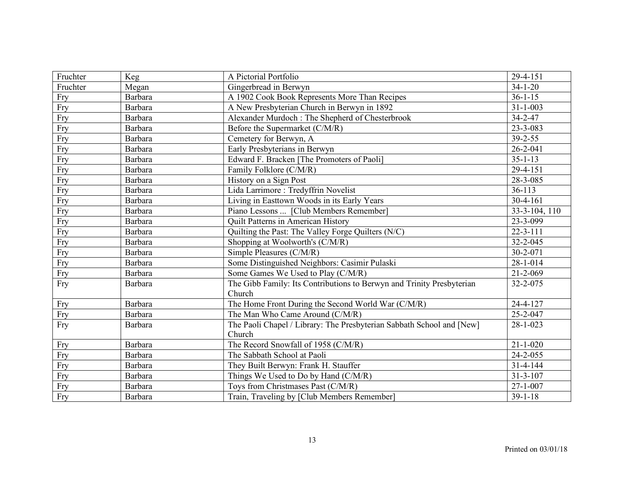| Fruchter | Keg            | A Pictorial Portfolio                                                 | 29-4-151       |
|----------|----------------|-----------------------------------------------------------------------|----------------|
| Fruchter | Megan          | Gingerbread in Berwyn                                                 | $34 - 1 - 20$  |
| Fry      | <b>Barbara</b> | A 1902 Cook Book Represents More Than Recipes                         | $36 - 1 - 15$  |
| Fry      | Barbara        | A New Presbyterian Church in Berwyn in 1892                           | $31 - 1 - 003$ |
| Fry      | <b>Barbara</b> | Alexander Murdoch: The Shepherd of Chesterbrook                       | $34 - 2 - 47$  |
| Fry      | Barbara        | Before the Supermarket (C/M/R)                                        | 23-3-083       |
| Fry      | Barbara        | Cemetery for Berwyn, A                                                | $39 - 2 - 55$  |
| Fry      | Barbara        | Early Presbyterians in Berwyn                                         | $26 - 2 - 041$ |
| Fry      | <b>Barbara</b> | Edward F. Bracken [The Promoters of Paoli]                            | $35 - 1 - 13$  |
| Fry      | Barbara        | Family Folklore (C/M/R)                                               | 29-4-151       |
| Fry      | Barbara        | History on a Sign Post                                                | 28-3-085       |
| Fry      | Barbara        | Lida Larrimore: Tredyffrin Novelist                                   | 36-113         |
| Fry      | Barbara        | Living in Easttown Woods in its Early Years                           | $30-4-161$     |
| Fry      | Barbara        | Piano Lessons  [Club Members Remember]                                | 33-3-104, 110  |
| Fry      | Barbara        | <b>Quilt Patterns in American History</b>                             | 23-3-099       |
| Fry      | Barbara        | Quilting the Past: The Valley Forge Quilters (N/C)                    | $22 - 3 - 111$ |
| Fry      | Barbara        | Shopping at Woolworth's (C/M/R)                                       | 32-2-045       |
| Fry      | Barbara        | Simple Pleasures (C/M/R)                                              | 30-2-071       |
| Fry      | Barbara        | Some Distinguished Neighbors: Casimir Pulaski                         | 28-1-014       |
| Fry      | Barbara        | Some Games We Used to Play (C/M/R)                                    | 21-2-069       |
| Fry      | Barbara        | The Gibb Family: Its Contributions to Berwyn and Trinity Presbyterian | 32-2-075       |
|          |                | Church                                                                |                |
| Fry      | <b>Barbara</b> | The Home Front During the Second World War (C/M/R)                    | 24-4-127       |
| Fry      | <b>Barbara</b> | The Man Who Came Around (C/M/R)                                       | 25-2-047       |
| Fry      | Barbara        | The Paoli Chapel / Library: The Presbyterian Sabbath School and [New] | $28 - 1 - 023$ |
|          |                | Church                                                                |                |
| Fry      | <b>Barbara</b> | The Record Snowfall of 1958 (C/M/R)                                   | $21 - 1 - 020$ |
| Fry      | Barbara        | The Sabbath School at Paoli                                           | 24-2-055       |
| Fry      | <b>Barbara</b> | They Built Berwyn: Frank H. Stauffer                                  | $31 - 4 - 144$ |
| Fry      | Barbara        | Things We Used to Do by Hand (C/M/R)                                  | 31-3-107       |
| Fry      | Barbara        | Toys from Christmases Past (C/M/R)                                    | $27 - 1 - 007$ |
| Fry      | <b>Barbara</b> | Train, Traveling by [Club Members Remember]                           | $39 - 1 - 18$  |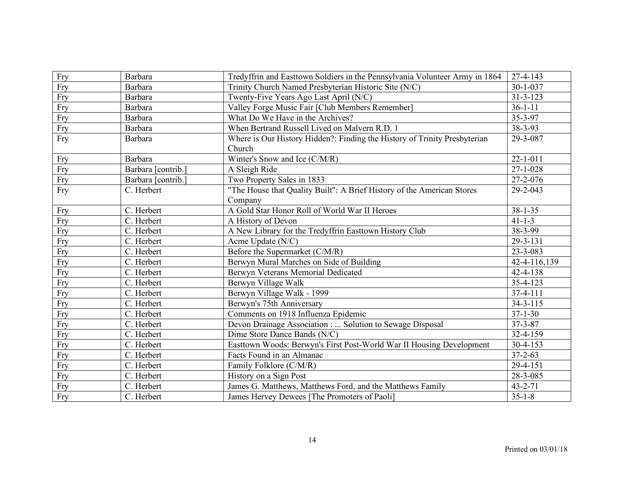| Fry | Barbara            | Tredyffrin and Easttown Soldiers in the Pennsylvania Volunteer Army in 1864 | 27-4-143       |
|-----|--------------------|-----------------------------------------------------------------------------|----------------|
| Fry | Barbara            | Trinity Church Named Presbyterian Historic Site (N/C)                       | 30-1-037       |
| Fry | Barbara            | Twenty-Five Years Ago Last April (N/C)                                      | 31-3-123       |
| Fry | Barbara            | Valley Forge Music Fair [Club Members Remember]                             | $36 - 1 - 11$  |
| Fry | Barbara            | What Do We Have in the Archives?                                            | 35-3-97        |
| Fry | Barbara            | When Bertrand Russell Lived on Malvern R.D. 1                               | 38-3-93        |
| Fry | Barbara            | Where is Our History Hidden?: Finding the History of Trinity Presbyterian   | 29-3-087       |
|     |                    | Church                                                                      |                |
| Fry | Barbara            | Winter's Snow and Ice (C/M/R)                                               | $22 - 1 - 011$ |
| Fry | Barbara [contrib.] | A Sleigh Ride                                                               | $27 - 1 - 028$ |
| Fry | Barbara [contrib.] | Two Property Sales in 1833                                                  | 27-2-076       |
| Fry | C. Herbert         | "The House that Quality Built": A Brief History of the American Stores      | 29-2-043       |
|     |                    | Company                                                                     |                |
| Fry | C. Herbert         | A Gold Star Honor Roll of World War II Heroes                               | $38 - 1 - 35$  |
| Fry | C. Herbert         | A History of Devon                                                          | $41 - 1 - 3$   |
| Fry | C. Herbert         | A New Library for the Tredyffrin Easttown History Club                      | 38-3-99        |
| Fry | C. Herbert         | Acme Update (N/C)                                                           | 29-3-131       |
| Fry | C. Herbert         | Before the Supermarket (C/M/R)                                              | 23-3-083       |
| Fry | C. Herbert         | Berwyn Mural Marches on Side of Building                                    | 42-4-116,139   |
| Fry | C. Herbert         | Berwyn Veterans Memorial Dedicated                                          | 42-4-138       |
| Fry | C. Herbert         | Berwyn Village Walk                                                         | 35-4-123       |
| Fry | C. Herbert         | Berwyn Village Walk - 1999                                                  | 37-4-111       |
| Fry | C. Herbert         | Berwyn's 75th Anniversary                                                   | $34 - 3 - 115$ |
| Fry | C. Herbert         | Comments on 1918 Influenza Epidemic                                         | $37 - 1 - 30$  |
| Fry | C. Herbert         | Devon Drainage Association :  Solution to Sewage Disposal                   | $37 - 3 - 87$  |
| Fry | C. Herbert         | Dime Store Dance Bands (N/C)                                                | 32-4-159       |
| Fry | C. Herbert         | Easttown Woods: Berwyn's First Post-World War II Housing Development        | 30-4-153       |
| Fry | C. Herbert         | Facts Found in an Almanac                                                   | $37 - 2 - 63$  |
| Fry | C. Herbert         | Family Folklore (C/M/R)                                                     | 29-4-151       |
| Fry | C. Herbert         | History on a Sign Post                                                      | 28-3-085       |
| Fry | C. Herbert         | James G. Matthews, Matthews Ford, and the Matthews Family                   | $43 - 2 - 71$  |
| Fry | C. Herbert         | James Hervey Dewees [The Promoters of Paoli]                                | $35 - 1 - 8$   |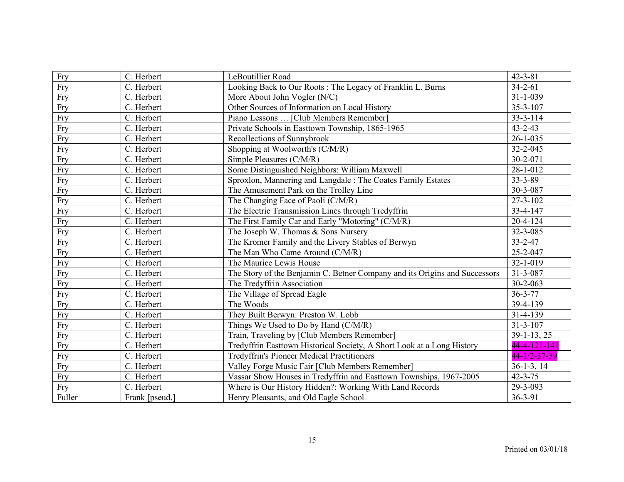| Fry    | C. Herbert     | LeBoutillier Road                                                          | $42 - 3 - 81$  |
|--------|----------------|----------------------------------------------------------------------------|----------------|
| Fry    | C. Herbert     | Looking Back to Our Roots: The Legacy of Franklin L. Burns                 | $34 - 2 - 61$  |
| Fry    | C. Herbert     | More About John Vogler (N/C)                                               | $31 - 1 - 039$ |
| Fry    | C. Herbert     | Other Sources of Information on Local History                              | $35 - 3 - 107$ |
| Fry    | C. Herbert     | Piano Lessons  [Club Members Remember]                                     | $33 - 3 - 114$ |
| Fry    | C. Herbert     | Private Schools in Easttown Township, 1865-1965                            | $43 - 2 - 43$  |
| Fry    | C. Herbert     | Recollections of Sunnybrook                                                | $26 - 1 - 035$ |
| Fry    | C. Herbert     | Shopping at Woolworth's (C/M/R)                                            | 32-2-045       |
| Fry    | C. Herbert     | Simple Pleasures (C/M/R)                                                   | 30-2-071       |
| Fry    | C. Herbert     | Some Distinguished Neighbors: William Maxwell                              | 28-1-012       |
| Fry    | C. Herbert     | Sproxlon, Mannering and Langdale: The Coates Family Estates                | $33 - 3 - 89$  |
| Fry    | C. Herbert     | The Amusement Park on the Trolley Line                                     | 30-3-087       |
| Fry    | C. Herbert     | The Changing Face of Paoli (C/M/R)                                         | $27 - 3 - 102$ |
| Fry    | C. Herbert     | The Electric Transmission Lines through Tredyffrin                         | 33-4-147       |
| Fry    | C. Herbert     | The First Family Car and Early "Motoring" (C/M/R)                          | $20 - 4 - 124$ |
| Fry    | C. Herbert     | The Joseph W. Thomas & Sons Nursery                                        | 32-3-085       |
| Fry    | C. Herbert     | The Kromer Family and the Livery Stables of Berwyn                         | $33 - 2 - 47$  |
| Fry    | C. Herbert     | The Man Who Came Around (C/M/R)                                            | 25-2-047       |
| Fry    | C. Herbert     | The Maurice Lewis House                                                    | 32-1-019       |
| Fry    | C. Herbert     | The Story of the Benjamin C. Betner Company and its Origins and Successors | 31-3-087       |
| Fry    | C. Herbert     | The Tredyffrin Association                                                 | $30 - 2 - 063$ |
| Fry    | C. Herbert     | The Village of Spread Eagle                                                | $36 - 3 - 77$  |
| Fry    | C. Herbert     | The Woods                                                                  | 39-4-139       |
| Fry    | C. Herbert     | They Built Berwyn: Preston W. Lobb                                         | 31-4-139       |
| Fry    | C. Herbert     | Things We Used to Do by Hand (C/M/R)                                       | $31 - 3 - 107$ |
| Fry    | C. Herbert     | Train, Traveling by [Club Members Remember]                                | $39-1-13, 25$  |
| Fry    | C. Herbert     | Tredyffrin Easttown Historical Society, A Short Look at a Long History     | 44-4-121-141   |
| Fry    | C. Herbert     | <b>Tredyffrin's Pioneer Medical Practitioners</b>                          | 44-1/2-37-39   |
| Fry    | C. Herbert     | Valley Forge Music Fair [Club Members Remember]                            | $36-1-3, 14$   |
| Fry    | C. Herbert     | Vassar Show Houses in Tredyffrin and Easttown Townships, 1967-2005         | $42 - 3 - 75$  |
| Fry    | C. Herbert     | Where is Our History Hidden?: Working With Land Records                    | 29-3-093       |
| Fuller | Frank [pseud.] | Henry Pleasants, and Old Eagle School                                      | $36 - 3 - 91$  |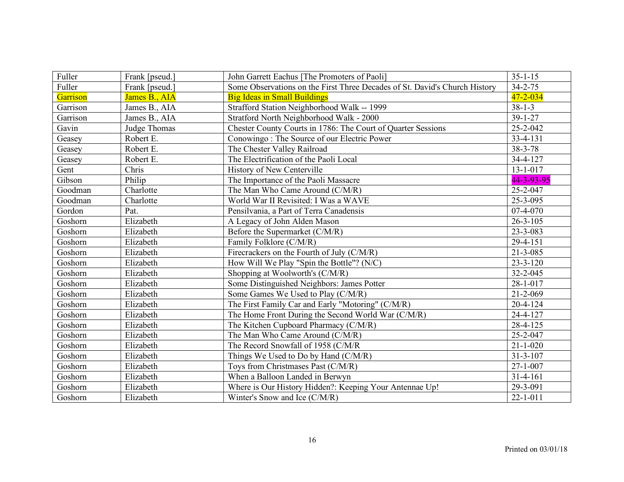| Fuller   | Frank [pseud.] | John Garrett Eachus [The Promoters of Paoli]                               | $35 - 1 - 15$  |
|----------|----------------|----------------------------------------------------------------------------|----------------|
| Fuller   | Frank [pseud.] | Some Observations on the First Three Decades of St. David's Church History | $34 - 2 - 75$  |
| Garrison | James B., AIA  | <b>Big Ideas in Small Buildings</b>                                        | $47 - 2 - 034$ |
| Garrison | James B., AIA  | Strafford Station Neighborhood Walk -- 1999                                | $38 - 1 - 3$   |
| Garrison | James B., AIA  | Stratford North Neighborhood Walk - 2000                                   | $39 - 1 - 27$  |
| Gavin    | Judge Thomas   | Chester County Courts in 1786: The Court of Quarter Sessions               | 25-2-042       |
| Geasey   | Robert E.      | Conowingo: The Source of our Electric Power                                | 33-4-131       |
| Geasey   | Robert E.      | The Chester Valley Railroad                                                | $38 - 3 - 78$  |
| Geasey   | Robert E.      | The Electrification of the Paoli Local                                     | 34-4-127       |
| Gent     | Chris          | <b>History of New Centerville</b>                                          | $13 - 1 - 017$ |
| Gibson   | Philip         | The Importance of the Paoli Massacre                                       | 44-3-93-95     |
| Goodman  | Charlotte      | The Man Who Came Around (C/M/R)                                            | 25-2-047       |
| Goodman  | Charlotte      | World War II Revisited: I Was a WAVE                                       | 25-3-095       |
| Gordon   | Pat.           | Pensilvania, a Part of Terra Canadensis                                    | 07-4-070       |
| Goshorn  | Elizabeth      | A Legacy of John Alden Mason                                               | $26 - 3 - 105$ |
| Goshorn  | Elizabeth      | Before the Supermarket (C/M/R)                                             | 23-3-083       |
| Goshorn  | Elizabeth      | Family Folklore (C/M/R)                                                    | 29-4-151       |
| Goshorn  | Elizabeth      | Firecrackers on the Fourth of July (C/M/R)                                 | $21 - 3 - 085$ |
| Goshorn  | Elizabeth      | How Will We Play "Spin the Bottle"? (N/C)                                  | $23 - 3 - 120$ |
| Goshorn  | Elizabeth      | Shopping at Woolworth's (C/M/R)                                            | 32-2-045       |
| Goshorn  | Elizabeth      | Some Distinguished Neighbors: James Potter                                 | $28 - 1 - 017$ |
| Goshorn  | Elizabeth      | Some Games We Used to Play (C/M/R)                                         | $21 - 2 - 069$ |
| Goshorn  | Elizabeth      | The First Family Car and Early "Motoring" (C/M/R)                          | $20 - 4 - 124$ |
| Goshorn  | Elizabeth      | The Home Front During the Second World War (C/M/R)                         | 24-4-127       |
| Goshorn  | Elizabeth      | The Kitchen Cupboard Pharmacy (C/M/R)                                      | 28-4-125       |
| Goshorn  | Elizabeth      | The Man Who Came Around (C/M/R)                                            | 25-2-047       |
| Goshorn  | Elizabeth      | The Record Snowfall of 1958 (C/M/R                                         | $21 - 1 - 020$ |
| Goshorn  | Elizabeth      | Things We Used to Do by Hand (C/M/R)                                       | $31 - 3 - 107$ |
| Goshorn  | Elizabeth      | Toys from Christmases Past (C/M/R)                                         | $27 - 1 - 007$ |
| Goshorn  | Elizabeth      | When a Balloon Landed in Berwyn                                            | $31 - 4 - 161$ |
| Goshorn  | Elizabeth      | Where is Our History Hidden?: Keeping Your Antennae Up!                    | 29-3-091       |
| Goshorn  | Elizabeth      | Winter's Snow and Ice (C/M/R)                                              | $22 - 1 - 011$ |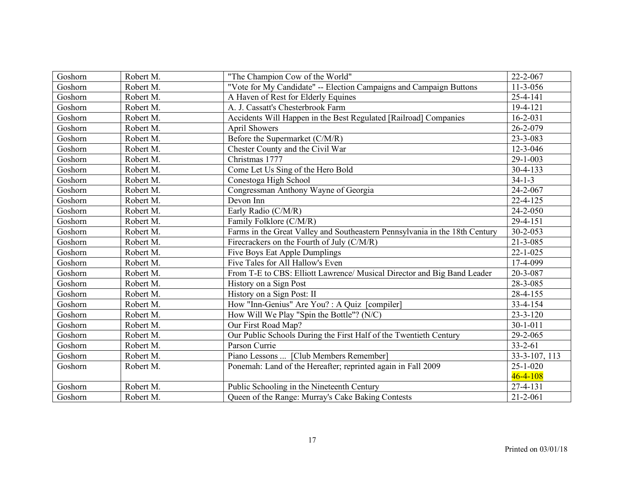| Goshorn | Robert M. | "The Champion Cow of the World"                                             | 22-2-067       |
|---------|-----------|-----------------------------------------------------------------------------|----------------|
| Goshorn | Robert M. | "Vote for My Candidate" -- Election Campaigns and Campaign Buttons          | $11 - 3 - 056$ |
| Goshorn | Robert M. | A Haven of Rest for Elderly Equines                                         | 25-4-141       |
| Goshorn | Robert M. | A. J. Cassatt's Chesterbrook Farm                                           | $19-4-121$     |
| Goshorn | Robert M. | Accidents Will Happen in the Best Regulated [Railroad] Companies            | $16 - 2 - 031$ |
| Goshorn | Robert M. | <b>April Showers</b>                                                        | 26-2-079       |
| Goshorn | Robert M. | Before the Supermarket (C/M/R)                                              | 23-3-083       |
| Goshorn | Robert M. | Chester County and the Civil War                                            | 12-3-046       |
| Goshorn | Robert M. | Christmas 1777                                                              | $29 - 1 - 003$ |
| Goshorn | Robert M. | Come Let Us Sing of the Hero Bold                                           | $30 - 4 - 133$ |
| Goshorn | Robert M. | Conestoga High School                                                       | $34 - 1 - 3$   |
| Goshorn | Robert M. | Congressman Anthony Wayne of Georgia                                        | 24-2-067       |
| Goshorn | Robert M. | Devon Inn                                                                   | $22 - 4 - 125$ |
| Goshorn | Robert M. | Early Radio (C/M/R)                                                         | 24-2-050       |
| Goshorn | Robert M. | Family Folklore (C/M/R)                                                     | $29 - 4 - 151$ |
| Goshorn | Robert M. | Farms in the Great Valley and Southeastern Pennsylvania in the 18th Century | $30 - 2 - 053$ |
| Goshorn | Robert M. | Firecrackers on the Fourth of July (C/M/R)                                  | $21 - 3 - 085$ |
| Goshorn | Robert M. | Five Boys Eat Apple Dumplings                                               | $22 - 1 - 025$ |
| Goshorn | Robert M. | Five Tales for All Hallow's Even                                            | 17-4-099       |
| Goshorn | Robert M. | From T-E to CBS: Elliott Lawrence/ Musical Director and Big Band Leader     | 20-3-087       |
| Goshorn | Robert M. | History on a Sign Post                                                      | 28-3-085       |
| Goshorn | Robert M. | History on a Sign Post: II                                                  | 28-4-155       |
| Goshorn | Robert M. | How "Inn-Genius" Are You? : A Quiz [compiler]                               | 33-4-154       |
| Goshorn | Robert M. | How Will We Play "Spin the Bottle"? (N/C)                                   | $23 - 3 - 120$ |
| Goshorn | Robert M. | Our First Road Map?                                                         | $30 - 1 - 011$ |
| Goshorn | Robert M. | Our Public Schools During the First Half of the Twentieth Century           | 29-2-065       |
| Goshorn | Robert M. | Parson Currie                                                               | $33 - 2 - 61$  |
| Goshorn | Robert M. | Piano Lessons  [Club Members Remember]                                      | 33-3-107, 113  |
| Goshorn | Robert M. | Ponemah: Land of the Hereafter; reprinted again in Fall 2009                | $25 - 1 - 020$ |
|         |           |                                                                             | $46 - 4 - 108$ |
| Goshorn | Robert M. | Public Schooling in the Nineteenth Century                                  | $27 - 4 - 131$ |
| Goshorn | Robert M. | Queen of the Range: Murray's Cake Baking Contests                           | $21 - 2 - 061$ |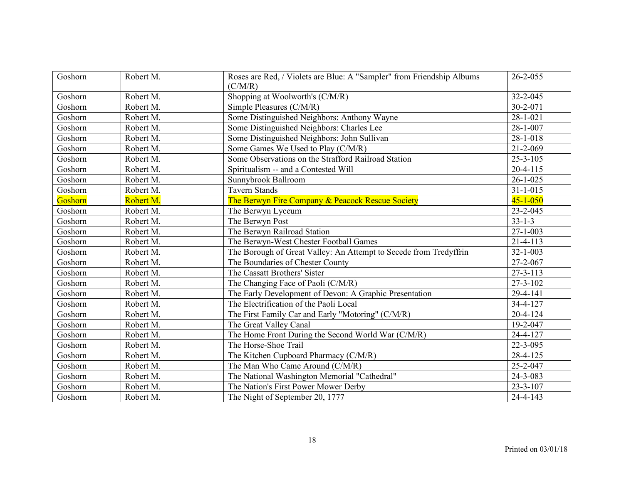| Goshorn | Robert M. | Roses are Red, / Violets are Blue: A "Sampler" from Friendship Albums<br>(C/M/R) | $26 - 2 - 055$         |
|---------|-----------|----------------------------------------------------------------------------------|------------------------|
| Goshorn | Robert M. | Shopping at Woolworth's (C/M/R)                                                  | 32-2-045               |
| Goshorn | Robert M. | Simple Pleasures (C/M/R)                                                         | 30-2-071               |
| Goshorn | Robert M. | Some Distinguished Neighbors: Anthony Wayne                                      | $28 - 1 - 021$         |
| Goshorn | Robert M. | Some Distinguished Neighbors: Charles Lee                                        | $28 - 1 - 007$         |
| Goshorn | Robert M. | Some Distinguished Neighbors: John Sullivan                                      | $28 - 1 - 018$         |
| Goshorn | Robert M. | Some Games We Used to Play (C/M/R)                                               | $21 - 2 - 069$         |
| Goshorn | Robert M. | Some Observations on the Strafford Railroad Station                              | $25 - 3 - 105$         |
| Goshorn | Robert M. | Spiritualism -- and a Contested Will                                             | $20 - 4 - 115$         |
| Goshorn | Robert M. | Sunnybrook Ballroom                                                              | $26 - 1 - 025$         |
| Goshorn | Robert M. | <b>Tavern Stands</b>                                                             | $31 - 1 - 015$         |
| Goshorn | Robert M. | The Berwyn Fire Company & Peacock Rescue Society                                 | $45 - 1 - 050$         |
| Goshorn | Robert M. | The Berwyn Lyceum                                                                | $23 - 2 - 045$         |
| Goshorn | Robert M. | The Berwyn Post                                                                  | $33 - 1 - 3$           |
| Goshorn | Robert M. | The Berwyn Railroad Station                                                      | $27 - 1 - 003$         |
| Goshorn | Robert M. | The Berwyn-West Chester Football Games                                           | $21 - 4 - 113$         |
| Goshorn | Robert M. | The Borough of Great Valley: An Attempt to Secede from Tredyffrin                | $32 - 1 - 003$         |
| Goshorn | Robert M. | The Boundaries of Chester County                                                 | 27-2-067               |
| Goshorn | Robert M. | The Cassatt Brothers' Sister                                                     | $27 - 3 - 113$         |
| Goshorn | Robert M. | The Changing Face of Paoli (C/M/R)                                               | $27 - 3 - 102$         |
| Goshorn | Robert M. | The Early Development of Devon: A Graphic Presentation                           | 29-4-141               |
| Goshorn | Robert M. | The Electrification of the Paoli Local                                           | 34-4-127               |
| Goshorn | Robert M. | The First Family Car and Early "Motoring" (C/M/R)                                | $20 - 4 - 124$         |
| Goshorn | Robert M. | The Great Valley Canal                                                           | 19-2-047               |
| Goshorn | Robert M. | The Home Front During the Second World War (C/M/R)                               | 24-4-127               |
| Goshorn | Robert M. | The Horse-Shoe Trail                                                             | 22-3-095               |
| Goshorn | Robert M. | The Kitchen Cupboard Pharmacy (C/M/R)                                            | 28-4-125               |
| Goshorn | Robert M. | The Man Who Came Around (C/M/R)                                                  | 25-2-047               |
| Goshorn | Robert M. | The National Washington Memorial "Cathedral"                                     | 24-3-083               |
| Goshorn | Robert M. | The Nation's First Power Mower Derby                                             | $23 - 3 - 107$         |
| Goshorn | Robert M. | The Night of September 20, 1777                                                  | $\overline{2}$ 4-4-143 |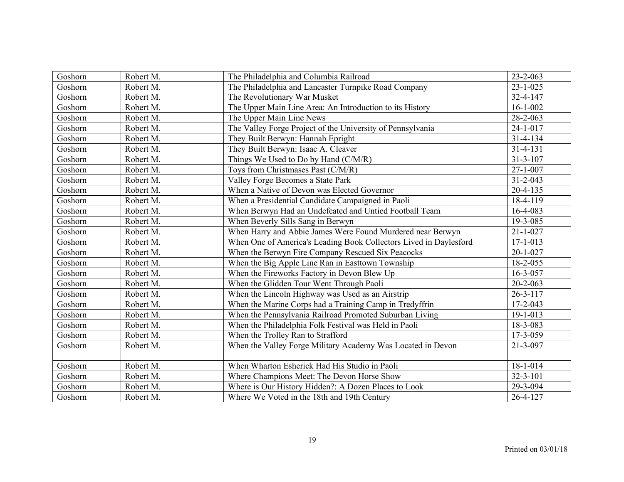| Goshorn | Robert M. | The Philadelphia and Columbia Railroad                            | 23-2-063       |
|---------|-----------|-------------------------------------------------------------------|----------------|
| Goshorn | Robert M. | The Philadelphia and Lancaster Turnpike Road Company              | $23 - 1 - 025$ |
| Goshorn | Robert M. | The Revolutionary War Musket                                      | 32-4-147       |
| Goshorn | Robert M. | The Upper Main Line Area: An Introduction to its History          | $16 - 1 - 002$ |
| Goshorn | Robert M. | The Upper Main Line News                                          | 28-2-063       |
| Goshorn | Robert M. | The Valley Forge Project of the University of Pennsylvania        | $24 - 1 - 017$ |
| Goshorn | Robert M. | They Built Berwyn: Hannah Epright                                 | $31 - 4 - 134$ |
| Goshorn | Robert M. | They Built Berwyn: Isaac A. Cleaver                               | $31 - 4 - 131$ |
| Goshorn | Robert M. | Things We Used to Do by Hand (C/M/R)                              | $31 - 3 - 107$ |
| Goshorn | Robert M. | Toys from Christmases Past (C/M/R)                                | $27 - 1 - 007$ |
| Goshorn | Robert M. | Valley Forge Becomes a State Park                                 | $31 - 2 - 043$ |
| Goshorn | Robert M. | When a Native of Devon was Elected Governor                       | $20 - 4 - 135$ |
| Goshorn | Robert M. | When a Presidential Candidate Campaigned in Paoli                 | 18-4-119       |
| Goshorn | Robert M. | When Berwyn Had an Undefeated and Untied Football Team            | 16-4-083       |
| Goshorn | Robert M. | When Beverly Sills Sang in Berwyn                                 | 19-3-085       |
| Goshorn | Robert M. | When Harry and Abbie James Were Found Murdered near Berwyn        | $21 - 1 - 027$ |
| Goshorn | Robert M. | When One of America's Leading Book Collectors Lived in Daylesford | $17 - 1 - 013$ |
| Goshorn | Robert M. | When the Berwyn Fire Company Rescued Six Peacocks                 | $20 - 1 - 027$ |
| Goshorn | Robert M. | When the Big Apple Line Ran in Easttown Township                  | 18-2-055       |
| Goshorn | Robert M. | When the Fireworks Factory in Devon Blew Up                       | 16-3-057       |
| Goshorn | Robert M. | When the Glidden Tour Went Through Paoli                          | $20 - 2 - 063$ |
| Goshorn | Robert M. | When the Lincoln Highway was Used as an Airstrip                  | $26 - 3 - 117$ |
| Goshorn | Robert M. | When the Marine Corps had a Training Camp in Tredyffrin           | $17 - 2 - 043$ |
| Goshorn | Robert M. | When the Pennsylvania Railroad Promoted Suburban Living           | 19-1-013       |
| Goshorn | Robert M. | When the Philadelphia Folk Festival was Held in Paoli             | 18-3-083       |
| Goshorn | Robert M. | When the Trolley Ran to Strafford                                 | 17-3-059       |
| Goshorn | Robert M. | When the Valley Forge Military Academy Was Located in Devon       | $21 - 3 - 097$ |
|         |           |                                                                   |                |
| Goshorn | Robert M. | When Wharton Esherick Had His Studio in Paoli                     | $18 - 1 - 014$ |
| Goshorn | Robert M. | Where Champions Meet: The Devon Horse Show                        | $32 - 3 - 101$ |
| Goshorn | Robert M. | Where is Our History Hidden?: A Dozen Places to Look              | 29-3-094       |
| Goshorn | Robert M. | Where We Voted in the 18th and 19th Century                       | $26 - 4 - 127$ |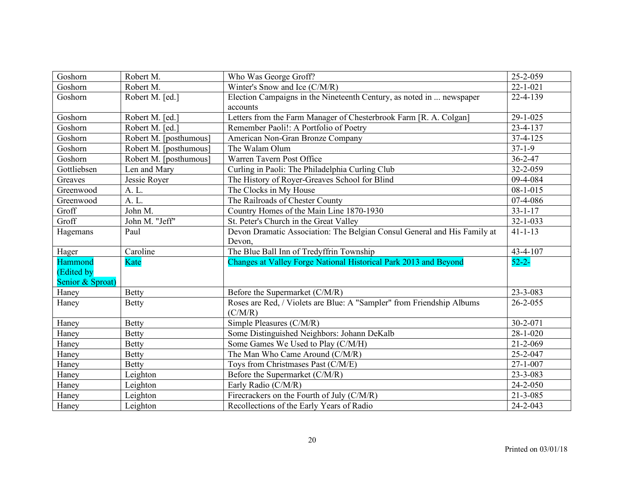| Goshorn          | Robert M.              | Who Was George Groff?                                                    | 25-2-059       |
|------------------|------------------------|--------------------------------------------------------------------------|----------------|
| Goshorn          | Robert M.              | Winter's Snow and Ice (C/M/R)                                            | $22 - 1 - 021$ |
| Goshorn          | Robert M. [ed.]        | Election Campaigns in the Nineteenth Century, as noted in  newspaper     | 22-4-139       |
|                  |                        | accounts                                                                 |                |
| Goshorn          | Robert M. [ed.]        | Letters from the Farm Manager of Chesterbrook Farm [R. A. Colgan]        | 29-1-025       |
| Goshorn          | Robert M. [ed.]        | Remember Paoli!: A Portfolio of Poetry                                   | 23-4-137       |
| Goshorn          | Robert M. [posthumous] | American Non-Gran Bronze Company                                         | $37-4-125$     |
| Goshorn          | Robert M. [posthumous] | The Walam Olum                                                           | $37-1-9$       |
| Goshorn          | Robert M. [posthumous] | Warren Tavern Post Office                                                | $36 - 2 - 47$  |
| Gottliebsen      | Len and Mary           | Curling in Paoli: The Philadelphia Curling Club                          | 32-2-059       |
| Greaves          | Jessie Royer           | The History of Royer-Greaves School for Blind                            | 09-4-084       |
| Greenwood        | A. L.                  | The Clocks in My House                                                   | $08 - 1 - 015$ |
| Greenwood        | A. L.                  | The Railroads of Chester County                                          | 07-4-086       |
| Groff            | John M.                | Country Homes of the Main Line 1870-1930                                 | $33 - 1 - 17$  |
| Groff            | John M. "Jeff"         | St. Peter's Church in the Great Valley                                   | $32 - 1 - 033$ |
| Hagemans         | Paul                   | Devon Dramatic Association: The Belgian Consul General and His Family at | $41 - 1 - 13$  |
|                  |                        | Devon,                                                                   |                |
| Hager            | Caroline               | The Blue Ball Inn of Tredyffrin Township                                 | 43-4-107       |
| Hammond          | Kate                   | Changes at Valley Forge National Historical Park 2013 and Beyond         | $52 - 2 -$     |
| (Edited by       |                        |                                                                          |                |
| Senior & Sproat) |                        |                                                                          |                |
| Haney            | <b>Betty</b>           | Before the Supermarket (C/M/R)                                           | 23-3-083       |
| Haney            | <b>Betty</b>           | Roses are Red, / Violets are Blue: A "Sampler" from Friendship Albums    | $26 - 2 - 055$ |
|                  |                        | (C/M/R)                                                                  |                |
| Haney            | <b>Betty</b>           | Simple Pleasures (C/M/R)                                                 | $30 - 2 - 071$ |
| Haney            | <b>Betty</b>           | Some Distinguished Neighbors: Johann DeKalb                              | $28 - 1 - 020$ |
| Haney            | <b>Betty</b>           | Some Games We Used to Play (C/M/H)                                       | $21 - 2 - 069$ |
| Haney            | <b>Betty</b>           | The Man Who Came Around (C/M/R)                                          | 25-2-047       |
| Haney            | <b>Betty</b>           | Toys from Christmases Past (C/M/E)                                       | $27 - 1 - 007$ |
| Haney            | Leighton               | Before the Supermarket (C/M/R)                                           | 23-3-083       |
| Haney            | Leighton               | Early Radio (C/M/R)                                                      | 24-2-050       |
| Haney            | Leighton               | Firecrackers on the Fourth of July (C/M/R)                               | 21-3-085       |
| Haney            | Leighton               | Recollections of the Early Years of Radio                                | 24-2-043       |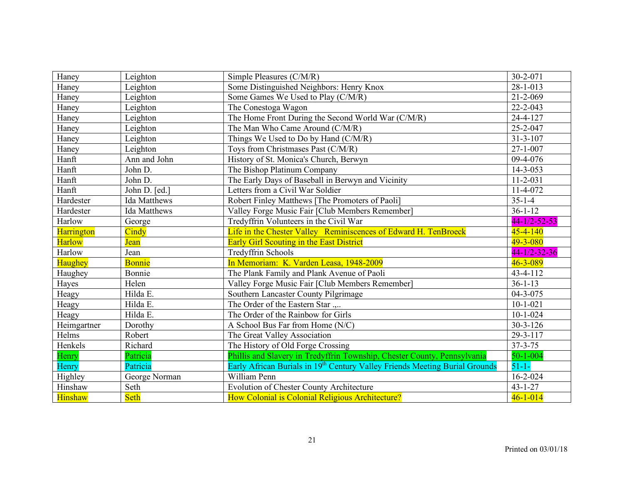| Haney          | Leighton            | Simple Pleasures (C/M/R)                                                                | 30-2-071             |
|----------------|---------------------|-----------------------------------------------------------------------------------------|----------------------|
| Haney          | Leighton            | Some Distinguished Neighbors: Henry Knox                                                | $28 - 1 - 013$       |
| Haney          | Leighton            | Some Games We Used to Play (C/M/R)                                                      | $21 - 2 - 069$       |
| Haney          | Leighton            | The Conestoga Wagon                                                                     | 22-2-043             |
| Haney          | Leighton            | The Home Front During the Second World War (C/M/R)                                      | 24-4-127             |
| Haney          | Leighton            | The Man Who Came Around (C/M/R)                                                         | 25-2-047             |
| Haney          | Leighton            | Things We Used to Do by Hand (C/M/R)                                                    | $31 - 3 - 107$       |
| Haney          | Leighton            | Toys from Christmases Past (C/M/R)                                                      | $27 - 1 - 007$       |
| Hanft          | Ann and John        | History of St. Monica's Church, Berwyn                                                  | 09-4-076             |
| Hanft          | John D.             | The Bishop Platinum Company                                                             | $14 - 3 - 053$       |
| Hanft          | John D.             | The Early Days of Baseball in Berwyn and Vicinity                                       | $11 - 2 - 031$       |
| Hanft          | John D. [ed.]       | Letters from a Civil War Soldier                                                        | 11-4-072             |
| Hardester      | <b>Ida Matthews</b> | Robert Finley Matthews [The Promoters of Paoli]                                         | $35 - 1 - 4$         |
| Hardester      | <b>Ida Matthews</b> | Valley Forge Music Fair [Club Members Remember]                                         | $36 - 1 - 12$        |
| Harlow         | George              | Tredyffrin Volunteers in the Civil War                                                  | $44 - 1/2 - 52 - 53$ |
| Harrington     | Cindy               | Life in the Chester Valley Reminiscences of Edward H. TenBroeck                         | $45 - 4 - 140$       |
| <b>Harlow</b>  | <b>Jean</b>         | <b>Early Girl Scouting in the East District</b>                                         | 49-3-080             |
| Harlow         | Jean                | <b>Tredyffrin Schools</b>                                                               | $44 - 1/2 - 32 - 36$ |
| Haughey        | <b>Bonnie</b>       | In Memoriam: K. Varden Leasa, 1948-2009                                                 | $46 - 3 - 089$       |
| Haughey        | Bonnie              | The Plank Family and Plank Avenue of Paoli                                              | 43-4-112             |
| Hayes          | Helen               | Valley Forge Music Fair [Club Members Remember]                                         | $36 - 1 - 13$        |
| Heagy          | Hilda E.            | Southern Lancaster County Pilgrimage                                                    | $04 - 3 - 075$       |
| Heagy          | Hilda E.            | The Order of the Eastern Star                                                           | $10-1-021$           |
| Heagy          | Hilda E.            | The Order of the Rainbow for Girls                                                      | $10 - 1 - 024$       |
| Heimgartner    | Dorothy             | A School Bus Far from Home (N/C)                                                        | $30 - 3 - 126$       |
| Helms          | Robert              | The Great Valley Association                                                            | 29-3-117             |
| Henkels        | Richard             | The History of Old Forge Crossing                                                       | $37 - 3 - 75$        |
| Henry          | Patricia            | Phillis and Slavery in Tredyffrin Township, Chester County, Pennsylvania                | $50 - 1 - 004$       |
| Henry          | Patricia            | Early African Burials in 19 <sup>th</sup> Century Valley Friends Meeting Burial Grounds | $51 - 1 -$           |
| Highley        | George Norman       | William Penn                                                                            | $16 - 2 - 024$       |
| Hinshaw        | Seth                | <b>Evolution of Chester County Architecture</b>                                         | $43 - 1 - 27$        |
| <b>Hinshaw</b> | Seth                | How Colonial is Colonial Religious Architecture?                                        | $46 - 1 - 014$       |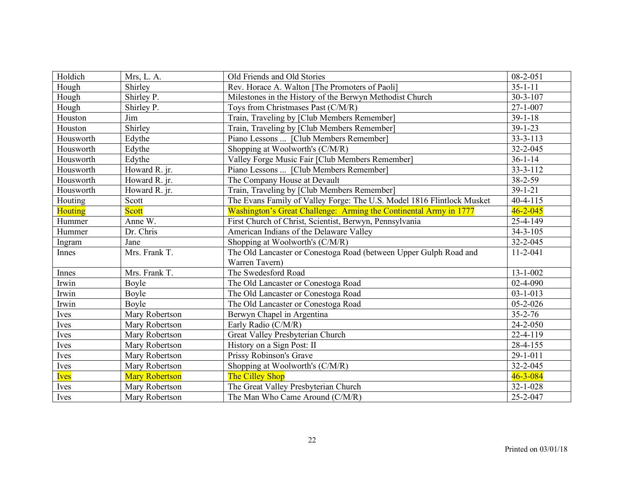| Holdich        | Mrs, L. A.            | Old Friends and Old Stories                                            | $08 - 2 - 051$ |
|----------------|-----------------------|------------------------------------------------------------------------|----------------|
| Hough          | Shirley               | Rev. Horace A. Walton [The Promoters of Paoli]                         | $35 - 1 - 11$  |
| Hough          | Shirley P.            | Milestones in the History of the Berwyn Methodist Church               | $30 - 3 - 107$ |
| Hough          | Shirley P.            | Toys from Christmases Past (C/M/R)                                     | $27 - 1 - 007$ |
| Houston        | Jim                   | Train, Traveling by [Club Members Remember]                            | $39 - 1 - 18$  |
| Houston        | Shirley               | Train, Traveling by [Club Members Remember]                            | $39 - 1 - 23$  |
| Housworth      | Edythe                | Piano Lessons  [Club Members Remember]                                 | $33 - 3 - 113$ |
| Housworth      | Edythe                | Shopping at Woolworth's (C/M/R)                                        | 32-2-045       |
| Housworth      | Edythe                | Valley Forge Music Fair [Club Members Remember]                        | $36 - 1 - 14$  |
| Housworth      | Howard R. jr.         | Piano Lessons  [Club Members Remember]                                 | $33 - 3 - 112$ |
| Housworth      | Howard R. jr.         | The Company House at Devault                                           | 38-2-59        |
| Housworth      | Howard R. jr.         | Train, Traveling by [Club Members Remember]                            | $39 - 1 - 21$  |
| Houting        | Scott                 | The Evans Family of Valley Forge: The U.S. Model 1816 Flintlock Musket | $40 - 4 - 115$ |
| <b>Houting</b> | <b>Scott</b>          | Washington's Great Challenge: Arming the Continental Army in 1777      | $46 - 2 - 045$ |
| Hummer         | Anne W.               | First Church of Christ, Scientist, Berwyn, Pennsylvania                | 25-4-149       |
| Hummer         | Dr. Chris             | American Indians of the Delaware Valley                                | $34 - 3 - 105$ |
| Ingram         | Jane                  | Shopping at Woolworth's (C/M/R)                                        | 32-2-045       |
| Innes          | Mrs. Frank T.         | The Old Lancaster or Conestoga Road (between Upper Gulph Road and      | $11 - 2 - 041$ |
|                |                       | Warren Tavern)                                                         |                |
| Innes          | Mrs. Frank T.         | The Swedesford Road                                                    | $13 - 1 - 002$ |
| Irwin          | Boyle                 | The Old Lancaster or Conestoga Road                                    | 02-4-090       |
| Irwin          | Boyle                 | The Old Lancaster or Conestoga Road                                    | $03 - 1 - 013$ |
| Irwin          | Boyle                 | The Old Lancaster or Conestoga Road                                    | $05 - 2 - 026$ |
| Ives           | Mary Robertson        | Berwyn Chapel in Argentina                                             | $35 - 2 - 76$  |
| Ives           | Mary Robertson        | Early Radio (C/M/R)                                                    | $24 - 2 - 050$ |
| Ives           | Mary Robertson        | Great Valley Presbyterian Church                                       | $22 - 4 - 119$ |
| Ives           | Mary Robertson        | History on a Sign Post: II                                             | 28-4-155       |
| Ives           | Mary Robertson        | Prissy Robinson's Grave                                                | 29-1-011       |
| Ives           | Mary Robertson        | Shopping at Woolworth's (C/M/R)                                        | 32-2-045       |
| <b>Ives</b>    | <b>Mary Robertson</b> | <b>The Cilley Shop</b>                                                 | $46 - 3 - 084$ |
| Ives           | Mary Robertson        | The Great Valley Presbyterian Church                                   | $32 - 1 - 028$ |
| Ives           | Mary Robertson        | The Man Who Came Around (C/M/R)                                        | 25-2-047       |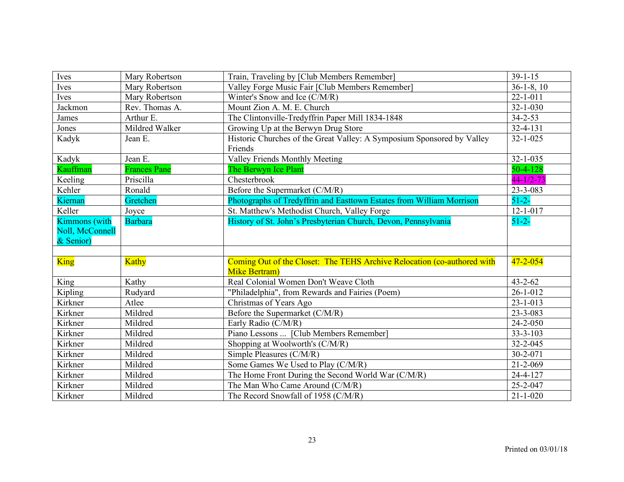| Ives                 | Mary Robertson      | Train, Traveling by [Club Members Remember]                                           | $39 - 1 - 15$   |
|----------------------|---------------------|---------------------------------------------------------------------------------------|-----------------|
| Ives                 | Mary Robertson      | Valley Forge Music Fair [Club Members Remember]                                       | $36-1-8$ , 10   |
| Ives                 | Mary Robertson      | Winter's Snow and Ice (C/M/R)                                                         | $22 - 1 - 011$  |
| Jackmon              | Rev. Thomas A.      | Mount Zion A. M. E. Church                                                            | $32 - 1 - 030$  |
| James                | Arthur E.           | The Clintonville-Tredyffrin Paper Mill 1834-1848                                      | $34 - 2 - 53$   |
| Jones                | Mildred Walker      | Growing Up at the Berwyn Drug Store                                                   | $32 - 4 - 131$  |
| Kadyk                | Jean E.             | Historic Churches of the Great Valley: A Symposium Sponsored by Valley<br>Friends     | $32 - 1 - 025$  |
| Kadyk                | Jean E.             | Valley Friends Monthly Meeting                                                        | $32 - 1 - 035$  |
| Kauffman             | <b>Frances Pane</b> | The Berwyn Ice Plant                                                                  | $50 - 4 - 128$  |
| Keeling              | Priscilla           | Chesterbrook                                                                          | $44 - 1/2 - 73$ |
| Kehler               | Ronald              | Before the Supermarket (C/M/R)                                                        | 23-3-083        |
| Kiernan              | Gretchen            | Photographs of Tredyffrin and Easttown Estates from William Morrison                  | $51 - 2 -$      |
| Keller               | Joyce               | St. Matthew's Methodist Church, Valley Forge                                          | $12 - 1 - 017$  |
| <b>Kimmons</b> (with | <b>Barbara</b>      | History of St. John's Presbyterian Church, Devon, Pennsylvania                        | $51 - 2 -$      |
| Noll, McConnell      |                     |                                                                                       |                 |
| & Senior)            |                     |                                                                                       |                 |
|                      |                     |                                                                                       |                 |
| King                 | <b>Kathy</b>        | Coming Out of the Closet: The TEHS Archive Relocation (co-authored with               | $47 - 2 - 054$  |
|                      |                     | <b>Mike Bertram</b> )                                                                 |                 |
| King                 | Kathy               | Real Colonial Women Don't Weave Cloth                                                 | $43 - 2 - 62$   |
| Kipling              | Rudyard             | "Philadelphia", from Rewards and Fairies (Poem)                                       | $26 - 1 - 012$  |
| Kirkner              | Atlee               | Christmas of Years Ago                                                                | $23 - 1 - 013$  |
| Kirkner              | Mildred             | Before the Supermarket (C/M/R)                                                        | 23-3-083        |
| Kirkner              |                     |                                                                                       |                 |
| Kirkner              | Mildred             | Early Radio (C/M/R)                                                                   | $24 - 2 - 050$  |
|                      | Mildred             | Piano Lessons  [Club Members Remember]                                                | $33 - 3 - 103$  |
| Kirkner              | Mildred             | Shopping at Woolworth's (C/M/R)                                                       | 32-2-045        |
| Kirkner              | Mildred             | Simple Pleasures (C/M/R)                                                              | 30-2-071        |
| Kirkner              | Mildred             | Some Games We Used to Play (C/M/R)                                                    | $21 - 2 - 069$  |
| Kirkner              | Mildred             |                                                                                       | 24-4-127        |
| Kirkner              | Mildred             | The Home Front During the Second World War (C/M/R)<br>The Man Who Came Around (C/M/R) | 25-2-047        |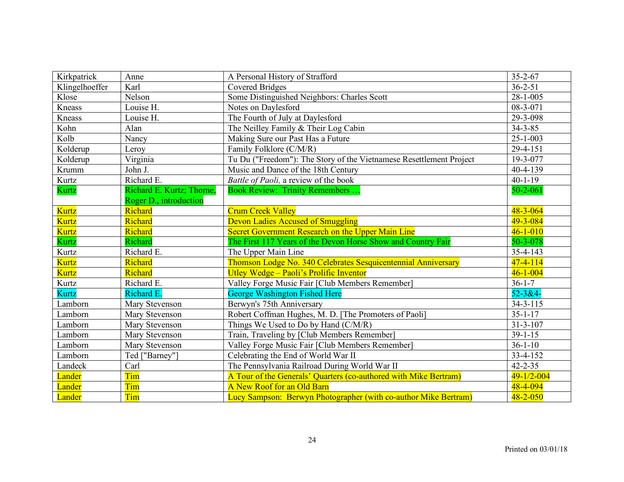| Kirkpatrick    | Anne                          | A Personal History of Strafford                                     | $35 - 2 - 67$    |
|----------------|-------------------------------|---------------------------------------------------------------------|------------------|
| Klingelhoeffer | Karl                          | <b>Covered Bridges</b>                                              | $36 - 2 - 51$    |
| Klose          | Nelson                        | Some Distinguished Neighbors: Charles Scott                         | $28 - 1 - 005$   |
| Kneass         | Louise H.                     | Notes on Daylesford                                                 | 08-3-071         |
| Kneass         | Louise H.                     | The Fourth of July at Daylesford                                    | 29-3-098         |
| Kohn           | Alan                          | The Neilley Family & Their Log Cabin                                | $34 - 3 - 85$    |
| Kolb           | Nancy                         | Making Sure our Past Has a Future                                   | $25 - 1 - 003$   |
| Kolderup       | Leroy                         | Family Folklore (C/M/R)                                             | 29-4-151         |
| Kolderup       | Virginia                      | Tu Du ("Freedom"): The Story of the Vietnamese Resettlement Project | 19-3-077         |
| Krumm          | John J.                       | Music and Dance of the 18th Century                                 | 40-4-139         |
| Kurtz          | Richard E.                    | Battle of Paoli, a review of the book                               | $40 - 1 - 19$    |
| Kurtz          | Richard E. Kurtz; Thorne,     | <b>Book Review: Trinity Remembers</b>                               | $50 - 2 - 061$   |
|                | <b>Roger D., introduction</b> |                                                                     |                  |
| <b>Kurtz</b>   | Richard                       | <b>Crum Creek Valley</b>                                            | $48 - 3 - 064$   |
| <b>Kurtz</b>   | Richard                       | <b>Devon Ladies Accused of Smuggling</b>                            | 49-3-084         |
| <b>Kurtz</b>   | Richard                       | Secret Government Research on the Upper Main Line                   | $46 - 1 - 010$   |
| Kurtz          | Richard                       | The First 117 Years of the Devon Horse Show and Country Fair        | 50-3-078         |
| Kurtz          | Richard E.                    | The Upper Main Line                                                 | $35 - 4 - 143$   |
| <b>Kurtz</b>   | Richard                       | Thomson Lodge No. 340 Celebrates Sesquicentennial Anniversary       | $47 - 4 - 114$   |
| <b>Kurtz</b>   | Richard                       | Utley Wedge - Paoli's Prolific Inventor                             | $46 - 1 - 004$   |
| Kurtz          | Richard E.                    | Valley Forge Music Fair [Club Members Remember]                     | $36 - 1 - 7$     |
| Kurtz          | Richard E.                    | <b>George Washington Fished Here</b>                                | $52 - 3 & 4 -$   |
| Lamborn        | Mary Stevenson                | Berwyn's 75th Anniversary                                           | $34 - 3 - 115$   |
| Lamborn        | Mary Stevenson                | Robert Coffman Hughes, M. D. [The Promoters of Paoli]               | $35 - 1 - 17$    |
| Lamborn        | Mary Stevenson                | Things We Used to Do by Hand (C/M/R)                                | $31 - 3 - 107$   |
| Lamborn        | Mary Stevenson                | Train, Traveling by [Club Members Remember]                         | $39 - 1 - 15$    |
| Lamborn        | Mary Stevenson                | Valley Forge Music Fair [Club Members Remember]                     | $36 - 1 - 10$    |
| Lamborn        | Ted ["Barney"]                | Celebrating the End of World War II                                 | 33-4-152         |
| Landeck        | Carl                          | The Pennsylvania Railroad During World War II                       | $42 - 2 - 35$    |
| Lander         | Tim                           | A Tour of the Generals' Quarters (co-authored with Mike Bertram)    | $49 - 1/2 - 004$ |
| Lander         | Tim                           | A New Roof for an Old Barn                                          | 48-4-094         |
| Lander         | Tim                           | Lucy Sampson: Berwyn Photographer (with co-author Mike Bertram)     | $48 - 2 - 050$   |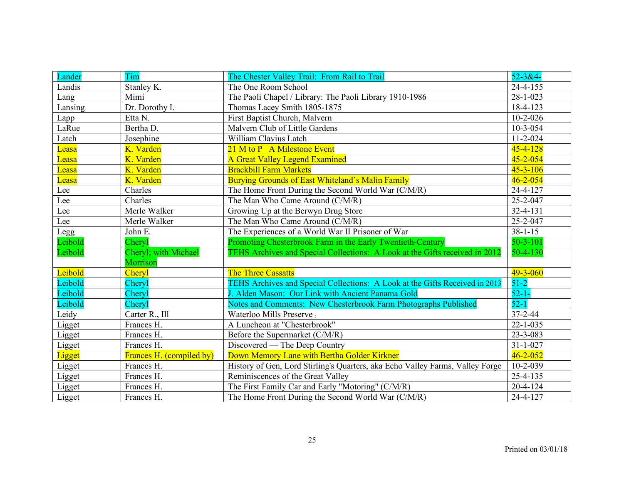| Lander  | Tim                              | The Chester Valley Trail: From Rail to Trail                                  | $52 - 3 & 4 -$ |
|---------|----------------------------------|-------------------------------------------------------------------------------|----------------|
| Landis  | Stanley K.                       | The One Room School                                                           | $24 - 4 - 155$ |
| Lang    | Mimi                             | The Paoli Chapel / Library: The Paoli Library 1910-1986                       | $28 - 1 - 023$ |
| Lansing | Dr. Dorothy I.                   | Thomas Lacey Smith 1805-1875                                                  | 18-4-123       |
| Lapp    | Etta N.                          | First Baptist Church, Malvern                                                 | $10 - 2 - 026$ |
| LaRue   | Bertha D.                        | Malvern Club of Little Gardens                                                | $10 - 3 - 054$ |
| Latch   | Josephine                        | William Clavius Latch                                                         | $11 - 2 - 024$ |
| Leasa   | K. Varden                        | 21 M to P A Milestone Event                                                   | $45 - 4 - 128$ |
| Leasa   | K. Varden                        | <b>A Great Valley Legend Examined</b>                                         | $45 - 2 - 054$ |
| Leasa   | K. Varden                        | <b>Brackbill Farm Markets</b>                                                 | $45 - 3 - 106$ |
| Leasa   | K. Varden                        | <b>Burying Grounds of East Whiteland's Malin Family</b>                       | $46 - 2 - 054$ |
| Lee     | Charles                          | The Home Front During the Second World War (C/M/R)                            | 24-4-127       |
| Lee     | Charles                          | The Man Who Came Around (C/M/R)                                               | 25-2-047       |
| Lee     | Merle Walker                     | Growing Up at the Berwyn Drug Store                                           | 32-4-131       |
| Lee     | Merle Walker                     | The Man Who Came Around (C/M/R)                                               | 25-2-047       |
| Legg    | John E.                          | The Experiences of a World War II Prisoner of War                             | $38 - 1 - 15$  |
| Leibold | Cheryl                           | Promoting Chesterbrook Farm in the Early Twentieth-Century                    | $50 - 3 - 101$ |
| Leibold | Cheryl; with Michael<br>Morrison | TEHS Archives and Special Collections: A Look at the Gifts received in 2012   | $50 - 4 - 130$ |
| Leibold | Cheryl                           | <b>The Three Cassatts</b>                                                     | $49 - 3 - 060$ |
| Leibold | Cheryl                           | TEHS Archives and Special Collections: A Look at the Gifts Received in 2013   | $51-2$         |
| Leibold | Cheryl                           | J. Alden Mason: Our Link with Ancient Panama Gold                             | $52 - 1 -$     |
| Leibold | Cheryl                           | Notes and Comments: New Chesterbrook Farm Photographs Published               | $52 - 1$       |
| Leidy   | Carter R., Ill                   | <b>Waterloo Mills Preserve</b>                                                | 37-2-44        |
| Ligget  | Frances H.                       | A Luncheon at "Chesterbrook"                                                  | $22 - 1 - 035$ |
| Ligget  | Frances H.                       | Before the Supermarket (C/M/R)                                                | 23-3-083       |
| Ligget  | Frances H.                       | Discovered — The Deep Country                                                 | $31 - 1 - 027$ |
| Ligget  | Frances H. (compiled by)         | Down Memory Lane with Bertha Golder Kirkner                                   | $46 - 2 - 052$ |
| Ligget  | Frances H.                       | History of Gen, Lord Stirling's Quarters, aka Echo Valley Farms, Valley Forge | $10 - 2 - 039$ |
| Ligget  | Frances H.                       | Reminiscences of the Great Valley                                             | 25-4-135       |
| Ligget  | Frances H.                       | The First Family Car and Early "Motoring" (C/M/R)                             | $20 - 4 - 124$ |
| Ligget  | Frances H.                       | The Home Front During the Second World War (C/M/R)                            | 24-4-127       |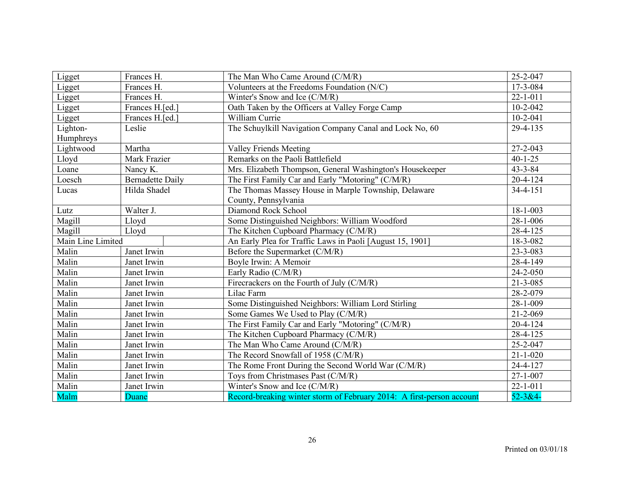| Ligget            | Frances H.              | The Man Who Came Around (C/M/R)                                       | 25-2-047       |
|-------------------|-------------------------|-----------------------------------------------------------------------|----------------|
| Ligget            | Frances H.              | Volunteers at the Freedoms Foundation (N/C)                           | 17-3-084       |
| Ligget            | Frances H.              | Winter's Snow and Ice (C/M/R)                                         | $22 - 1 - 011$ |
| Ligget            | Frances H.[ed.]         | Oath Taken by the Officers at Valley Forge Camp                       | $10 - 2 - 042$ |
| Ligget            | Frances H.[ed.]         | William Currie                                                        | $10-2-041$     |
| Lighton-          | Leslie                  | The Schuylkill Navigation Company Canal and Lock No, 60               | 29-4-135       |
| Humphreys         |                         |                                                                       |                |
| Lightwood         | Martha                  | <b>Valley Friends Meeting</b>                                         | 27-2-043       |
| Lloyd             | Mark Frazier            | Remarks on the Paoli Battlefield                                      | $40 - 1 - 25$  |
| Loane             | Nancy K.                | Mrs. Elizabeth Thompson, General Washington's Housekeeper             | $43 - 3 - 84$  |
| Loesch            | <b>Bernadette Daily</b> | The First Family Car and Early "Motoring" (C/M/R)                     | $20 - 4 - 124$ |
| Lucas             | Hilda Shadel            | The Thomas Massey House in Marple Township, Delaware                  | $34 - 4 - 151$ |
|                   |                         | County, Pennsylvania                                                  |                |
| Lutz              | Walter J.               | Diamond Rock School                                                   | 18-1-003       |
| Magill            | Lloyd                   | Some Distinguished Neighbors: William Woodford                        | 28-1-006       |
| Magill            | Lloyd                   | The Kitchen Cupboard Pharmacy (C/M/R)                                 | 28-4-125       |
| Main Line Limited |                         | An Early Plea for Traffic Laws in Paoli [August 15, 1901]             | 18-3-082       |
| Malin             | Janet Irwin             | Before the Supermarket (C/M/R)                                        | 23-3-083       |
| Malin             | Janet Irwin             | Boyle Irwin: A Memoir                                                 | 28-4-149       |
| Malin             | Janet Irwin             | Early Radio (C/M/R)                                                   | 24-2-050       |
| Malin             | Janet Irwin             | Firecrackers on the Fourth of July (C/M/R)                            | $21 - 3 - 085$ |
| Malin             | Janet Irwin             | Lilac Farm                                                            | 28-2-079       |
| Malin             | Janet Irwin             | Some Distinguished Neighbors: William Lord Stirling                   | 28-1-009       |
| Malin             | Janet Irwin             | Some Games We Used to Play (C/M/R)                                    | 21-2-069       |
| Malin             | Janet Irwin             | The First Family Car and Early "Motoring" (C/M/R)                     | $20 - 4 - 124$ |
| Malin             | Janet Irwin             | The Kitchen Cupboard Pharmacy (C/M/R)                                 | $28 - 4 - 125$ |
| Malin             | Janet Irwin             | The Man Who Came Around (C/M/R)                                       | 25-2-047       |
| Malin             | Janet Irwin             | The Record Snowfall of 1958 (C/M/R)                                   | $21 - 1 - 020$ |
| Malin             | Janet Irwin             | The Rome Front During the Second World War (C/M/R)                    | 24-4-127       |
| Malin             | Janet Irwin             | Toys from Christmases Past (C/M/R)                                    | $27 - 1 - 007$ |
| Malin             | Janet Irwin             | Winter's Snow and Ice (C/M/R)                                         | $22 - 1 - 011$ |
| Malm              | Duane                   | Record-breaking winter storm of February 2014: A first-person account | $52 - 3 &4 -$  |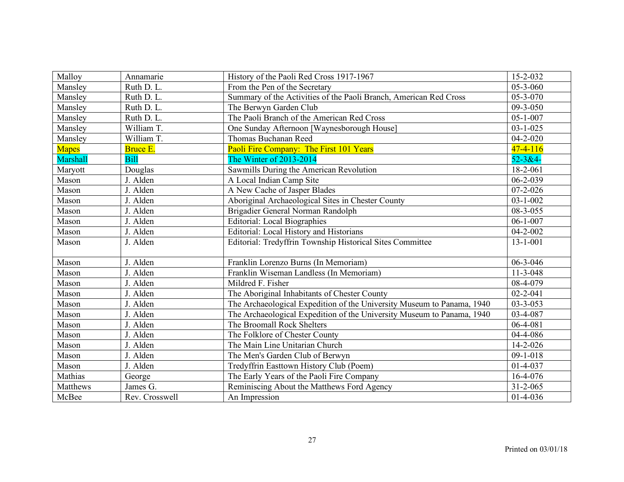| Malloy          | Annamarie       | History of the Paoli Red Cross 1917-1967                               | 15-2-032       |
|-----------------|-----------------|------------------------------------------------------------------------|----------------|
| Mansley         | Ruth D. L.      | From the Pen of the Secretary                                          | 05-3-060       |
| Mansley         | Ruth D. L.      | Summary of the Activities of the Paoli Branch, American Red Cross      | $05 - 3 - 070$ |
| Mansley         | Ruth D. L.      | The Berwyn Garden Club                                                 | 09-3-050       |
| Mansley         | Ruth D. L.      | The Paoli Branch of the American Red Cross                             | $05 - 1 - 007$ |
| Mansley         | William T.      | One Sunday Afternoon [Waynesborough House]                             | $03 - 1 - 025$ |
| Mansley         | William T.      | Thomas Buchanan Reed                                                   | $04 - 2 - 020$ |
| <b>Mapes</b>    | <b>Bruce E.</b> | Paoli Fire Company: The First 101 Years                                | $47 - 4 - 116$ |
| <b>Marshall</b> | <b>Bill</b>     | The Winter of 2013-2014                                                | $52 - 3 & 4 -$ |
| Maryott         | Douglas         | Sawmills During the American Revolution                                | $18 - 2 - 061$ |
| Mason           | J. Alden        | A Local Indian Camp Site                                               | $06 - 2 - 039$ |
| Mason           | J. Alden        | A New Cache of Jasper Blades                                           | $07 - 2 - 026$ |
| Mason           | J. Alden        | Aboriginal Archaeological Sites in Chester County                      | $03 - 1 - 002$ |
| Mason           | J. Alden        | Brigadier General Norman Randolph                                      | 08-3-055       |
| Mason           | J. Alden        | <b>Editorial: Local Biographies</b>                                    | $06 - 1 - 007$ |
| Mason           | J. Alden        | Editorial: Local History and Historians                                | $04 - 2 - 002$ |
| Mason           | J. Alden        | Editorial: Tredyffrin Township Historical Sites Committee              | $13 - 1 - 001$ |
|                 |                 |                                                                        |                |
| Mason           | J. Alden        | Franklin Lorenzo Burns (In Memoriam)                                   | 06-3-046       |
| Mason           | J. Alden        | Franklin Wiseman Landless (In Memoriam)                                | $11-3-048$     |
| Mason           | J. Alden        | Mildred F. Fisher                                                      | 08-4-079       |
| Mason           | J. Alden        | The Aboriginal Inhabitants of Chester County                           | $02 - 2 - 041$ |
| Mason           | J. Alden        | The Archaeological Expedition of the University Museum to Panama, 1940 | $03 - 3 - 053$ |
| Mason           | J. Alden        | The Archaeological Expedition of the University Museum to Panama, 1940 | 03-4-087       |
| Mason           | J. Alden        | The Broomall Rock Shelters                                             | $06 - 4 - 081$ |
| Mason           | J. Alden        | The Folklore of Chester County                                         | 04-4-086       |
| Mason           | J. Alden        | The Main Line Unitarian Church                                         | 14-2-026       |
| Mason           | J. Alden        | The Men's Garden Club of Berwyn                                        | $09-1-018$     |
| Mason           | J. Alden        | Tredyffrin Easttown History Club (Poem)                                | $01 - 4 - 037$ |
| Mathias         | George          | The Early Years of the Paoli Fire Company                              | 16-4-076       |
| Matthews        | James G.        | Reminiscing About the Matthews Ford Agency                             | $31 - 2 - 065$ |
| McBee           | Rev. Crosswell  | An Impression                                                          | $01-4-036$     |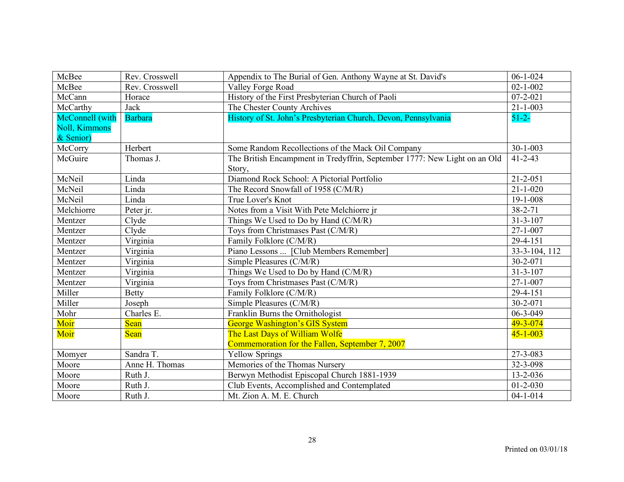| McBee                 | Rev. Crosswell | Appendix to The Burial of Gen. Anthony Wayne at St. David's               | $06-1-024$     |
|-----------------------|----------------|---------------------------------------------------------------------------|----------------|
| McBee                 | Rev. Crosswell | Valley Forge Road                                                         | $02 - 1 - 002$ |
| McCann                | Horace         | History of the First Presbyterian Church of Paoli                         | $07 - 2 - 021$ |
| McCarthy              | <b>Jack</b>    | The Chester County Archives                                               | $21 - 1 - 003$ |
| McConnell (with       | <b>Barbara</b> | History of St. John's Presbyterian Church, Devon, Pennsylvania            | $51 - 2 -$     |
| <b>Noll</b> , Kimmons |                |                                                                           |                |
| & Senior)             |                |                                                                           |                |
| McCorry               | Herbert        | Some Random Recollections of the Mack Oil Company                         | $30 - 1 - 003$ |
| McGuire               | Thomas J.      | The British Encampment in Tredyffrin, September 1777: New Light on an Old | $41 - 2 - 43$  |
|                       |                | Story,                                                                    |                |
| McNeil                | Linda          | Diamond Rock School: A Pictorial Portfolio                                | $21 - 2 - 051$ |
| McNeil                | Linda          | The Record Snowfall of 1958 (C/M/R)                                       | $21 - 1 - 020$ |
| McNeil                | Linda          | True Lover's Knot                                                         | 19-1-008       |
| Melchiorre            | Peter jr.      | Notes from a Visit With Pete Melchiorre jr                                | $38 - 2 - 71$  |
| Mentzer               | Clyde          | Things We Used to Do by Hand (C/M/R)                                      | $31 - 3 - 107$ |
| Mentzer               | Clyde          | Toys from Christmases Past (C/M/R)                                        | $27 - 1 - 007$ |
| Mentzer               | Virginia       | Family Folklore (C/M/R)                                                   | 29-4-151       |
| Mentzer               | Virginia       | Piano Lessons  [Club Members Remember]                                    | 33-3-104, 112  |
| Mentzer               | Virginia       | Simple Pleasures (C/M/R)                                                  | 30-2-071       |
| Mentzer               | Virginia       | Things We Used to Do by Hand (C/M/R)                                      | $31 - 3 - 107$ |
| Mentzer               | Virginia       | Toys from Christmases Past (C/M/R)                                        | $27 - 1 - 007$ |
| Miller                | <b>Betty</b>   | Family Folklore (C/M/R)                                                   | 29-4-151       |
| Miller                | Joseph         | Simple Pleasures (C/M/R)                                                  | 30-2-071       |
| Mohr                  | Charles E.     | Franklin Burns the Ornithologist                                          | 06-3-049       |
| Moir                  | Sean           | <b>George Washington's GIS System</b>                                     | 49-3-074       |
| Moir                  | Sean           | The Last Days of William Wolfe                                            | $45 - 1 - 003$ |
|                       |                | Commemoration for the Fallen, September 7, 2007                           |                |
| Momyer                | Sandra T.      | <b>Yellow Springs</b>                                                     | 27-3-083       |
| Moore                 | Anne H. Thomas | Memories of the Thomas Nursery                                            | 32-3-098       |
| Moore                 | Ruth J.        | Berwyn Methodist Episcopal Church 1881-1939                               | 13-2-036       |
| Moore                 | Ruth J.        | Club Events, Accomplished and Contemplated                                | $01 - 2 - 030$ |
| Moore                 | Ruth J.        | Mt. Zion A. M. E. Church                                                  | $04 - 1 - 014$ |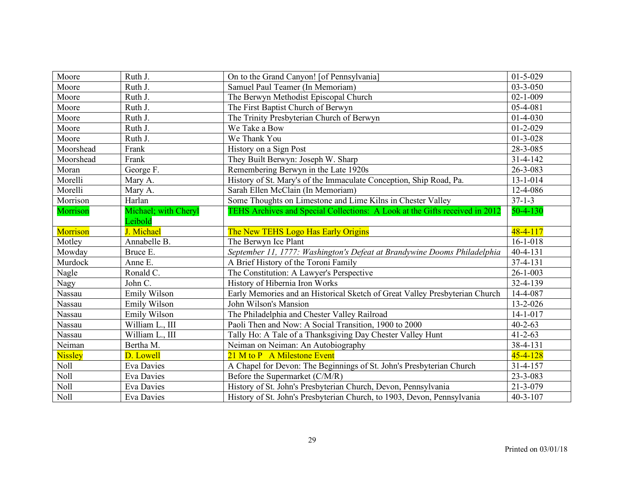| Moore           | Ruth J.              | On to the Grand Canyon! [of Pennsylvania]                                   | $01 - 5 - 029$ |
|-----------------|----------------------|-----------------------------------------------------------------------------|----------------|
| Moore           | Ruth J.              | Samuel Paul Teamer (In Memoriam)                                            | $03 - 3 - 050$ |
| Moore           | Ruth J.              | The Berwyn Methodist Episcopal Church                                       | $02 - 1 - 009$ |
| Moore           | Ruth J.              | The First Baptist Church of Berwyn                                          | 05-4-081       |
| Moore           | Ruth J.              | The Trinity Presbyterian Church of Berwyn                                   | $01 - 4 - 030$ |
| Moore           | Ruth J.              | We Take a Bow                                                               | $01 - 2 - 029$ |
| Moore           | Ruth J.              | We Thank You                                                                | $01 - 3 - 028$ |
| Moorshead       | Frank                | History on a Sign Post                                                      | 28-3-085       |
| Moorshead       | Frank                | They Built Berwyn: Joseph W. Sharp                                          | $31 - 4 - 142$ |
| Moran           | George F.            | Remembering Berwyn in the Late 1920s                                        | 26-3-083       |
| Morelli         | Mary A.              | History of St. Mary's of the Immaculate Conception, Ship Road, Pa.          | 13-1-014       |
| Morelli         | Mary A.              | Sarah Ellen McClain (In Memoriam)                                           | 12-4-086       |
| Morrison        | Harlan               | Some Thoughts on Limestone and Lime Kilns in Chester Valley                 | $37 - 1 - 3$   |
| Morrison        | Michael; with Cheryl | TEHS Archives and Special Collections: A Look at the Gifts received in 2012 | $50 - 4 - 130$ |
|                 | Leibold              |                                                                             |                |
| <b>Morrison</b> | J. Michael           | The New TEHS Logo Has Early Origins                                         | $48 - 4 - 117$ |
| Motley          | Annabelle B.         | The Berwyn Ice Plant                                                        | $16 - 1 - 018$ |
| Mowday          | Bruce E.             | September 11, 1777: Washington's Defeat at Brandywine Dooms Philadelphia    | $40 - 4 - 131$ |
| Murdock         | Anne E.              | A Brief History of the Toroni Family                                        | 37-4-131       |
| Nagle           | Ronald C.            | The Constitution: A Lawyer's Perspective                                    | $26 - 1 - 003$ |
| <b>Nagy</b>     | John C.              | History of Hibernia Iron Works                                              | 32-4-139       |
| Nassau          | Emily Wilson         | Early Memories and an Historical Sketch of Great Valley Presbyterian Church | 14-4-087       |
| Nassau          | Emily Wilson         | John Wilson's Mansion                                                       | 13-2-026       |
| Nassau          | Emily Wilson         | The Philadelphia and Chester Valley Railroad                                | $14 - 1 - 017$ |
| Nassau          | William L., III      | Paoli Then and Now: A Social Transition, 1900 to 2000                       | $40 - 2 - 63$  |
| Nassau          | William L., III      | Tally Ho: A Tale of a Thanksgiving Day Chester Valley Hunt                  | $41 - 2 - 63$  |
| Neiman          | Bertha M.            | Neiman on Neiman: An Autobiography                                          | 38-4-131       |
| <b>Nissley</b>  | D. Lowell            | 21 M to P A Milestone Event                                                 | $45 - 4 - 128$ |
| <b>Noll</b>     | <b>Eva Davies</b>    | A Chapel for Devon: The Beginnings of St. John's Presbyterian Church        | $31 - 4 - 157$ |
| Noll            | <b>Eva Davies</b>    | Before the Supermarket (C/M/R)                                              | 23-3-083       |
| Noll            | Eva Davies           | History of St. John's Presbyterian Church, Devon, Pennsylvania              | 21-3-079       |
| Noll            | Eva Davies           | History of St. John's Presbyterian Church, to 1903, Devon, Pennsylvania     | $40 - 3 - 107$ |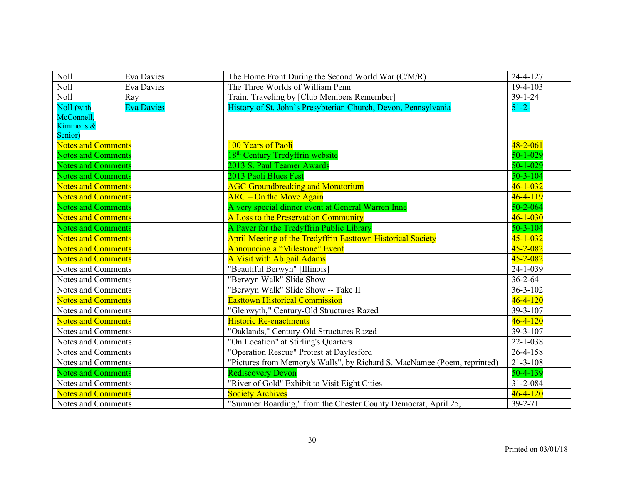| Noll                      | <b>Eva Davies</b> | The Home Front During the Second World War (C/M/R)                       | 24-4-127       |
|---------------------------|-------------------|--------------------------------------------------------------------------|----------------|
| <b>Noll</b>               | <b>Eva Davies</b> | The Three Worlds of William Penn                                         | $19-4-103$     |
| Noll                      | Ray               | Train, Traveling by [Club Members Remember]                              | $39 - 1 - 24$  |
| Noll (with                | <b>Eva Davies</b> | History of St. John's Presybterian Church, Devon, Pennsylvania           | $51 - 2 -$     |
| McConnell,                |                   |                                                                          |                |
| Kimmons &                 |                   |                                                                          |                |
| Senior)                   |                   |                                                                          |                |
| <b>Notes and Comments</b> |                   | 100 Years of Paoli                                                       | $48 - 2 - 061$ |
| <b>Notes and Comments</b> |                   | 18 <sup>th</sup> Century Tredyffrin website                              | $50 - 1 - 029$ |
| <b>Notes and Comments</b> |                   | 2013 S. Paul Teamer Awards                                               | $50 - 1 - 029$ |
| <b>Notes and Comments</b> |                   | 2013 Paoli Blues Fest                                                    | $50 - 3 - 104$ |
| <b>Notes and Comments</b> |                   | <b>AGC Groundbreaking and Moratorium</b>                                 | $46 - 1 - 032$ |
| <b>Notes and Comments</b> |                   | <b>ARC</b> – On the Move Again                                           | $46 - 4 - 119$ |
| <b>Notes and Comments</b> |                   | A very special dinner event at General Warren Inne                       | $50 - 2 - 064$ |
| <b>Notes and Comments</b> |                   | A Loss to the Preservation Community                                     | $46 - 1 - 030$ |
| <b>Notes and Comments</b> |                   | A Paver for the Tredyffrin Public Library                                | $50 - 3 - 104$ |
| <b>Notes and Comments</b> |                   | <b>April Meeting of the Tredyffrin Easttown Historical Society</b>       | $45 - 1 - 032$ |
| <b>Notes and Comments</b> |                   | <b>Announcing a "Milestone" Event</b>                                    | $45 - 2 - 082$ |
| <b>Notes and Comments</b> |                   | <b>A Visit with Abigail Adams</b>                                        | $45 - 2 - 082$ |
| Notes and Comments        |                   | "Beautiful Berwyn" [Illinois]                                            | $24 - 1 - 039$ |
| Notes and Comments        |                   | "Berwyn Walk" Slide Show                                                 | $36 - 2 - 64$  |
| Notes and Comments        |                   | "Berwyn Walk" Slide Show -- Take II                                      | $36 - 3 - 102$ |
| <b>Notes and Comments</b> |                   | <b>Easttown Historical Commission</b>                                    | $46 - 4 - 120$ |
| Notes and Comments        |                   | "Glenwyth," Century-Old Structures Razed                                 | 39-3-107       |
| <b>Notes and Comments</b> |                   | <b>Historic Re-enactments</b>                                            | $46 - 4 - 120$ |
| Notes and Comments        |                   | "Oaklands," Century-Old Structures Razed                                 | 39-3-107       |
| Notes and Comments        |                   | "On Location" at Stirling's Quarters                                     | $22 - 1 - 038$ |
| Notes and Comments        |                   | "Operation Rescue" Protest at Daylesford                                 | 26-4-158       |
| Notes and Comments        |                   | "Pictures from Memory's Walls", by Richard S. MacNamee (Poem, reprinted) | $21 - 3 - 108$ |
| <b>Notes and Comments</b> |                   | <b>Rediscovery Devon</b>                                                 | 50-4-139       |
| Notes and Comments        |                   | "River of Gold" Exhibit to Visit Eight Cities                            | $31 - 2 - 084$ |
| <b>Notes and Comments</b> |                   | <b>Society Archives</b>                                                  | $46 - 4 - 120$ |
| Notes and Comments        |                   | "Summer Boarding," from the Chester County Democrat, April 25,           | $39 - 2 - 71$  |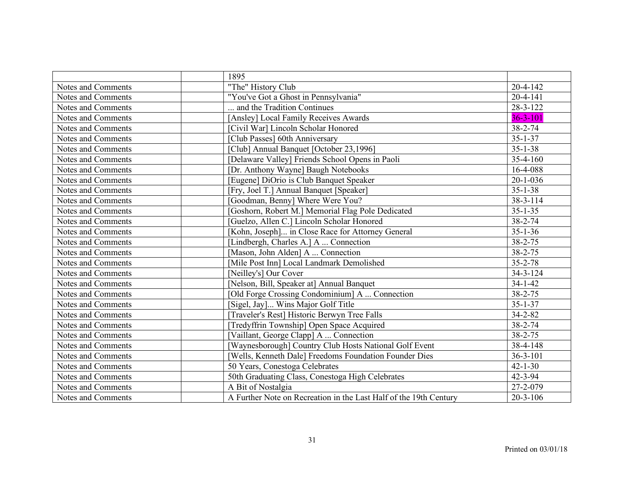|                    | 1895                                                              |                |
|--------------------|-------------------------------------------------------------------|----------------|
| Notes and Comments | "The" History Club                                                | $20 - 4 - 142$ |
| Notes and Comments | "You've Got a Ghost in Pennsylvania"                              | $20 - 4 - 141$ |
| Notes and Comments | and the Tradition Continues                                       | 28-3-122       |
| Notes and Comments | [Ansley] Local Family Receives Awards                             | $36 - 3 - 101$ |
| Notes and Comments | [Civil War] Lincoln Scholar Honored                               | 38-2-74        |
| Notes and Comments | [Club Passes] 60th Anniversary                                    | $35 - 1 - 37$  |
| Notes and Comments | [Club] Annual Banquet [October 23,1996]                           | $35 - 1 - 38$  |
| Notes and Comments | [Delaware Valley] Friends School Opens in Paoli                   | 35-4-160       |
| Notes and Comments | [Dr. Anthony Wayne] Baugh Notebooks                               | 16-4-088       |
| Notes and Comments | [Eugene] DiOrio is Club Banquet Speaker                           | $20 - 1 - 036$ |
| Notes and Comments | [Fry, Joel T.] Annual Banquet [Speaker]                           | $35 - 1 - 38$  |
| Notes and Comments | [Goodman, Benny] Where Were You?                                  | 38-3-114       |
| Notes and Comments | [Goshorn, Robert M.] Memorial Flag Pole Dedicated                 | $35 - 1 - 35$  |
| Notes and Comments | [Guelzo, Allen C.] Lincoln Scholar Honored                        | 38-2-74        |
| Notes and Comments | [Kohn, Joseph] in Close Race for Attorney General                 | $35 - 1 - 36$  |
| Notes and Comments | [Lindbergh, Charles A.] A  Connection                             | 38-2-75        |
| Notes and Comments | [Mason, John Alden] A  Connection                                 | 38-2-75        |
| Notes and Comments | [Mile Post Inn] Local Landmark Demolished                         | $35 - 2 - 78$  |
| Notes and Comments | [Neilley's] Our Cover                                             | 34-3-124       |
| Notes and Comments | [Nelson, Bill, Speaker at] Annual Banquet                         | $34 - 1 - 42$  |
| Notes and Comments | [Old Forge Crossing Condominium] A  Connection                    | 38-2-75        |
| Notes and Comments | [Sigel, Jay] Wins Major Golf Title                                | $35 - 1 - 37$  |
| Notes and Comments | [Traveler's Rest] Historic Berwyn Tree Falls                      | $34 - 2 - 82$  |
| Notes and Comments | [Tredyffrin Township] Open Space Acquired                         | 38-2-74        |
| Notes and Comments | [Vaillant, George Clapp] A  Connection                            | 38-2-75        |
| Notes and Comments | [Waynesborough] Country Club Hosts National Golf Event            | 38-4-148       |
| Notes and Comments | [Wells, Kenneth Dale] Freedoms Foundation Founder Dies            | $36 - 3 - 101$ |
| Notes and Comments | 50 Years, Conestoga Celebrates                                    | $42 - 1 - 30$  |
| Notes and Comments | 50th Graduating Class, Conestoga High Celebrates                  | 42-3-94        |
| Notes and Comments | A Bit of Nostalgia                                                | 27-2-079       |
| Notes and Comments | A Further Note on Recreation in the Last Half of the 19th Century | $20 - 3 - 106$ |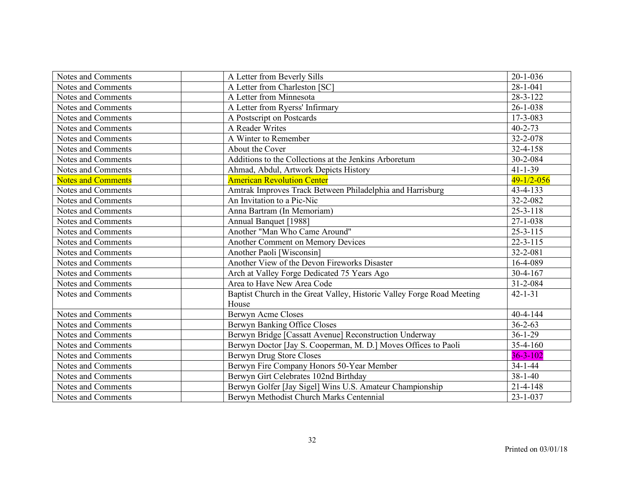| Notes and Comments        | A Letter from Beverly Sills                                                     | $20 - 1 - 036$ |
|---------------------------|---------------------------------------------------------------------------------|----------------|
| Notes and Comments        | A Letter from Charleston [SC]                                                   | $28 - 1 - 041$ |
| Notes and Comments        | A Letter from Minnesota                                                         | 28-3-122       |
| Notes and Comments        | A Letter from Ryerss' Infirmary                                                 | $26 - 1 - 038$ |
| Notes and Comments        | A Postscript on Postcards                                                       | 17-3-083       |
| Notes and Comments        | A Reader Writes                                                                 | $40 - 2 - 73$  |
| Notes and Comments        | A Winter to Remember                                                            | 32-2-078       |
| Notes and Comments        | About the Cover                                                                 | 32-4-158       |
| Notes and Comments        | Additions to the Collections at the Jenkins Arboretum                           | 30-2-084       |
| Notes and Comments        | Ahmad, Abdul, Artwork Depicts History                                           | $41 - 1 - 39$  |
| <b>Notes and Comments</b> | <b>American Revolution Center</b>                                               | $49-1/2-056$   |
| Notes and Comments        | Amtrak Improves Track Between Philadelphia and Harrisburg                       | 43-4-133       |
| Notes and Comments        | An Invitation to a Pic-Nic                                                      | 32-2-082       |
| Notes and Comments        | Anna Bartram (In Memoriam)                                                      | $25 - 3 - 118$ |
| Notes and Comments        | Annual Banquet [1988]                                                           | $27 - 1 - 038$ |
| Notes and Comments        | Another "Man Who Came Around"                                                   | $25 - 3 - 115$ |
| Notes and Comments        | <b>Another Comment on Memory Devices</b>                                        | $22 - 3 - 115$ |
| Notes and Comments        | Another Paoli [Wisconsin]                                                       | 32-2-081       |
| Notes and Comments        | Another View of the Devon Fireworks Disaster                                    | 16-4-089       |
| Notes and Comments        | Arch at Valley Forge Dedicated 75 Years Ago                                     | $30-4-167$     |
| Notes and Comments        | Area to Have New Area Code                                                      | 31-2-084       |
| Notes and Comments        | Baptist Church in the Great Valley, Historic Valley Forge Road Meeting<br>House | $42 - 1 - 31$  |
| Notes and Comments        | <b>Berwyn Acme Closes</b>                                                       | $40 - 4 - 144$ |
| Notes and Comments        | Berwyn Banking Office Closes                                                    | $36 - 2 - 63$  |
| Notes and Comments        | Berwyn Bridge [Cassatt Avenue] Reconstruction Underway                          | $36 - 1 - 29$  |
| Notes and Comments        | Berwyn Doctor [Jay S. Cooperman, M. D.] Moves Offices to Paoli                  | $35 - 4 - 160$ |
| Notes and Comments        | Berwyn Drug Store Closes                                                        | $36 - 3 - 102$ |
| Notes and Comments        | Berwyn Fire Company Honors 50-Year Member                                       | $34 - 1 - 44$  |
| Notes and Comments        | Berwyn Girt Celebrates 102nd Birthday                                           | $38 - 1 - 40$  |
| Notes and Comments        | Berwyn Golfer [Jay Sigel] Wins U.S. Amateur Championship                        | $21 - 4 - 148$ |
| Notes and Comments        | Berwyn Methodist Church Marks Centennial                                        | $23 - 1 - 037$ |
|                           |                                                                                 |                |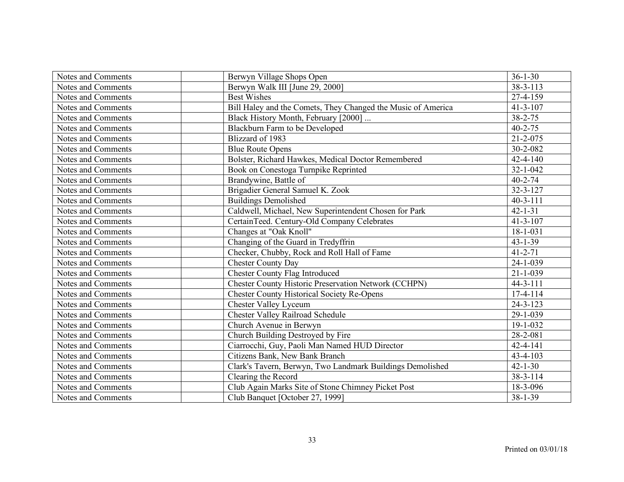| Notes and Comments | Berwyn Village Shops Open                                    | $36 - 1 - 30$  |
|--------------------|--------------------------------------------------------------|----------------|
| Notes and Comments | Berwyn Walk III [June 29, 2000]                              | 38-3-113       |
| Notes and Comments | <b>Best Wishes</b>                                           | 27-4-159       |
| Notes and Comments | Bill Haley and the Comets, They Changed the Music of America | $41 - 3 - 107$ |
| Notes and Comments | Black History Month, February [2000]                         | $38 - 2 - 75$  |
| Notes and Comments | Blackburn Farm to be Developed                               | $40 - 2 - 75$  |
| Notes and Comments | Blizzard of 1983                                             | 21-2-075       |
| Notes and Comments | <b>Blue Route Opens</b>                                      | 30-2-082       |
| Notes and Comments | Bolster, Richard Hawkes, Medical Doctor Remembered           | $42 - 4 - 140$ |
| Notes and Comments | Book on Conestoga Turnpike Reprinted                         | $32 - 1 - 042$ |
| Notes and Comments | Brandywine, Battle of                                        | $40 - 2 - 74$  |
| Notes and Comments | Brigadier General Samuel K. Zook                             | 32-3-127       |
| Notes and Comments | <b>Buildings Demolished</b>                                  | $40 - 3 - 111$ |
| Notes and Comments | Caldwell, Michael, New Superintendent Chosen for Park        | $42 - 1 - 31$  |
| Notes and Comments | CertainTeed. Century-Old Company Celebrates                  | $41 - 3 - 107$ |
| Notes and Comments | Changes at "Oak Knoll"                                       | $18 - 1 - 031$ |
| Notes and Comments | Changing of the Guard in Tredyffrin                          | $43 - 1 - 39$  |
| Notes and Comments | Checker, Chubby, Rock and Roll Hall of Fame                  | $41 - 2 - 71$  |
| Notes and Comments | <b>Chester County Day</b>                                    | 24-1-039       |
| Notes and Comments | <b>Chester County Flag Introduced</b>                        | $21 - 1 - 039$ |
| Notes and Comments | <b>Chester County Historic Preservation Network (CCHPN)</b>  | $44 - 3 - 111$ |
| Notes and Comments | <b>Chester County Historical Society Re-Opens</b>            | $17-4-114$     |
| Notes and Comments | <b>Chester Valley Lyceum</b>                                 | $24 - 3 - 123$ |
| Notes and Comments | <b>Chester Valley Railroad Schedule</b>                      | 29-1-039       |
| Notes and Comments | Church Avenue in Berwyn                                      | 19-1-032       |
| Notes and Comments | Church Building Destroyed by Fire                            | 28-2-081       |
| Notes and Comments | Ciarrocchi, Guy, Paoli Man Named HUD Director                | 42-4-141       |
| Notes and Comments | Citizens Bank, New Bank Branch                               | 43-4-103       |
| Notes and Comments | Clark's Tavern, Berwyn, Two Landmark Buildings Demolished    | $42 - 1 - 30$  |
| Notes and Comments | Clearing the Record                                          | 38-3-114       |
| Notes and Comments | Club Again Marks Site of Stone Chimney Picket Post           | 18-3-096       |
| Notes and Comments | Club Banquet [October 27, 1999]                              | 38-1-39        |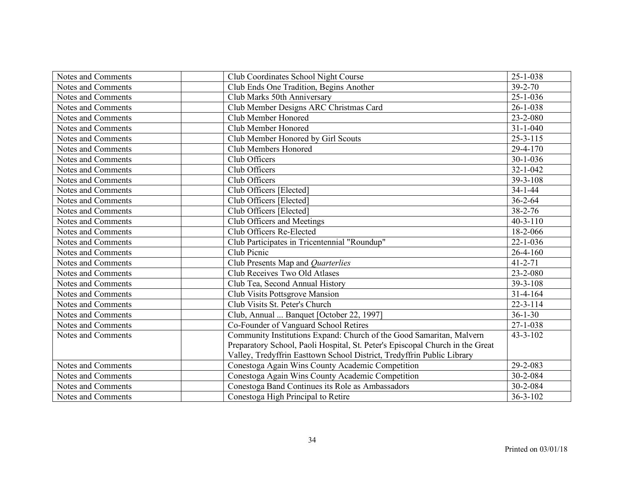| Notes and Comments | Club Coordinates School Night Course                                          | $25 - 1 - 038$ |
|--------------------|-------------------------------------------------------------------------------|----------------|
| Notes and Comments | Club Ends One Tradition, Begins Another                                       | $39 - 2 - 70$  |
| Notes and Comments | Club Marks 50th Anniversary                                                   | $25 - 1 - 036$ |
| Notes and Comments | Club Member Designs ARC Christmas Card                                        | $26 - 1 - 038$ |
| Notes and Comments | Club Member Honored                                                           | 23-2-080       |
| Notes and Comments | Club Member Honored                                                           | $31 - 1 - 040$ |
| Notes and Comments | Club Member Honored by Girl Scouts                                            | $25 - 3 - 115$ |
| Notes and Comments | Club Members Honored                                                          | 29-4-170       |
| Notes and Comments | Club Officers                                                                 | $30 - 1 - 036$ |
| Notes and Comments | Club Officers                                                                 | $32 - 1 - 042$ |
| Notes and Comments | Club Officers                                                                 | 39-3-108       |
| Notes and Comments | Club Officers [Elected]                                                       | $34 - 1 - 44$  |
| Notes and Comments | Club Officers [Elected]                                                       | $36 - 2 - 64$  |
| Notes and Comments | Club Officers [Elected]                                                       | $38 - 2 - 76$  |
| Notes and Comments | Club Officers and Meetings                                                    | $40 - 3 - 110$ |
| Notes and Comments | Club Officers Re-Elected                                                      | 18-2-066       |
| Notes and Comments | Club Participates in Tricentennial "Roundup"                                  | $22 - 1 - 036$ |
| Notes and Comments | Club Picnic                                                                   | $26 - 4 - 160$ |
| Notes and Comments | Club Presents Map and Quarterlies                                             | $41 - 2 - 71$  |
| Notes and Comments | Club Receives Two Old Atlases                                                 | 23-2-080       |
| Notes and Comments | Club Tea, Second Annual History                                               | 39-3-108       |
| Notes and Comments | Club Visits Pottsgrove Mansion                                                | $31 - 4 - 164$ |
| Notes and Comments | Club Visits St. Peter's Church                                                | $22 - 3 - 114$ |
| Notes and Comments | Club, Annual  Banquet [October 22, 1997]                                      | $36 - 1 - 30$  |
| Notes and Comments | Co-Founder of Vanguard School Retires                                         | $27 - 1 - 038$ |
| Notes and Comments | Community Institutions Expand: Church of the Good Samaritan, Malvern          | $43 - 3 - 102$ |
|                    | Preparatory School, Paoli Hospital, St. Peter's Episcopal Church in the Great |                |
|                    | Valley, Tredyffrin Easttown School District, Tredyffrin Public Library        |                |
| Notes and Comments | Conestoga Again Wins County Academic Competition                              | 29-2-083       |
| Notes and Comments | Conestoga Again Wins County Academic Competition                              | 30-2-084       |
| Notes and Comments | Conestoga Band Continues its Role as Ambassadors                              | 30-2-084       |
| Notes and Comments | Conestoga High Principal to Retire                                            | $36 - 3 - 102$ |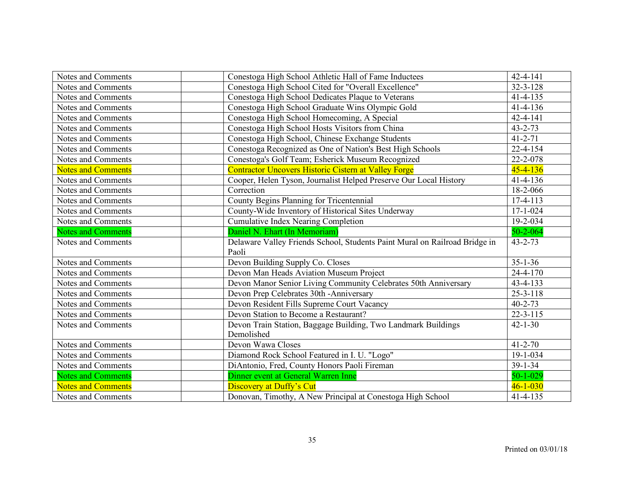| Notes and Comments        | Conestoga High School Athletic Hall of Fame Inductees                      | 42-4-141       |
|---------------------------|----------------------------------------------------------------------------|----------------|
| Notes and Comments        | Conestoga High School Cited for "Overall Excellence"                       | $32 - 3 - 128$ |
| Notes and Comments        | Conestoga High School Dedicates Plaque to Veterans                         | $41 - 4 - 135$ |
| Notes and Comments        | Conestoga High School Graduate Wins Olympic Gold                           | $41 - 4 - 136$ |
| Notes and Comments        | Conestoga High School Homecoming, A Special                                | 42-4-141       |
| Notes and Comments        | Conestoga High School Hosts Visitors from China                            | $43 - 2 - 73$  |
| Notes and Comments        | Conestoga High School, Chinese Exchange Students                           | $41 - 2 - 71$  |
| Notes and Comments        | Conestoga Recognized as One of Nation's Best High Schools                  | $22 - 4 - 154$ |
| Notes and Comments        | Conestoga's Golf Team; Esherick Museum Recognized                          | 22-2-078       |
| <b>Notes and Comments</b> | <b>Contractor Uncovers Historic Cistern at Valley Forge</b>                | $45 - 4 - 136$ |
| Notes and Comments        | Cooper, Helen Tyson, Journalist Helped Preserve Our Local History          | $41 - 4 - 136$ |
| Notes and Comments        | Correction                                                                 | 18-2-066       |
| Notes and Comments        | County Begins Planning for Tricentennial                                   | 17-4-113       |
| Notes and Comments        | County-Wide Inventory of Historical Sites Underway                         | $17 - 1 - 024$ |
| Notes and Comments        | <b>Cumulative Index Nearing Completion</b>                                 | 19-2-034       |
| <b>Notes and Comments</b> | Daniel N. Ehart (In Memoriam)                                              | $50 - 2 - 064$ |
| Notes and Comments        | Delaware Valley Friends School, Students Paint Mural on Railroad Bridge in | $43 - 2 - 73$  |
|                           | Paoli                                                                      |                |
| Notes and Comments        | Devon Building Supply Co. Closes                                           | $35 - 1 - 36$  |
| Notes and Comments        | Devon Man Heads Aviation Museum Project                                    | $24 - 4 - 170$ |
| Notes and Comments        | Devon Manor Senior Living Community Celebrates 50th Anniversary            | 43-4-133       |
| Notes and Comments        | Devon Prep Celebrates 30th - Anniversary                                   | $25 - 3 - 118$ |
| Notes and Comments        | Devon Resident Fills Supreme Court Vacancy                                 | $40 - 2 - 73$  |
| Notes and Comments        | Devon Station to Become a Restaurant?                                      | $22 - 3 - 115$ |
| Notes and Comments        | Devon Train Station, Baggage Building, Two Landmark Buildings              | $42 - 1 - 30$  |
|                           | Demolished                                                                 |                |
| Notes and Comments        | Devon Wawa Closes                                                          | $41 - 2 - 70$  |
| Notes and Comments        | Diamond Rock School Featured in I. U. "Logo"                               | 19-1-034       |
| Notes and Comments        | DiAntonio, Fred, County Honors Paoli Fireman                               | $39 - 1 - 34$  |
| <b>Notes and Comments</b> | Dinner event at General Warren Inne                                        | $50 - 1 - 029$ |
| <b>Notes and Comments</b> | <b>Discovery at Duffy's Cut</b>                                            | $46 - 1 - 030$ |
| Notes and Comments        | Donovan, Timothy, A New Principal at Conestoga High School                 | $41 - 4 - 135$ |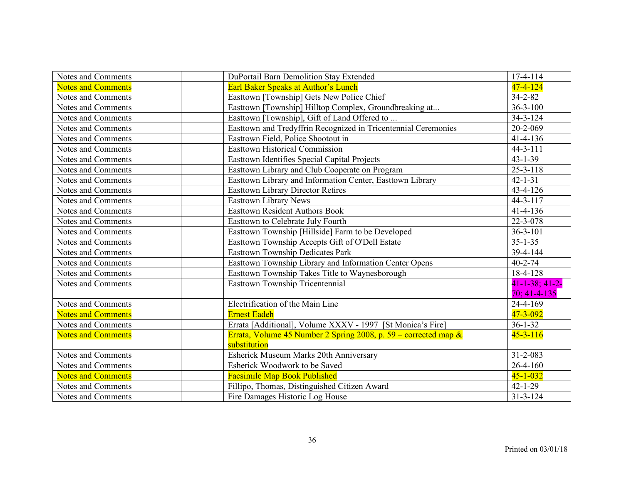| Notes and Comments        | DuPortail Barn Demolition Stay Extended                            | $17-4-114$            |
|---------------------------|--------------------------------------------------------------------|-----------------------|
| <b>Notes and Comments</b> | Earl Baker Speaks at Author's Lunch                                | $47 - 4 - 124$        |
| Notes and Comments        | Easttown [Township] Gets New Police Chief                          | $34 - 2 - 82$         |
| Notes and Comments        | Easttown [Township] Hilltop Complex, Groundbreaking at             | $36 - 3 - 100$        |
| Notes and Comments        | Easttown [Township], Gift of Land Offered to                       | $34 - 3 - 124$        |
| Notes and Comments        | Easttown and Tredyffrin Recognized in Tricentennial Ceremonies     | 20-2-069              |
| Notes and Comments        | Easttown Field, Police Shootout in                                 | $41 - 4 - 136$        |
| Notes and Comments        | <b>Easttown Historical Commission</b>                              | $44 - 3 - 111$        |
| Notes and Comments        | <b>Easttown Identifies Special Capital Projects</b>                | $43 - 1 - 39$         |
| Notes and Comments        | Easttown Library and Club Cooperate on Program                     | $25 - 3 - 118$        |
| Notes and Comments        | Easttown Library and Information Center, Easttown Library          | $42 - 1 - 31$         |
| Notes and Comments        | <b>Easttown Library Director Retires</b>                           | 43-4-126              |
| Notes and Comments        | <b>Easttown Library News</b>                                       | $44 - 3 - 117$        |
| Notes and Comments        | <b>Easttown Resident Authors Book</b>                              | $41 - 4 - 136$        |
| Notes and Comments        | Easttown to Celebrate July Fourth                                  | 22-3-078              |
| Notes and Comments        | Easttown Township [Hillside] Farm to be Developed                  | $36 - 3 - 101$        |
| Notes and Comments        | Easttown Township Accepts Gift of O'Dell Estate                    | $35 - 1 - 35$         |
| Notes and Comments        | <b>Easttown Township Dedicates Park</b>                            | 39-4-144              |
| Notes and Comments        | Easttown Township Library and Information Center Opens             | $40 - 2 - 74$         |
| Notes and Comments        | Easttown Township Takes Title to Waynesborough                     | 18-4-128              |
| Notes and Comments        | <b>Easttown Township Tricentennial</b>                             | $41 - 1 - 38$ ; 41-2- |
|                           |                                                                    | $70; 41-4-135$        |
| Notes and Comments        | Electrification of the Main Line                                   | 24-4-169              |
| <b>Notes and Comments</b> | <b>Ernest Eadeh</b>                                                | $47 - 3 - 092$        |
| Notes and Comments        | Errata [Additional], Volume XXXV - 1997 [St Monica's Fire]         | $36 - 1 - 32$         |
| <b>Notes and Comments</b> | Errata, Volume 45 Number 2 Spring 2008, p. 59 – corrected map $\&$ | $45 - 3 - 116$        |
|                           | substitution                                                       |                       |
| Notes and Comments        | Esherick Museum Marks 20th Anniversary                             | $31 - 2 - 083$        |
| Notes and Comments        | Esherick Woodwork to be Saved                                      | $26 - 4 - 160$        |
| <b>Notes and Comments</b> | <b>Facsimile Map Book Published</b>                                | $45 - 1 - 032$        |
| Notes and Comments        | Fillipo, Thomas, Distinguished Citizen Award                       | $42 - 1 - 29$         |
| Notes and Comments        | Fire Damages Historic Log House                                    | $31 - 3 - 124$        |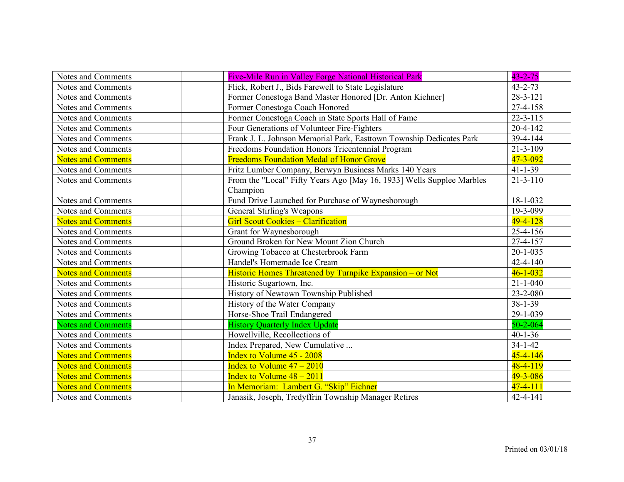| Notes and Comments        | Five-Mile Run in Valley Forge National Historical Park                | $43 - 2 - 75$  |
|---------------------------|-----------------------------------------------------------------------|----------------|
| Notes and Comments        | Flick, Robert J., Bids Farewell to State Legislature                  | $43 - 2 - 73$  |
| Notes and Comments        | Former Conestoga Band Master Honored [Dr. Anton Kiehner]              | $28 - 3 - 121$ |
| Notes and Comments        | Former Conestoga Coach Honored                                        | 27-4-158       |
| Notes and Comments        | Former Conestoga Coach in State Sports Hall of Fame                   | $22 - 3 - 115$ |
| Notes and Comments        | Four Generations of Volunteer Fire-Fighters                           | $20 - 4 - 142$ |
| Notes and Comments        | Frank J. L. Johnson Memorial Park, Easttown Township Dedicates Park   | 39-4-144       |
| Notes and Comments        | Freedoms Foundation Honors Tricentennial Program                      | $21 - 3 - 109$ |
| <b>Notes and Comments</b> | <b>Freedoms Foundation Medal of Honor Grove</b>                       | 47-3-092       |
| Notes and Comments        | Fritz Lumber Company, Berwyn Business Marks 140 Years                 | $41 - 1 - 39$  |
| Notes and Comments        | From the "Local" Fifty Years Ago [May 16, 1933] Wells Supplee Marbles | $21 - 3 - 110$ |
|                           | Champion                                                              |                |
| Notes and Comments        | Fund Drive Launched for Purchase of Waynesborough                     | 18-1-032       |
| Notes and Comments        | General Stirling's Weapons                                            | 19-3-099       |
| <b>Notes and Comments</b> | <b>Girl Scout Cookies - Clarification</b>                             | $49 - 4 - 128$ |
| Notes and Comments        | Grant for Waynesborough                                               | 25-4-156       |
| Notes and Comments        | Ground Broken for New Mount Zion Church                               | 27-4-157       |
| Notes and Comments        | Growing Tobacco at Chesterbrook Farm                                  | $20 - 1 - 035$ |
| Notes and Comments        | Handel's Homemade Ice Cream                                           | $42 - 4 - 140$ |
| <b>Notes and Comments</b> | Historic Homes Threatened by Turnpike Expansion - or Not              | $46 - 1 - 032$ |
| Notes and Comments        | Historic Sugartown, Inc.                                              | $21 - 1 - 040$ |
| Notes and Comments        | History of Newtown Township Published                                 | 23-2-080       |
| Notes and Comments        | History of the Water Company                                          | $38 - 1 - 39$  |
| Notes and Comments        | Horse-Shoe Trail Endangered                                           | 29-1-039       |
| <b>Notes and Comments</b> | <b>History Quarterly Index Update</b>                                 | $50 - 2 - 064$ |
| Notes and Comments        | Howellville, Recollections of                                         | $40 - 1 - 36$  |
| Notes and Comments        | Index Prepared, New Cumulative                                        | $34 - 1 - 42$  |
| <b>Notes and Comments</b> | Index to Volume 45 - 2008                                             | $45 - 4 - 146$ |
| <b>Notes and Comments</b> | <b>Index to Volume <math>47 - 2010</math></b>                         | $48 - 4 - 119$ |
| <b>Notes and Comments</b> | Index to Volume $48 - 2011$                                           | 49-3-086       |
| <b>Notes and Comments</b> | In Memoriam: Lambert G. "Skip" Eichner                                | $47 - 4 - 111$ |
| Notes and Comments        | Janasik, Joseph, Tredyffrin Township Manager Retires                  | $42 - 4 - 141$ |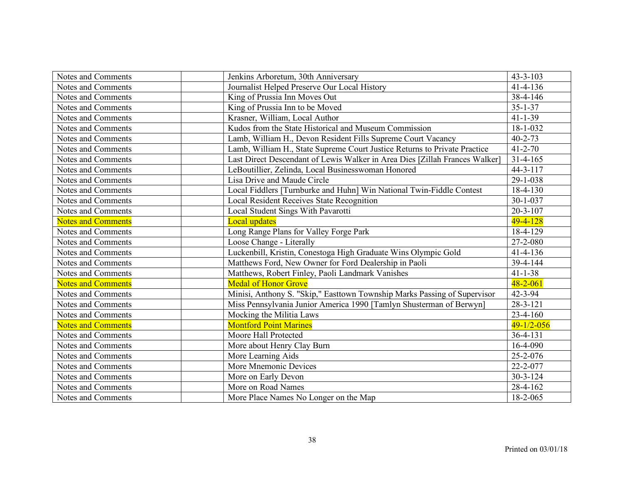| Notes and Comments        | Jenkins Arboretum, 30th Anniversary                                         | $43 - 3 - 103$            |
|---------------------------|-----------------------------------------------------------------------------|---------------------------|
| Notes and Comments        | Journalist Helped Preserve Our Local History                                | $41 - 4 - 136$            |
| Notes and Comments        | King of Prussia Inn Moves Out                                               | $\overline{38} - 4 - 146$ |
| Notes and Comments        | King of Prussia Inn to be Moved                                             | $35 - 1 - 37$             |
| Notes and Comments        | Krasner, William, Local Author                                              | $41 - 1 - 39$             |
| Notes and Comments        | Kudos from the State Historical and Museum Commission                       | 18-1-032                  |
| Notes and Comments        | Lamb, William H., Devon Resident Fills Supreme Court Vacancy                | $40 - 2 - 73$             |
| Notes and Comments        | Lamb, William H., State Supreme Court Justice Returns to Private Practice   | $41 - 2 - 70$             |
| Notes and Comments        | Last Direct Descendant of Lewis Walker in Area Dies [Zillah Frances Walker] | $31 - 4 - 165$            |
| Notes and Comments        | LeBoutillier, Zelinda, Local Businesswoman Honored                          | $44 - 3 - 117$            |
| Notes and Comments        | Lisa Drive and Maude Circle                                                 | 29-1-038                  |
| Notes and Comments        | Local Fiddlers [Turnburke and Huhn] Win National Twin-Fiddle Contest        | 18-4-130                  |
| Notes and Comments        | <b>Local Resident Receives State Recognition</b>                            | $30 - 1 - 037$            |
| Notes and Comments        | Local Student Sings With Pavarotti                                          | $20 - 3 - 107$            |
| <b>Notes and Comments</b> | <b>Local updates</b>                                                        | $49 - 4 - 128$            |
| Notes and Comments        | Long Range Plans for Valley Forge Park                                      | 18-4-129                  |
| Notes and Comments        | Loose Change - Literally                                                    | 27-2-080                  |
| Notes and Comments        | Luckenbill, Kristin, Conestoga High Graduate Wins Olympic Gold              | $41 - 4 - 136$            |
| Notes and Comments        | Matthews Ford, New Owner for Ford Dealership in Paoli                       | 39-4-144                  |
| Notes and Comments        | Matthews, Robert Finley, Paoli Landmark Vanishes                            | $41 - 1 - 38$             |
| <b>Notes and Comments</b> | <b>Medal of Honor Grove</b>                                                 | $48 - 2 - 061$            |
| Notes and Comments        | Minisi, Anthony S. "Skip," Easttown Township Marks Passing of Supervisor    | $42 - 3 - 94$             |
| Notes and Comments        | Miss Pennsylvania Junior America 1990 [Tamlyn Shusterman of Berwyn]         | $28 - 3 - 121$            |
| Notes and Comments        | Mocking the Militia Laws                                                    | $23 - 4 - 160$            |
| <b>Notes and Comments</b> | <b>Montford Point Marines</b>                                               | $49 - 1/2 - 056$          |
| Notes and Comments        | Moore Hall Protected                                                        | $36 - 4 - 131$            |
| Notes and Comments        | More about Henry Clay Burn                                                  | 16-4-090                  |
| Notes and Comments        | More Learning Aids                                                          | 25-2-076                  |
| Notes and Comments        | More Mnemonic Devices                                                       | 22-2-077                  |
| Notes and Comments        | More on Early Devon                                                         | $30 - 3 - 124$            |
| Notes and Comments        | More on Road Names                                                          | 28-4-162                  |
| Notes and Comments        | More Place Names No Longer on the Map                                       | 18-2-065                  |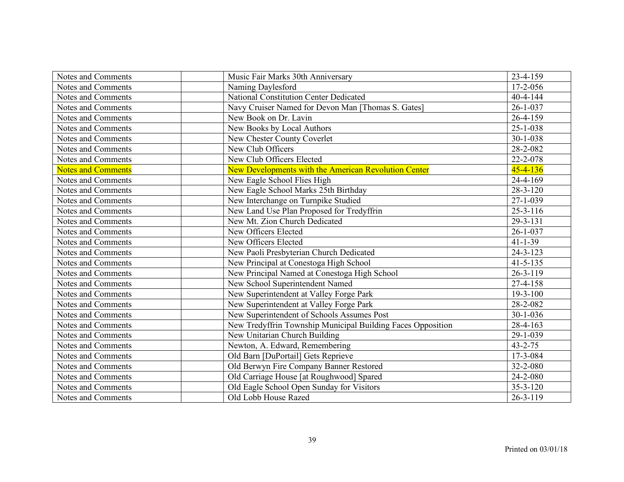| Notes and Comments        | Music Fair Marks 30th Anniversary                           | 23-4-159       |
|---------------------------|-------------------------------------------------------------|----------------|
| Notes and Comments        | Naming Daylesford                                           | 17-2-056       |
| Notes and Comments        | National Constitution Center Dedicated                      | $40 - 4 - 144$ |
|                           |                                                             | $26 - 1 - 037$ |
| Notes and Comments        | Navy Cruiser Named for Devon Man [Thomas S. Gates]          |                |
| Notes and Comments        | New Book on Dr. Lavin                                       | 26-4-159       |
| Notes and Comments        | New Books by Local Authors                                  | $25 - 1 - 038$ |
| Notes and Comments        | New Chester County Coverlet                                 | 30-1-038       |
| Notes and Comments        | New Club Officers                                           | 28-2-082       |
| Notes and Comments        | New Club Officers Elected                                   | 22-2-078       |
| <b>Notes and Comments</b> | New Developments with the American Revolution Center        | $45 - 4 - 136$ |
| Notes and Comments        | New Eagle School Flies High                                 | 24-4-169       |
| Notes and Comments        | New Eagle School Marks 25th Birthday                        | $28 - 3 - 120$ |
| Notes and Comments        | New Interchange on Turnpike Studied                         | $27 - 1 - 039$ |
| Notes and Comments        | New Land Use Plan Proposed for Tredyffrin                   | $25 - 3 - 116$ |
| Notes and Comments        | New Mt. Zion Church Dedicated                               | 29-3-131       |
| Notes and Comments        | New Officers Elected                                        | $26 - 1 - 037$ |
| Notes and Comments        | New Officers Elected                                        | $41 - 1 - 39$  |
| Notes and Comments        | New Paoli Presbyterian Church Dedicated                     | $24 - 3 - 123$ |
| Notes and Comments        | New Principal at Conestoga High School                      | $41 - 5 - 135$ |
| Notes and Comments        | New Principal Named at Conestoga High School                | $26 - 3 - 119$ |
| Notes and Comments        | New School Superintendent Named                             | 27-4-158       |
| Notes and Comments        | New Superintendent at Valley Forge Park                     | $19 - 3 - 100$ |
| Notes and Comments        | New Superintendent at Valley Forge Park                     | 28-2-082       |
| Notes and Comments        | New Superintendent of Schools Assumes Post                  | $30 - 1 - 036$ |
| Notes and Comments        | New Tredyffrin Township Municipal Building Faces Opposition | $28-4-163$     |
| Notes and Comments        | New Unitarian Church Building                               | 29-1-039       |
| Notes and Comments        | Newton, A. Edward, Remembering                              | $43 - 2 - 75$  |
| Notes and Comments        | Old Barn [DuPortail] Gets Reprieve                          | 17-3-084       |
| Notes and Comments        | Old Berwyn Fire Company Banner Restored                     | 32-2-080       |
| Notes and Comments        | Old Carriage House [at Roughwood] Spared                    | 24-2-080       |
| Notes and Comments        | Old Eagle School Open Sunday for Visitors                   | $35 - 3 - 120$ |
| Notes and Comments        | Old Lobb House Razed                                        | $26 - 3 - 119$ |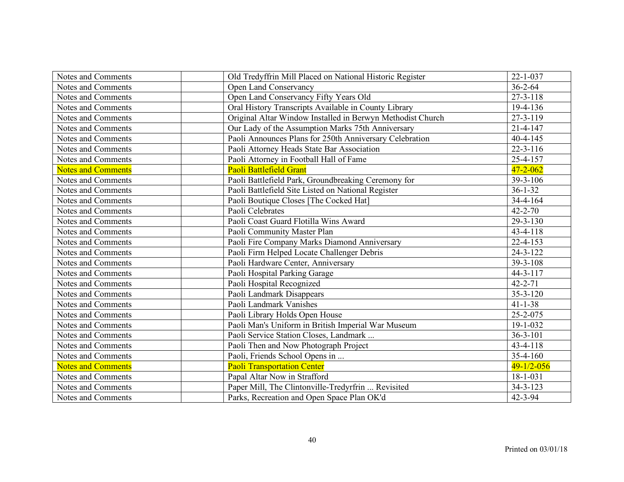| Notes and Comments        | Old Tredyffrin Mill Placed on National Historic Register   | $22 - 1 - 037$   |
|---------------------------|------------------------------------------------------------|------------------|
| Notes and Comments        | Open Land Conservancy                                      | $36 - 2 - 64$    |
| Notes and Comments        | Open Land Conservancy Fifty Years Old                      | $27 - 3 - 118$   |
| Notes and Comments        | Oral History Transcripts Available in County Library       | 19-4-136         |
| Notes and Comments        | Original Altar Window Installed in Berwyn Methodist Church | 27-3-119         |
| Notes and Comments        | Our Lady of the Assumption Marks 75th Anniversary          | $21 - 4 - 147$   |
| Notes and Comments        | Paoli Announces Plans for 250th Anniversary Celebration    | $40 - 4 - 145$   |
| Notes and Comments        | Paoli Attorney Heads State Bar Association                 | $22 - 3 - 116$   |
| Notes and Comments        | Paoli Attorney in Football Hall of Fame                    | 25-4-157         |
| <b>Notes and Comments</b> | Paoli Battlefield Grant                                    | $47 - 2 - 062$   |
| Notes and Comments        | Paoli Battlefield Park, Groundbreaking Ceremony for        | 39-3-106         |
| Notes and Comments        | Paoli Battlefield Site Listed on National Register         | $36 - 1 - 32$    |
| Notes and Comments        | Paoli Boutique Closes [The Cocked Hat]                     | 34-4-164         |
| Notes and Comments        | Paoli Celebrates                                           | $42 - 2 - 70$    |
| Notes and Comments        | Paoli Coast Guard Flotilla Wins Award                      | 29-3-130         |
| Notes and Comments        | Paoli Community Master Plan                                | 43-4-118         |
| Notes and Comments        | Paoli Fire Company Marks Diamond Anniversary               | $22 - 4 - 153$   |
| Notes and Comments        | Paoli Firm Helped Locate Challenger Debris                 | $24 - 3 - 122$   |
| Notes and Comments        | Paoli Hardware Center, Anniversary                         | 39-3-108         |
| Notes and Comments        | Paoli Hospital Parking Garage                              | 44-3-117         |
| Notes and Comments        | Paoli Hospital Recognized                                  | $42 - 2 - 71$    |
| Notes and Comments        | Paoli Landmark Disappears                                  | $35 - 3 - 120$   |
| Notes and Comments        | Paoli Landmark Vanishes                                    | $41 - 1 - 38$    |
| Notes and Comments        | Paoli Library Holds Open House                             | 25-2-075         |
| Notes and Comments        | Paoli Man's Uniform in British Imperial War Museum         | 19-1-032         |
| Notes and Comments        | Paoli Service Station Closes, Landmark                     | $36 - 3 - 101$   |
| Notes and Comments        | Paoli Then and Now Photograph Project                      | 43-4-118         |
| Notes and Comments        | Paoli, Friends School Opens in                             | $35 - 4 - 160$   |
| <b>Notes and Comments</b> | <b>Paoli Transportation Center</b>                         | $49 - 1/2 - 056$ |
| Notes and Comments        | Papal Altar Now in Strafford                               | $18 - 1 - 031$   |
| Notes and Comments        | Paper Mill, The Clintonville-Tredyrfrin  Revisited         | $34 - 3 - 123$   |
| Notes and Comments        | Parks, Recreation and Open Space Plan OK'd                 | $42 - 3 - 94$    |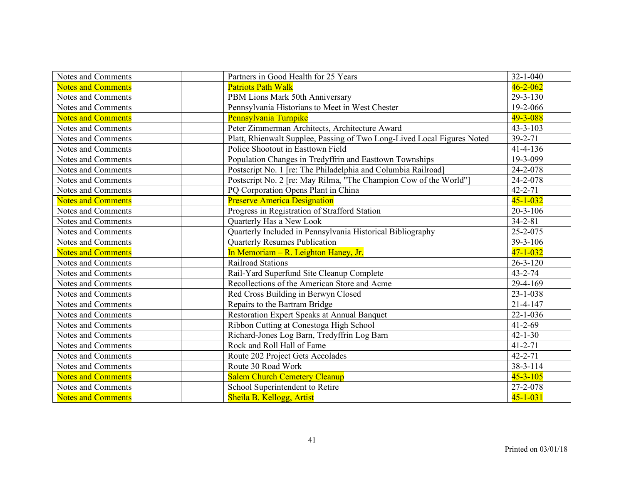| Notes and Comments        | Partners in Good Health for 25 Years                                    | $32 - 1 - 040$ |
|---------------------------|-------------------------------------------------------------------------|----------------|
| <b>Notes and Comments</b> | <b>Patriots Path Walk</b>                                               | $46 - 2 - 062$ |
| Notes and Comments        | PBM Lions Mark 50th Anniversary                                         | 29-3-130       |
| Notes and Comments        | Pennsylvania Historians to Meet in West Chester                         | 19-2-066       |
| <b>Notes and Comments</b> | Pennsylvania Turnpike                                                   | $49 - 3 - 088$ |
| Notes and Comments        | Peter Zimmerman Architects, Architecture Award                          | $43 - 3 - 103$ |
| Notes and Comments        | Platt, Rhienwalt Supplee, Passing of Two Long-Lived Local Figures Noted | $39 - 2 - 71$  |
| Notes and Comments        | Police Shootout in Easttown Field                                       | $41 - 4 - 136$ |
| Notes and Comments        | Population Changes in Tredyffrin and Easttown Townships                 | 19-3-099       |
| Notes and Comments        | Postscript No. 1 [re: The Philadelphia and Columbia Railroad]           | 24-2-078       |
| Notes and Comments        | Postscript No. 2 [re: May Rilma, "The Champion Cow of the World"]       | 24-2-078       |
| Notes and Comments        | PQ Corporation Opens Plant in China                                     | $42 - 2 - 71$  |
| <b>Notes and Comments</b> | <b>Preserve America Designation</b>                                     | $45 - 1 - 032$ |
| Notes and Comments        | Progress in Registration of Strafford Station                           | $20 - 3 - 106$ |
| Notes and Comments        | Quarterly Has a New Look                                                | $34 - 2 - 81$  |
| Notes and Comments        | Quarterly Included in Pennsylvania Historical Bibliography              | 25-2-075       |
| Notes and Comments        | <b>Quarterly Resumes Publication</b>                                    | 39-3-106       |
| <b>Notes and Comments</b> | In Memoriam $- R$ . Leighton Haney, Jr.                                 | $47 - 1 - 032$ |
| Notes and Comments        | <b>Railroad Stations</b>                                                | $26 - 3 - 120$ |
| Notes and Comments        | Rail-Yard Superfund Site Cleanup Complete                               | $43 - 2 - 74$  |
| Notes and Comments        | Recollections of the American Store and Acme                            | 29-4-169       |
| Notes and Comments        | Red Cross Building in Berwyn Closed                                     | $23 - 1 - 038$ |
| Notes and Comments        | Repairs to the Bartram Bridge                                           | $21 - 4 - 147$ |
| Notes and Comments        | Restoration Expert Speaks at Annual Banquet                             | $22 - 1 - 036$ |
| Notes and Comments        | Ribbon Cutting at Conestoga High School                                 | $41 - 2 - 69$  |
| Notes and Comments        | Richard-Jones Log Barn, Tredyffrin Log Barn                             | $42 - 1 - 30$  |
| Notes and Comments        | Rock and Roll Hall of Fame                                              | $41 - 2 - 71$  |
| Notes and Comments        | Route 202 Project Gets Accolades                                        | $42 - 2 - 71$  |
| Notes and Comments        | Route 30 Road Work                                                      | 38-3-114       |
| <b>Notes and Comments</b> | <b>Salem Church Cemetery Cleanup</b>                                    | $45 - 3 - 105$ |
| Notes and Comments        | School Superintendent to Retire                                         | 27-2-078       |
| <b>Notes and Comments</b> | Sheila B. Kellogg, Artist                                               | $45 - 1 - 031$ |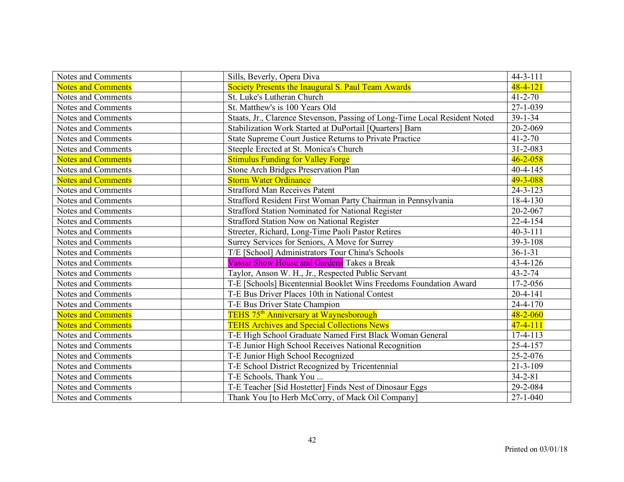| Notes and Comments        | Sills, Beverly, Opera Diva                                                 | $44 - 3 - 111$ |
|---------------------------|----------------------------------------------------------------------------|----------------|
| <b>Notes and Comments</b> | Society Presents the Inaugural S. Paul Team Awards                         | $48 - 4 - 121$ |
| Notes and Comments        | St. Luke's Lutheran Church                                                 | $41 - 2 - 70$  |
| Notes and Comments        | St. Matthew's is 100 Years Old                                             | $27 - 1 - 039$ |
| Notes and Comments        | Staats, Jr., Clarence Stevenson, Passing of Long-Time Local Resident Noted | $39 - 1 - 34$  |
| Notes and Comments        | Stabilization Work Started at DuPortail [Quarters] Barn                    | 20-2-069       |
| Notes and Comments        | State Supreme Court Justice Returns to Private Practice                    | $41 - 2 - 70$  |
| Notes and Comments        | Steeple Erected at St. Monica's Church                                     | $31 - 2 - 083$ |
| <b>Notes and Comments</b> | <b>Stimulus Funding for Valley Forge</b>                                   | $46 - 2 - 058$ |
| Notes and Comments        | Stone Arch Bridges Preservation Plan                                       | $40 - 4 - 145$ |
| <b>Notes and Comments</b> | <b>Storm Water Ordinance</b>                                               | $49 - 3 - 088$ |
| Notes and Comments        | <b>Strafford Man Receives Patent</b>                                       | $24 - 3 - 123$ |
| Notes and Comments        | Strafford Resident First Woman Party Chairman in Pennsylvania              | 18-4-130       |
| Notes and Comments        | Strafford Station Nominated for National Register                          | 20-2-067       |
| Notes and Comments        | <b>Strafford Station Now on National Register</b>                          | 22-4-154       |
| Notes and Comments        | Streeter, Richard, Long-Time Paoli Pastor Retires                          | $40 - 3 - 111$ |
| Notes and Comments        | Surrey Services for Seniors, A Move for Surrey                             | 39-3-108       |
| Notes and Comments        | T/E [School] Administrators Tour China's Schools                           | $36 - 1 - 31$  |
| Notes and Comments        | <b>Vassar Show House and Gardens</b> Takes a Break                         | 43-4-126       |
| Notes and Comments        | Taylor, Anson W. H., Jr., Respected Public Servant                         | $43 - 2 - 74$  |
| Notes and Comments        | T-E [Schools] Bicentennial Booklet Wins Freedoms Foundation Award          | 17-2-056       |
| Notes and Comments        | T-E Bus Driver Places 10th in National Contest                             | $20 - 4 - 141$ |
| Notes and Comments        | T-E Bus Driver State Champion                                              | $24 - 4 - 170$ |
| <b>Notes and Comments</b> | TEHS 75 <sup>th</sup> Anniversary at Waynesborough                         | $48 - 2 - 060$ |
| <b>Notes and Comments</b> | <b>TEHS Archives and Special Collections News</b>                          | $47 - 4 - 111$ |
| Notes and Comments        | T-E High School Graduate Named First Black Woman General                   | 17-4-113       |
| Notes and Comments        | T-E Junior High School Receives National Recognition                       | 25-4-157       |
| Notes and Comments        | T-E Junior High School Recognized                                          | 25-2-076       |
| Notes and Comments        | T-E School District Recognized by Tricentennial                            | $21 - 3 - 109$ |
| Notes and Comments        | T-E Schools, Thank You                                                     | $34 - 2 - 81$  |
| Notes and Comments        | T-E Teacher [Sid Hostetter] Finds Nest of Dinosaur Eggs                    | 29-2-084       |
| Notes and Comments        | Thank You [to Herb McCorry, of Mack Oil Company]                           | $27 - 1 - 040$ |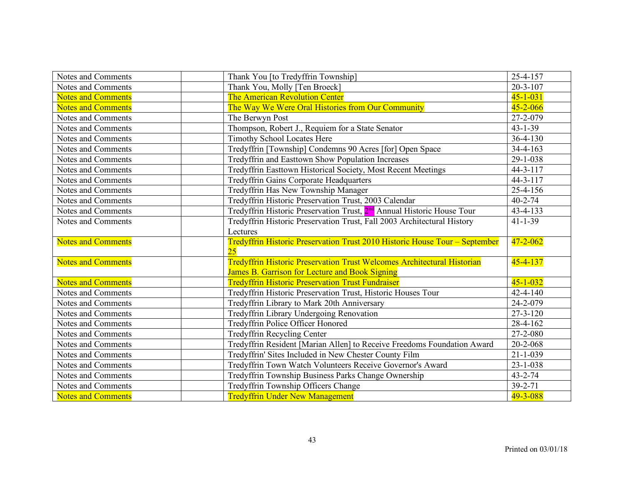| Notes and Comments                       | Thank You [to Tredyffrin Township]                                                         | 25-4-157                         |
|------------------------------------------|--------------------------------------------------------------------------------------------|----------------------------------|
| Notes and Comments                       | Thank You, Molly [Ten Broeck]                                                              | $20 - 3 - 107$                   |
| <b>Notes and Comments</b>                | <b>The American Revolution Center</b>                                                      | $45 - 1 - 031$                   |
| <b>Notes and Comments</b>                | The Way We Were Oral Histories from Our Community                                          | $45 - 2 - 066$                   |
| Notes and Comments                       | The Berwyn Post                                                                            | 27-2-079                         |
| Notes and Comments                       | Thompson, Robert J., Requiem for a State Senator                                           | $43 - 1 - 39$                    |
| Notes and Comments                       | Timothy School Locates Here                                                                | $36 - 4 - 130$                   |
| Notes and Comments                       | Tredyffrin [Township] Condemns 90 Acres [for] Open Space                                   | $34 - 4 - 163$                   |
| Notes and Comments                       | Tredyffrin and Easttown Show Population Increases                                          | 29-1-038                         |
| Notes and Comments                       | Tredyffrin Easttown Historical Society, Most Recent Meetings                               | $44 - 3 - 117$                   |
| Notes and Comments                       | <b>Tredyffrin Gains Corporate Headquarters</b>                                             | $44 - 3 - 117$                   |
| Notes and Comments                       | Tredyffrin Has New Township Manager                                                        | 25-4-156                         |
| Notes and Comments                       | Tredyffrin Historic Preservation Trust, 2003 Calendar                                      | $40 - 2 - 74$                    |
| Notes and Comments                       | Tredyffrin Historic Preservation Trust, 2 <sup>nd</sup> Annual Historic House Tour         | 43-4-133                         |
| Notes and Comments                       | Tredyffrin Historic Preservation Trust, Fall 2003 Architectural History                    | $41 - 1 - 39$                    |
|                                          | Lectures                                                                                   |                                  |
|                                          |                                                                                            |                                  |
| <b>Notes and Comments</b>                | Tredyffrin Historic Preservation Trust 2010 Historic House Tour - September                | $47 - 2 - 062$                   |
|                                          | 25                                                                                         |                                  |
| <b>Notes and Comments</b>                | Tredyffrin Historic Preservation Trust Welcomes Architectural Historian                    | $45 - 4 - 137$                   |
|                                          | James B. Garrison for Lecture and Book Signing                                             |                                  |
| <b>Notes and Comments</b>                | <b>Tredyffrin Historic Preservation Trust Fundraiser</b>                                   | $45 - 1 - 032$                   |
| Notes and Comments                       | Tredyffrin Historic Preservation Trust, Historic Houses Tour                               | $42 - 4 - 140$                   |
| Notes and Comments                       | Tredyffrin Library to Mark 20th Anniversary                                                | 24-2-079                         |
| Notes and Comments                       | Tredyffrin Library Undergoing Renovation                                                   | $27 - 3 - 120$                   |
| Notes and Comments                       | Tredyffrin Police Officer Honored                                                          | 28-4-162                         |
| Notes and Comments                       | <b>Tredyffrin Recycling Center</b>                                                         | 27-2-080                         |
| Notes and Comments                       | Tredyffrin Resident [Marian Allen] to Receive Freedoms Foundation Award                    | 20-2-068                         |
| Notes and Comments                       | Tredyffrin' Sites Included in New Chester County Film                                      | $21 - 1 - 039$<br>$23 - 1 - 038$ |
| Notes and Comments                       | Tredyffrin Town Watch Volunteers Receive Governor's Award                                  |                                  |
| Notes and Comments<br>Notes and Comments | Tredyffrin Township Business Parks Change Ownership<br>Tredyffrin Township Officers Change | 43-2-74<br>$39 - 2 - 71$         |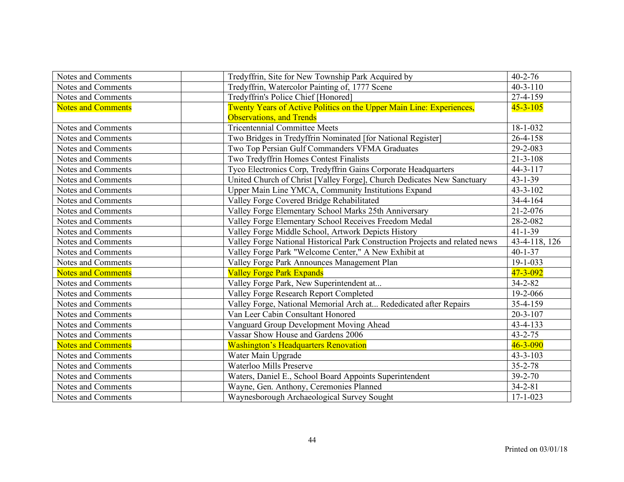| Notes and Comments        | Tredyffrin, Site for New Township Park Acquired by                           | $40 - 2 - 76$  |
|---------------------------|------------------------------------------------------------------------------|----------------|
| Notes and Comments        | Tredyffrin, Watercolor Painting of, 1777 Scene                               | $40 - 3 - 110$ |
| Notes and Comments        | Tredyffrin's Police Chief [Honored]                                          | 27-4-159       |
| <b>Notes and Comments</b> | Twenty Years of Active Politics on the Upper Main Line: Experiences,         | $45 - 3 - 105$ |
|                           | <b>Observations, and Trends</b>                                              |                |
| Notes and Comments        | <b>Tricentennial Committee Meets</b>                                         | 18-1-032       |
| Notes and Comments        | Two Bridges in Tredyffrin Nominated [for National Register]                  | $26 - 4 - 158$ |
| Notes and Comments        | Two Top Persian Gulf Commanders VFMA Graduates                               | 29-2-083       |
| Notes and Comments        | Two Tredyffrin Homes Contest Finalists                                       | $21 - 3 - 108$ |
| Notes and Comments        | Tyco Electronics Corp, Tredyffrin Gains Corporate Headquarters               | $44 - 3 - 117$ |
| Notes and Comments        | United Church of Christ [Valley Forge], Church Dedicates New Sanctuary       | $43 - 1 - 39$  |
| Notes and Comments        | Upper Main Line YMCA, Community Institutions Expand                          | $43 - 3 - 102$ |
| Notes and Comments        | Valley Forge Covered Bridge Rehabilitated                                    | $34 - 4 - 164$ |
| Notes and Comments        | Valley Forge Elementary School Marks 25th Anniversary                        | $21 - 2 - 076$ |
| Notes and Comments        | Valley Forge Elementary School Receives Freedom Medal                        | 28-2-082       |
| Notes and Comments        | Valley Forge Middle School, Artwork Depicts History                          | $41 - 1 - 39$  |
| Notes and Comments        | Valley Forge National Historical Park Construction Projects and related news | 43-4-118, 126  |
| Notes and Comments        | Valley Forge Park "Welcome Center," A New Exhibit at                         | $40 - 1 - 37$  |
| Notes and Comments        | Valley Forge Park Announces Management Plan                                  | $19 - 1 - 033$ |
| <b>Notes and Comments</b> | <b>Valley Forge Park Expands</b>                                             | $47 - 3 - 092$ |
| Notes and Comments        | Valley Forge Park, New Superintendent at                                     | $34 - 2 - 82$  |
| Notes and Comments        | Valley Forge Research Report Completed                                       | 19-2-066       |
| Notes and Comments        | Valley Forge, National Memorial Arch at Rededicated after Repairs            | 35-4-159       |
| Notes and Comments        | Van Leer Cabin Consultant Honored                                            | $20 - 3 - 107$ |
| Notes and Comments        | Vanguard Group Development Moving Ahead                                      | $43 - 4 - 133$ |
| Notes and Comments        | Vassar Show House and Gardens 2006                                           | $43 - 2 - 75$  |
| <b>Notes and Comments</b> | <b>Washington's Headquarters Renovation</b>                                  | $46 - 3 - 090$ |
| Notes and Comments        | Water Main Upgrade                                                           | $43 - 3 - 103$ |
| Notes and Comments        | Waterloo Mills Preserve                                                      | $35 - 2 - 78$  |
| Notes and Comments        | Waters, Daniel E., School Board Appoints Superintendent                      | $39 - 2 - 70$  |
| Notes and Comments        | Wayne, Gen. Anthony, Ceremonies Planned                                      | $34 - 2 - 81$  |
| Notes and Comments        | Waynesborough Archaeological Survey Sought                                   | $17 - 1 - 023$ |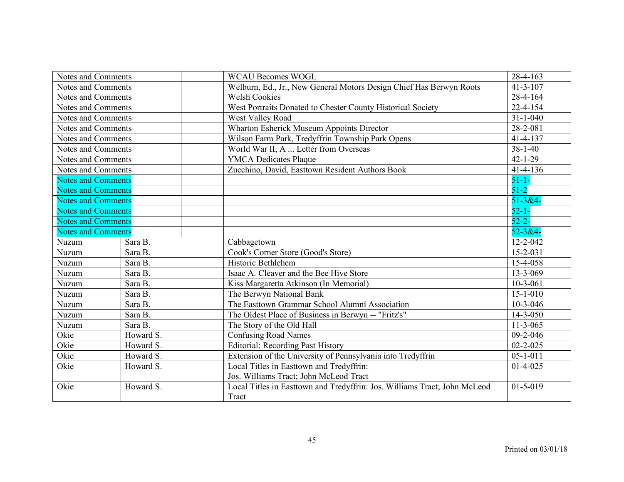| Notes and Comments        |           | <b>WCAU Becomes WOGL</b>                                                  | 28-4-163       |
|---------------------------|-----------|---------------------------------------------------------------------------|----------------|
| Notes and Comments        |           | Welburn, Ed., Jr., New General Motors Design Chief Has Berwyn Roots       | $41 - 3 - 107$ |
| Notes and Comments        |           | <b>Welsh Cookies</b>                                                      | 28-4-164       |
| Notes and Comments        |           | West Portraits Donated to Chester County Historical Society               | 22-4-154       |
| Notes and Comments        |           | West Valley Road                                                          | $31 - 1 - 040$ |
| Notes and Comments        |           | Wharton Esherick Museum Appoints Director                                 | 28-2-081       |
| Notes and Comments        |           | Wilson Farm Park, Tredyffrin Township Park Opens                          | $41 - 4 - 137$ |
| Notes and Comments        |           | World War II, A  Letter from Overseas                                     | $38 - 1 - 40$  |
| Notes and Comments        |           | <b>YMCA Dedicates Plaque</b>                                              | $42 - 1 - 29$  |
| Notes and Comments        |           | Zucchino, David, Easttown Resident Authors Book                           | $41 - 4 - 136$ |
| <b>Notes and Comments</b> |           |                                                                           | $51 - 1 -$     |
| <b>Notes and Comments</b> |           |                                                                           | $51 - 2$       |
| <b>Notes and Comments</b> |           |                                                                           | $51 - 384 -$   |
| <b>Notes and Comments</b> |           |                                                                           | $52 - 1 -$     |
| <b>Notes and Comments</b> |           |                                                                           | $52 - 2 -$     |
| <b>Notes and Comments</b> |           |                                                                           | $52 - 3 &4$    |
| Nuzum                     | Sara B.   | Cabbagetown                                                               | $12 - 2 - 042$ |
| Nuzum                     | Sara B.   | Cook's Corner Store (Good's Store)                                        | $15 - 2 - 031$ |
| Nuzum                     | Sara B.   | Historic Bethlehem                                                        | 15-4-058       |
| Nuzum                     | Sara B.   | Isaac A. Cleaver and the Bee Hive Store                                   | 13-3-069       |
| Nuzum                     | Sara B.   | Kiss Margaretta Atkinson (In Memorial)                                    | $10-3-061$     |
| Nuzum                     | Sara B.   | The Berwyn National Bank                                                  | $15 - 1 - 010$ |
| Nuzum                     | Sara B.   | The Easttown Grammar School Alumni Association                            | $10-3-046$     |
| Nuzum                     | Sara B.   | The Oldest Place of Business in Berwyn -- "Fritz's"                       | $14 - 3 - 050$ |
| Nuzum                     | Sara B.   | The Story of the Old Hall                                                 | $11 - 3 - 065$ |
| Okie                      | Howard S. | <b>Confusing Road Names</b>                                               | 09-2-046       |
| Okie                      | Howard S. | <b>Editorial: Recording Past History</b>                                  | $02 - 2 - 025$ |
| Okie                      | Howard S. | Extension of the University of Pennsylvania into Tredyffrin               | $05 - 1 - 011$ |
| Okie                      | Howard S. | Local Titles in Easttown and Tredyffrin:                                  | $01-4-025$     |
|                           |           | Jos. Williams Tract; John McLeod Tract                                    |                |
| Okie                      | Howard S. | Local Titles in Easttown and Tredyffrin: Jos. Williams Tract; John McLeod | $01 - 5 - 019$ |
|                           |           | Tract                                                                     |                |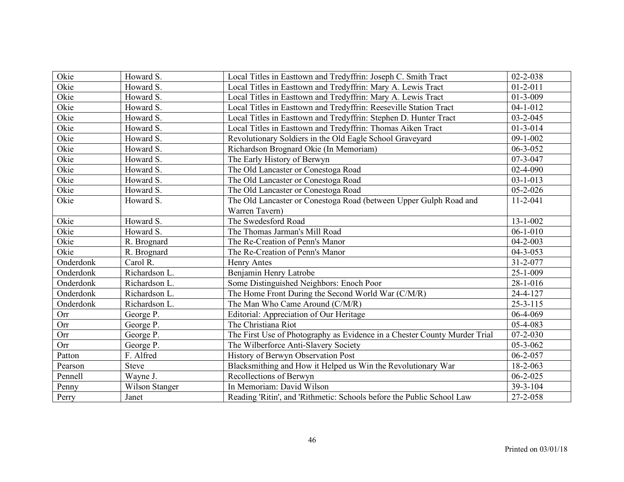| Okie      | Howard S.             | Local Titles in Easttown and Tredyffrin: Joseph C. Smith Tract            | $02 - 2 - 038$ |
|-----------|-----------------------|---------------------------------------------------------------------------|----------------|
| Okie      | Howard S.             | Local Titles in Easttown and Tredyffrin: Mary A. Lewis Tract              | $01 - 2 - 011$ |
| Okie      | Howard S.             | Local Titles in Easttown and Tredyffrin: Mary A. Lewis Tract              | 01-3-009       |
| Okie      | Howard S.             | Local Titles in Easttown and Tredyffrin: Reeseville Station Tract         | $04 - 1 - 012$ |
| Okie      | Howard S.             | Local Titles in Easttown and Tredyffrin: Stephen D. Hunter Tract          | $03 - 2 - 045$ |
| Okie      | Howard S.             | Local Titles in Easttown and Tredyffrin: Thomas Aiken Tract               | $01 - 3 - 014$ |
| Okie      | Howard S.             | Revolutionary Soldiers in the Old Eagle School Graveyard                  | $09-1-002$     |
| Okie      | Howard S.             | Richardson Brognard Okie (In Memoriam)                                    | 06-3-052       |
| Okie      | Howard S.             | The Early History of Berwyn                                               | 07-3-047       |
| Okie      | Howard S.             | The Old Lancaster or Conestoga Road                                       | $02 - 4 - 090$ |
| Okie      | Howard S.             | The Old Lancaster or Conestoga Road                                       | $03 - 1 - 013$ |
| Okie      | Howard S.             | The Old Lancaster or Conestoga Road                                       | 05-2-026       |
| Okie      | Howard S.             | The Old Lancaster or Conestoga Road (between Upper Gulph Road and         | $11 - 2 - 041$ |
|           |                       | Warren Tavern)                                                            |                |
| Okie      | Howard S.             | The Swedesford Road                                                       | $13 - 1 - 002$ |
| Okie      | Howard S.             | The Thomas Jarman's Mill Road                                             | $06-1-010$     |
| Okie      | R. Brognard           | The Re-Creation of Penn's Manor                                           | $04 - 2 - 003$ |
| Okie      | R. Brognard           | The Re-Creation of Penn's Manor                                           | $04 - 3 - 053$ |
| Onderdonk | Carol R.              | Henry Antes                                                               | 31-2-077       |
| Onderdonk | Richardson L.         | Benjamin Henry Latrobe                                                    | $25 - 1 - 009$ |
| Onderdonk | Richardson L.         | Some Distinguished Neighbors: Enoch Poor                                  | 28-1-016       |
| Onderdonk | Richardson L.         | The Home Front During the Second World War (C/M/R)                        | 24-4-127       |
| Onderdonk | Richardson L.         | The Man Who Came Around (C/M/R)                                           | $25 - 3 - 115$ |
| Orr       | George P.             | Editorial: Appreciation of Our Heritage                                   | 06-4-069       |
| Orr       | George P.             | The Christiana Riot                                                       | 05-4-083       |
| Orr       | George P.             | The First Use of Photography as Evidence in a Chester County Murder Trial | $07 - 2 - 030$ |
| Orr       | George P.             | The Wilberforce Anti-Slavery Society                                      | 05-3-062       |
| Patton    | F. Alfred             | History of Berwyn Observation Post                                        | $06 - 2 - 057$ |
| Pearson   | <b>Steve</b>          | Blacksmithing and How it Helped us Win the Revolutionary War              | 18-2-063       |
| Pennell   | Wayne J.              | Recollections of Berwyn                                                   | $06 - 2 - 025$ |
| Penny     | <b>Wilson Stanger</b> | In Memoriam: David Wilson                                                 | 39-3-104       |
| Perry     | Janet                 | Reading 'Ritin', and 'Rithmetic: Schools before the Public School Law     | 27-2-058       |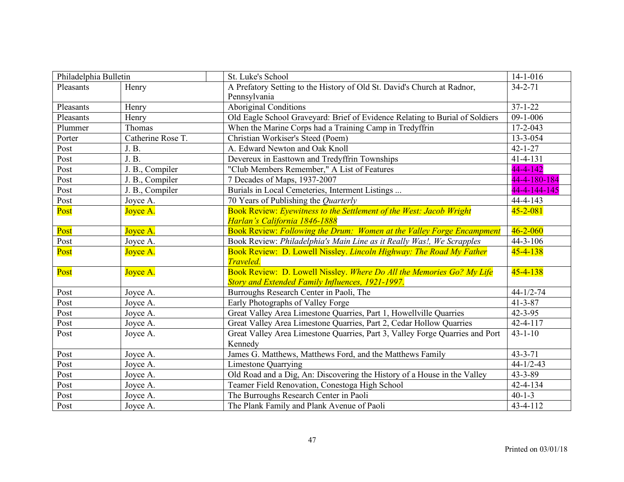| Philadelphia Bulletin |                   | St. Luke's School                                                            | $14 - 1 - 016$  |
|-----------------------|-------------------|------------------------------------------------------------------------------|-----------------|
| Pleasants             | Henry             | A Prefatory Setting to the History of Old St. David's Church at Radnor,      | $34 - 2 - 71$   |
|                       |                   | Pennsylvania                                                                 |                 |
| Pleasants             | Henry             | <b>Aboriginal Conditions</b>                                                 | $37 - 1 - 22$   |
| Pleasants             | Henry             | Old Eagle School Graveyard: Brief of Evidence Relating to Burial of Soldiers | $09-1-006$      |
| Plummer               | Thomas            | When the Marine Corps had a Training Camp in Tredyffrin                      | $17 - 2 - 043$  |
| Porter                | Catherine Rose T. | Christian Workiser's Steed (Poem)                                            | $13 - 3 - 054$  |
| Post                  | J. B.             | A. Edward Newton and Oak Knoll                                               | $42 - 1 - 27$   |
| Post                  | J. B.             | Devereux in Easttown and Tredyffrin Townships                                | $41 - 4 - 131$  |
| Post                  | J. B., Compiler   | "Club Members Remember," A List of Features                                  | $44 - 4 - 142$  |
| Post                  | J. B., Compiler   | 7 Decades of Maps, 1937-2007                                                 | 44-4-180-184    |
| Post                  | J. B., Compiler   | Burials in Local Cemeteries, Interment Listings                              | 44-4-144-145    |
| Post                  | Joyce A.          | 70 Years of Publishing the Quarterly                                         | $44 - 4 - 143$  |
| Post                  | Joyce A.          | Book Review: Eyewitness to the Settlement of the West: Jacob Wright          | $45 - 2 - 081$  |
|                       |                   | Harlan's California 1846-1888                                                |                 |
| Post                  | Joyce A.          | Book Review: Following the Drum: Women at the Valley Forge Encampment        | $46 - 2 - 060$  |
| Post                  | Joyce A.          | Book Review: Philadelphia's Main Line as it Really Was!, We Scrapples        | $44 - 3 - 106$  |
| Post                  | Joyce A.          | Book Review: D. Lowell Nissley. Lincoln Highway: The Road My Father          | $45 - 4 - 138$  |
|                       |                   | <b>Traveled.</b>                                                             |                 |
| Post                  | Joyce A.          | Book Review: D. Lowell Nissley. Where Do All the Memories Go? My Life        | $45 - 4 - 138$  |
|                       |                   | Story and Extended Family Influences, 1921-1997.                             |                 |
| Post                  | Joyce A.          | Burroughs Research Center in Paoli, The                                      | $44 - 1/2 - 74$ |
| Post                  | Joyce A.          | Early Photographs of Valley Forge                                            | $41 - 3 - 87$   |
| Post                  | Joyce A.          | Great Valley Area Limestone Quarries, Part 1, Howellville Quarries           | $42 - 3 - 95$   |
| Post                  | Joyce A.          | Great Valley Area Limestone Quarries, Part 2, Cedar Hollow Quarries          | 42-4-117        |
| Post                  | Joyce A.          | Great Valley Area Limestone Quarries, Part 3, Valley Forge Quarries and Port | $43 - 1 - 10$   |
|                       |                   | Kennedy                                                                      |                 |
| Post                  | Joyce A.          | James G. Matthews, Matthews Ford, and the Matthews Family                    | $43 - 3 - 71$   |
| Post                  | Joyce A.          | <b>Limestone Quarrying</b>                                                   | $44 - 1/2 - 43$ |
| Post                  | Joyce A.          | Old Road and a Dig, An: Discovering the History of a House in the Valley     | 43-3-89         |
| Post                  | Joyce A.          | Teamer Field Renovation, Conestoga High School                               | 42-4-134        |
| Post                  | Joyce A.          | The Burroughs Research Center in Paoli                                       | $40 - 1 - 3$    |
| Post                  | Joyce A.          | The Plank Family and Plank Avenue of Paoli                                   | 43-4-112        |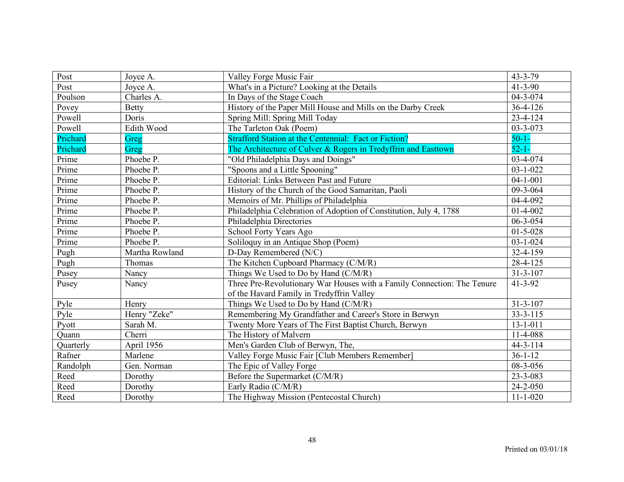| Post      | Joyce A.       | Valley Forge Music Fair                                                 | $43 - 3 - 79$  |
|-----------|----------------|-------------------------------------------------------------------------|----------------|
| Post      | Joyce A.       | What's in a Picture? Looking at the Details                             | $41 - 3 - 90$  |
| Poulson   | Charles A.     | In Days of the Stage Coach                                              | 04-3-074       |
| Povey     | <b>Betty</b>   | History of the Paper Mill House and Mills on the Darby Creek            | $36 - 4 - 126$ |
| Powell    | Doris          | Spring Mill: Spring Mill Today                                          | $23 - 4 - 124$ |
| Powell    | Edith Wood     | The Tarleton Oak (Poem)                                                 | 03-3-073       |
| Prichard  | Greg           | <b>Strafford Station at the Centennial: Fact or Fiction?</b>            | $50 - 1 -$     |
| Prichard  | Greg           | The Architecture of Culver & Rogers in Tredyffrin and Easttown          | $52 - 1 -$     |
| Prime     | Phoebe P.      | "Old Philadelphia Days and Doings"                                      | 03-4-074       |
| Prime     | Phoebe P.      | "Spoons and a Little Spooning"                                          | $03 - 1 - 022$ |
| Prime     | Phoebe P.      | Editorial: Links Between Past and Future                                | $04 - 1 - 001$ |
| Prime     | Phoebe P.      | History of the Church of the Good Samaritan, Paoli                      | 09-3-064       |
| Prime     | Phoebe P.      | Memoirs of Mr. Phillips of Philadelphia                                 | 04-4-092       |
| Prime     | Phoebe P.      | Philadelphia Celebration of Adoption of Constitution, July 4, 1788      | $01 - 4 - 002$ |
| Prime     | Phoebe P.      | Philadelphia Directories                                                | 06-3-054       |
| Prime     | Phoebe P.      | School Forty Years Ago                                                  | $01 - 5 - 028$ |
| Prime     | Phoebe P.      | Soliloquy in an Antique Shop (Poem)                                     | $03 - 1 - 024$ |
| Pugh      | Martha Rowland | D-Day Remembered (N/C)                                                  | 32-4-159       |
| Pugh      | Thomas         | The Kitchen Cupboard Pharmacy (C/M/R)                                   | 28-4-125       |
| Pusey     | Nancy          | Things We Used to Do by Hand (C/M/R)                                    | $31 - 3 - 107$ |
| Pusey     | Nancy          | Three Pre-Revolutionary War Houses with a Family Connection: The Tenure | $41 - 3 - 92$  |
|           |                | of the Havard Family in Tredyffrin Valley                               |                |
| Pyle      | Henry          | Things We Used to Do by Hand (C/M/R)                                    | $31 - 3 - 107$ |
| Pyle      | Henry "Zeke"   | Remembering My Grandfather and Career's Store in Berwyn                 | $33 - 3 - 115$ |
| Pyott     | Sarah M.       | Twenty More Years of The First Baptist Church, Berwyn                   | $13 - 1 - 011$ |
| Quann     | Cherri         | The History of Malvern                                                  | 11-4-088       |
| Quarterly | April 1956     | Men's Garden Club of Berwyn, The,                                       | $44 - 3 - 114$ |
| Rafner    | Marlene        | Valley Forge Music Fair [Club Members Remember]                         | $36 - 1 - 12$  |
| Randolph  | Gen. Norman    | The Epic of Valley Forge                                                | 08-3-056       |
| Reed      | Dorothy        | Before the Supermarket (C/M/R)                                          | 23-3-083       |
| Reed      | Dorothy        | Early Radio (C/M/R)                                                     | $24 - 2 - 050$ |
| Reed      | Dorothy        | The Highway Mission (Pentecostal Church)                                | $11 - 1 - 020$ |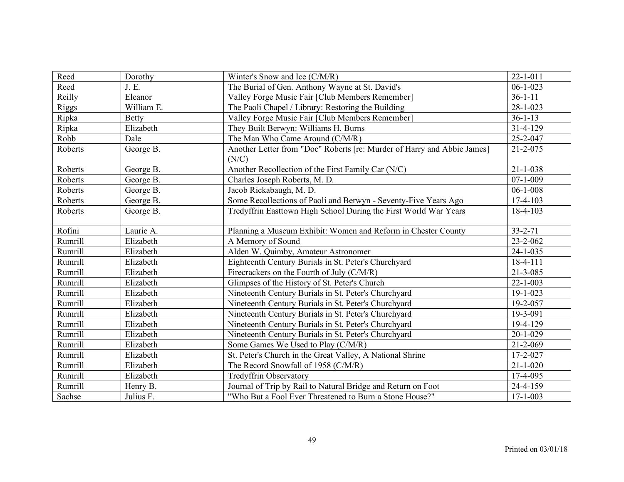| Reed         | Dorothy      | Winter's Snow and Ice (C/M/R)                                           | $22 - 1 - 011$ |
|--------------|--------------|-------------------------------------------------------------------------|----------------|
| Reed         | J.E.         | The Burial of Gen. Anthony Wayne at St. David's                         | $06 - 1 - 023$ |
| Reilly       | Eleanor      | Valley Forge Music Fair [Club Members Remember]                         | $36 - 1 - 11$  |
| <b>Riggs</b> | William E.   | The Paoli Chapel / Library: Restoring the Building                      | $28 - 1 - 023$ |
| Ripka        | <b>Betty</b> | Valley Forge Music Fair [Club Members Remember]                         | $36 - 1 - 13$  |
| Ripka        | Elizabeth    | They Built Berwyn: Williams H. Burns                                    | 31-4-129       |
| Robb         | Dale         | The Man Who Came Around (C/M/R)                                         | 25-2-047       |
| Roberts      | George B.    | Another Letter from "Doc" Roberts [re: Murder of Harry and Abbie James] | $21 - 2 - 075$ |
|              |              | (N/C)                                                                   |                |
| Roberts      | George B.    | Another Recollection of the First Family Car (N/C)                      | $21 - 1 - 038$ |
| Roberts      | George B.    | Charles Joseph Roberts, M. D.                                           | $07 - 1 - 009$ |
| Roberts      | George B.    | Jacob Rickabaugh, M. D.                                                 | $06 - 1 - 008$ |
| Roberts      | George B.    | Some Recollections of Paoli and Berwyn - Seventy-Five Years Ago         | $17 - 4 - 103$ |
| Roberts      | George B.    | Tredyffrin Easttown High School During the First World War Years        | $18-4-103$     |
|              |              |                                                                         |                |
| Rofini       | Laurie A.    | Planning a Museum Exhibit: Women and Reform in Chester County           | $33 - 2 - 71$  |
| Rumrill      | Elizabeth    | A Memory of Sound                                                       | 23-2-062       |
| Rumrill      | Elizabeth    | Alden W. Quimby, Amateur Astronomer                                     | $24 - 1 - 035$ |
| Rumrill      | Elizabeth    | Eighteenth Century Burials in St. Peter's Churchyard                    | $18-4-111$     |
| Rumrill      | Elizabeth    | Firecrackers on the Fourth of July (C/M/R)                              | $21 - 3 - 085$ |
| Rumrill      | Elizabeth    | Glimpses of the History of St. Peter's Church                           | $22 - 1 - 003$ |
| Rumrill      | Elizabeth    | Nineteenth Century Burials in St. Peter's Churchyard                    | $19 - 1 - 023$ |
| Rumrill      | Elizabeth    | Nineteenth Century Burials in St. Peter's Churchyard                    | 19-2-057       |
| Rumrill      | Elizabeth    | Nineteenth Century Burials in St. Peter's Churchyard                    | 19-3-091       |
| Rumrill      | Elizabeth    | Nineteenth Century Burials in St. Peter's Churchyard                    | 19-4-129       |
| Rumrill      | Elizabeth    | Nineteenth Century Burials in St. Peter's Churchyard                    | $20 - 1 - 029$ |
| Rumrill      | Elizabeth    | Some Games We Used to Play (C/M/R)                                      | $21 - 2 - 069$ |
| Rumrill      | Elizabeth    | St. Peter's Church in the Great Valley, A National Shrine               | $17 - 2 - 027$ |
| Rumrill      | Elizabeth    | The Record Snowfall of 1958 (C/M/R)                                     | $21 - 1 - 020$ |
| Rumrill      | Elizabeth    | <b>Tredyffrin Observatory</b>                                           | 17-4-095       |
| Rumrill      | Henry B.     | Journal of Trip by Rail to Natural Bridge and Return on Foot            | 24-4-159       |
| Sachse       | Julius F.    | "Who But a Fool Ever Threatened to Burn a Stone House?"                 | $17 - 1 - 003$ |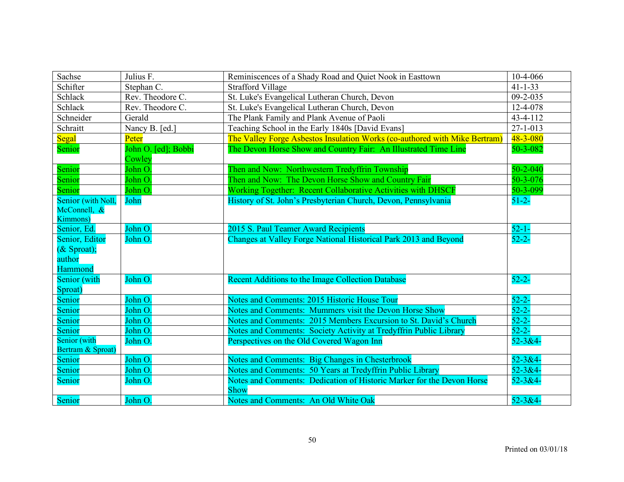| Sachse                            | Julius F.           | Reminiscences of a Shady Road and Quiet Nook in Easttown                   | 10-4-066       |
|-----------------------------------|---------------------|----------------------------------------------------------------------------|----------------|
| Schifter                          | Stephan C.          | <b>Strafford Village</b>                                                   | $41 - 1 - 33$  |
| Schlack                           | Rev. Theodore C.    | St. Luke's Evangelical Lutheran Church, Devon                              | $09 - 2 - 035$ |
| Schlack                           | Rev. Theodore C.    | St. Luke's Evangelical Lutheran Church, Devon                              | 12-4-078       |
| Schneider                         | Gerald              | The Plank Family and Plank Avenue of Paoli                                 | 43-4-112       |
| Schraitt                          | Nancy B. [ed.]      | Teaching School in the Early 1840s [David Evans]                           | $27 - 1 - 013$ |
| <b>Segal</b>                      | Peter               | The Valley Forge Asbestos Insulation Works (co-authored with Mike Bertram) | $48 - 3 - 080$ |
| Senior                            | John O. [ed]; Bobbi | The Devon Horse Show and Country Fair: An Illustrated Time Line            | 50-3-082       |
|                                   | Cowley              |                                                                            |                |
| Senior                            | John O.             | Then and Now: Northwestern Tredyffrin Township                             | $50 - 2 - 040$ |
| Senior                            | John O.             | Then and Now: The Devon Horse Show and Country Fair                        | $50 - 3 - 076$ |
| Senior                            | John O.             | Working Together: Recent Collaborative Activities with DHSCF               | 50-3-099       |
| Senior (with Noll,                | John                | History of St. John's Presbyterian Church, Devon, Pennsylvania             | $51 - 2 -$     |
| McConnell, &                      |                     |                                                                            |                |
| <b>Kimmons</b> )                  |                     |                                                                            |                |
| Senior, Ed.                       | John O.             | 2015 S. Paul Teamer Award Recipients                                       | $52 - 1 -$     |
| Senior, Editor                    | John O.             | Changes at Valley Forge National Historical Park 2013 and Beyond           | $52 - 2 -$     |
| $(X$ Sproat);                     |                     |                                                                            |                |
| author                            |                     |                                                                            |                |
| Hammond                           |                     |                                                                            |                |
| Senior (with                      | John O.             | Recent Additions to the Image Collection Database                          | $52 - 2 -$     |
| Sproat)                           |                     |                                                                            |                |
| Senior                            | John O.             | Notes and Comments: 2015 Historic House Tour                               | $52 - 2 -$     |
| Senior                            | John O.             | Notes and Comments: Mummers visit the Devon Horse Show                     | $52 - 2 -$     |
| Senior                            | John O.             | Notes and Comments: 2015 Members Excursion to St. David's Church           | $52 - 2 -$     |
| Senior                            | John O.             | Notes and Comments: Society Activity at Tredyffrin Public Library          | $52 - 2 -$     |
| Senior (with<br>Bertram & Sproat) | John O.             | Perspectives on the Old Covered Wagon Inn                                  | $52 - 3 & 4 -$ |
| Senior                            | John O.             | Notes and Comments: Big Changes in Chesterbrook                            | $52 - 3 &4 -$  |
| Senior                            | John O.             | Notes and Comments: 50 Years at Tredyffrin Public Library                  | $52 - 3 & 4 -$ |
| Senior                            | John O.             | Notes and Comments: Dedication of Historic Marker for the Devon Horse      | $52 - 3 & 4 -$ |
|                                   |                     | <b>Show</b>                                                                |                |
| Senior                            | John O.             | Notes and Comments: An Old White Oak                                       | $52 - 3 &4 -$  |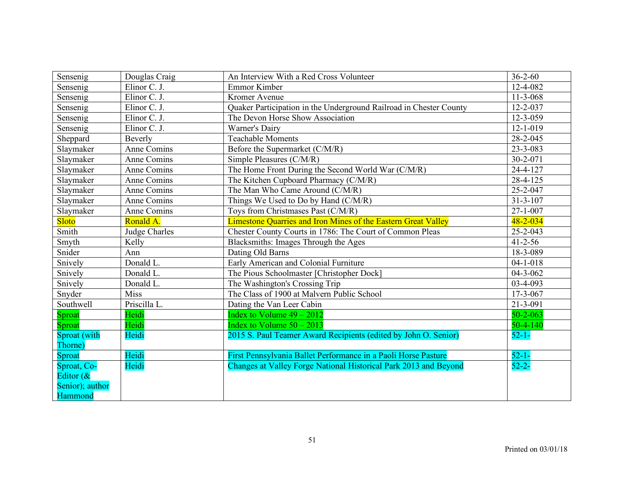| Sensenig                | Douglas Craig        | An Interview With a Red Cross Volunteer                            | $36 - 2 - 60$  |
|-------------------------|----------------------|--------------------------------------------------------------------|----------------|
| Sensenig                | Elinor C. J.         | Emmor Kimber                                                       | 12-4-082       |
| Sensenig                | Elinor C. J.         | Kromer Avenue                                                      | $11-3-068$     |
| Sensenig                | Elinor C. J.         | Quaker Participation in the Underground Railroad in Chester County | $12 - 2 - 037$ |
| Sensenig                | Elinor C. J.         | The Devon Horse Show Association                                   | 12-3-059       |
| Sensenig                | Elinor C. J.         | Warner's Dairy                                                     | $12 - 1 - 019$ |
| Sheppard                | Beverly              | <b>Teachable Moments</b>                                           | 28-2-045       |
| Slaymaker               | Anne Comins          | Before the Supermarket (C/M/R)                                     | 23-3-083       |
| Slavmaker               | Anne Comins          | Simple Pleasures (C/M/R)                                           | 30-2-071       |
| Slaymaker               | Anne Comins          | The Home Front During the Second World War (C/M/R)                 | 24-4-127       |
| Slaymaker               | Anne Comins          | The Kitchen Cupboard Pharmacy (C/M/R)                              | 28-4-125       |
| Slaymaker               | Anne Comins          | The Man Who Came Around (C/M/R)                                    | 25-2-047       |
| Slaymaker               | Anne Comins          | Things We Used to Do by Hand (C/M/R)                               | $31 - 3 - 107$ |
| Slaymaker               | Anne Comins          | Toys from Christmases Past (C/M/R)                                 | $27 - 1 - 007$ |
| <b>Sloto</b>            | Ronald A.            | Limestone Quarries and Iron Mines of the Eastern Great Valley      | $48 - 2 - 034$ |
| Smith                   | <b>Judge Charles</b> | Chester County Courts in 1786: The Court of Common Pleas           | $25 - 2 - 043$ |
| Smyth                   | Kelly                | Blacksmiths: Images Through the Ages                               | $41 - 2 - 56$  |
| Snider                  | Ann                  | Dating Old Barns                                                   | 18-3-089       |
| Snively                 | Donald L.            | Early American and Colonial Furniture                              | $04 - 1 - 018$ |
| Snively                 | Donald L.            | The Pious Schoolmaster [Christopher Dock]                          | $04 - 3 - 062$ |
| Snively                 | Donald L.            | The Washington's Crossing Trip                                     | 03-4-093       |
| Snyder                  | <b>Miss</b>          | The Class of 1900 at Malvern Public School                         | 17-3-067       |
| Southwell               | Priscilla L.         | Dating the Van Leer Cabin                                          | 21-3-091       |
| Sproat                  | Heidi                | Index to Volume $49 - 2012$                                        | $50 - 2 - 063$ |
| Sproat                  | Heidi                | Index to Volume $50 - 2013$                                        | $50 - 4 - 140$ |
| Sproat (with<br>Thorne) | Heidi                | 2015 S. Paul Teamer Award Recipients (edited by John O. Senior)    | $52 - 1 -$     |
| Sproat                  | Heidi                | First Pennsylvania Ballet Performance in a Paoli Horse Pasture     | $52 - 1 -$     |
| Sproat, Co-             | Heidi                | Changes at Valley Forge National Historical Park 2013 and Beyond   | $52 - 2 -$     |
| Editor $(\&$            |                      |                                                                    |                |
| Senior); author         |                      |                                                                    |                |
| Hammond                 |                      |                                                                    |                |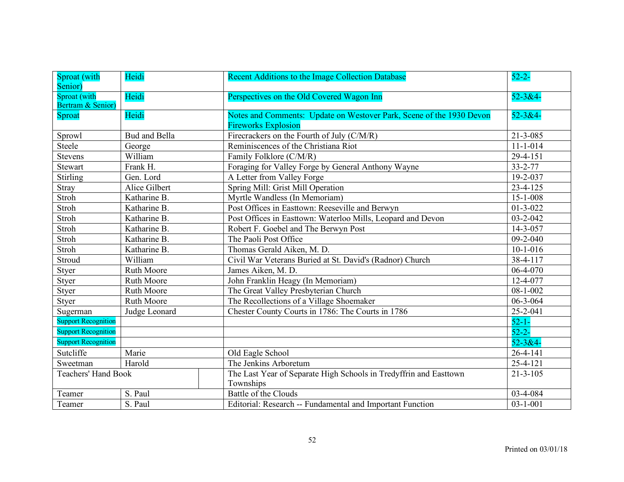| Sproat (with<br>Senior)           | Heidi             | Recent Additions to the Image Collection Database                                                  | $52 - 2 -$     |
|-----------------------------------|-------------------|----------------------------------------------------------------------------------------------------|----------------|
| Sproat (with<br>Bertram & Senior) | Heidi             | Perspectives on the Old Covered Wagon Inn                                                          | $52 - 3 & 4 -$ |
| Sproat                            | Heidi             | Notes and Comments: Update on Westover Park, Scene of the 1930 Devon<br><b>Fireworks Explosion</b> | $52 - 3 & 4 -$ |
| Sprowl                            | Bud and Bella     | Firecrackers on the Fourth of July (C/M/R)                                                         | $21 - 3 - 085$ |
| Steele                            | George            | Reminiscences of the Christiana Riot                                                               | $11 - 1 - 014$ |
| Stevens                           | William           | Family Folklore (C/M/R)                                                                            | 29-4-151       |
| Stewart                           | Frank H.          | Foraging for Valley Forge by General Anthony Wayne                                                 | 33-2-77        |
| <b>Stirling</b>                   | Gen. Lord         | A Letter from Valley Forge                                                                         | 19-2-037       |
| Stray                             | Alice Gilbert     | Spring Mill: Grist Mill Operation                                                                  | 23-4-125       |
| Stroh                             | Katharine B.      | Myrtle Wandless (In Memoriam)                                                                      | 15-1-008       |
| Stroh                             | Katharine B.      | Post Offices in Easttown: Reeseville and Berwyn                                                    | $01 - 3 - 022$ |
| Stroh                             | Katharine B.      | Post Offices in Easttown: Waterloo Mills, Leopard and Devon                                        | $03 - 2 - 042$ |
| Stroh                             | Katharine B.      | Robert F. Goebel and The Berwyn Post                                                               | 14-3-057       |
| Stroh                             | Katharine B.      | The Paoli Post Office                                                                              | $09 - 2 - 040$ |
| Stroh                             | Katharine B.      | Thomas Gerald Aiken, M. D.                                                                         | $10-1-016$     |
| Stroud                            | William           | Civil War Veterans Buried at St. David's (Radnor) Church                                           | 38-4-117       |
| Styer                             | Ruth Moore        | James Aiken, M. D.                                                                                 | 06-4-070       |
| Styer                             | <b>Ruth Moore</b> | John Franklin Heagy (In Memoriam)                                                                  | 12-4-077       |
| Styer                             | <b>Ruth Moore</b> | The Great Valley Presbyterian Church                                                               | $08 - 1 - 002$ |
| Styer                             | <b>Ruth Moore</b> | The Recollections of a Village Shoemaker                                                           | 06-3-064       |
| Sugerman                          | Judge Leonard     | Chester County Courts in 1786: The Courts in 1786                                                  | 25-2-041       |
| <b>Support Recognition</b>        |                   |                                                                                                    | $52 - 1 -$     |
| <b>Support Recognition</b>        |                   |                                                                                                    | $52 - 2 -$     |
| <b>Support Recognition</b>        |                   |                                                                                                    | $52 - 3 &4 -$  |
| Sutcliffe                         | Marie             | Old Eagle School                                                                                   | 26-4-141       |
| Sweetman                          | Harold            | The Jenkins Arboretum                                                                              | $25 - 4 - 121$ |
| <b>Teachers' Hand Book</b>        |                   | The Last Year of Separate High Schools in Tredyffrin and Easttown<br>Townships                     | $21 - 3 - 105$ |
| Teamer                            | S. Paul           | <b>Battle of the Clouds</b>                                                                        | 03-4-084       |
| Teamer                            | S. Paul           | Editorial: Research -- Fundamental and Important Function                                          | $03 - 1 - 001$ |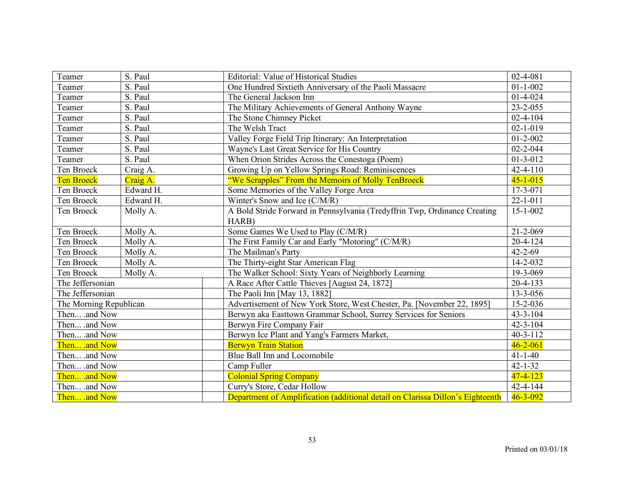| Teamer                 | S. Paul   | <b>Editorial: Value of Historical Studies</b>                                  | $02 - 4 - 081$ |
|------------------------|-----------|--------------------------------------------------------------------------------|----------------|
| Teamer                 | S. Paul   | One Hundred Sixtieth Anniversary of the Paoli Massacre                         | $01 - 1 - 002$ |
| Teamer                 | S. Paul   | The General Jackson Inn                                                        | $01 - 4 - 024$ |
| Teamer                 | S. Paul   | The Military Achievements of General Anthony Wayne                             | $23 - 2 - 055$ |
| Teamer                 | S. Paul   | The Stone Chimney Picket                                                       | $02 - 4 - 104$ |
| Teamer                 | S. Paul   | The Welsh Tract                                                                | $02 - 1 - 019$ |
| Teamer                 | S. Paul   | Valley Forge Field Trip Itinerary: An Interpretation                           | $01 - 2 - 002$ |
| Teamer                 | S. Paul   | Wayne's Last Great Service for His Country                                     | $02 - 2 - 044$ |
| Teamer                 | S. Paul   | When Orion Strides Across the Conestoga (Poem)                                 | $01 - 3 - 012$ |
| Ten Broeck             | Craig A.  | Growing Up on Yellow Springs Road: Reminiscences                               | $42 - 4 - 110$ |
| <b>Ten Broeck</b>      | Craig A.  | "We Scrapples" From the Memoirs of Molly TenBroeck                             | $45 - 1 - 015$ |
| Ten Broeck             | Edward H. | Some Memories of the Valley Forge Area                                         | 17-3-071       |
| Ten Broeck             | Edward H. | Winter's Snow and Ice (C/M/R)                                                  | $22 - 1 - 011$ |
| Ten Broeck             | Molly A.  | A Bold Stride Forward in Pennsylvania (Tredyffrin Twp, Ordinance Creating      | $15 - 1 - 002$ |
|                        |           | HARB)                                                                          |                |
| Ten Broeck             | Molly A.  | Some Games We Used to Play (C/M/R)                                             | $21 - 2 - 069$ |
| Ten Broeck             | Molly A.  | The First Family Car and Early "Motoring" (C/M/R)                              | $20 - 4 - 124$ |
| Ten Broeck             | Molly A.  | The Mailman's Party                                                            | $42 - 2 - 69$  |
| Ten Broeck             | Molly A.  | The Thirty-eight Star American Flag                                            | 14-2-032       |
| Ten Broeck             | Molly A.  | The Walker School: Sixty Years of Neighborly Learning                          | 19-3-069       |
| The Jeffersonian       |           | A Race After Cattle Thieves [August 24, 1872]                                  | $20 - 4 - 133$ |
| The Jeffersonian       |           | The Paoli Inn [May 13, 1882]                                                   | 13-3-056       |
| The Morning Republican |           | Advertisement of New York Store, West Chester, Pa. [November 22, 1895]         | 15-2-036       |
| Then .and Now          |           | Berwyn aka Easttown Grammar School, Surrey Services for Seniors                | $43 - 3 - 104$ |
| Then .and Now          |           | Berwyn Fire Company Fair                                                       | $42 - 3 - 104$ |
| Then .and Now          |           | Berwyn Ice Plant and Yang's Farmers Market,                                    | $40 - 3 - 112$ |
| Then .and Now          |           | <b>Berwyn Train Station</b>                                                    | $46 - 2 - 061$ |
| Then .and Now          |           | Blue Ball Inn and Locomobile                                                   | $41 - 1 - 40$  |
| Then .and Now          |           | Camp Fuller                                                                    | $42 - 1 - 32$  |
| Then .and Now          |           | <b>Colonial Spring Company</b>                                                 | $47 - 4 - 123$ |
| Then .and Now          |           | Curry's Store, Cedar Hollow                                                    | 42-4-144       |
| Then and Now           |           | Department of Amplification (additional detail on Clarissa Dillon's Eighteenth | $46 - 3 - 092$ |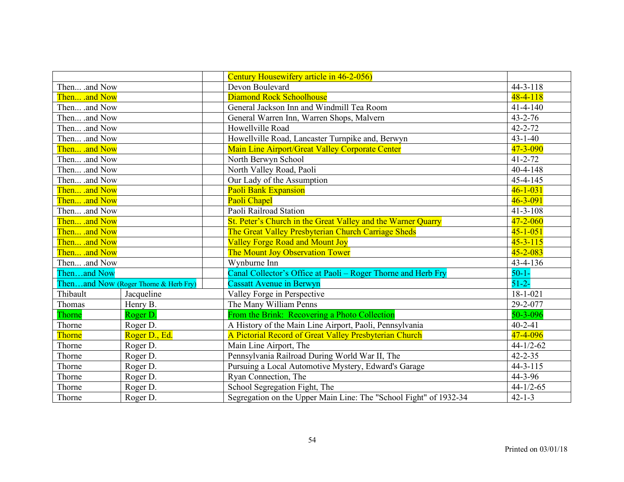|               |                                       | Century Housewifery article in 46-2-056)                          |                 |
|---------------|---------------------------------------|-------------------------------------------------------------------|-----------------|
| Then .and Now |                                       | Devon Boulevard                                                   | $44 - 3 - 118$  |
| Then .and Now |                                       | Diamond Rock Schoolhouse                                          | $48 - 4 - 118$  |
| Then .and Now |                                       | General Jackson Inn and Windmill Tea Room                         | $41 - 4 - 140$  |
| Then .and Now |                                       | General Warren Inn, Warren Shops, Malvern                         | $43 - 2 - 76$   |
| Then .and Now |                                       | Howellville Road                                                  | $42 - 2 - 72$   |
| Then .and Now |                                       | Howellville Road, Lancaster Turnpike and, Berwyn                  | $43 - 1 - 40$   |
| Then .and Now |                                       | Main Line Airport/Great Valley Corporate Center                   | 47-3-090        |
| Then .and Now |                                       | North Berwyn School                                               | $41 - 2 - 72$   |
| Then .and Now |                                       | North Valley Road, Paoli                                          | $40 - 4 - 148$  |
| Then .and Now |                                       | Our Lady of the Assumption                                        | 45-4-145        |
| Then .and Now |                                       | <b>Paoli Bank Expansion</b>                                       | $46 - 1 - 031$  |
| Then .and Now |                                       | Paoli Chapel                                                      | $46 - 3 - 091$  |
| Then .and Now |                                       | Paoli Railroad Station                                            | $41 - 3 - 108$  |
| Then .and Now |                                       | St. Peter's Church in the Great Valley and the Warner Quarry      | $47 - 2 - 060$  |
| Then .and Now |                                       | The Great Valley Presbyterian Church Carriage Sheds               | $45 - 1 - 051$  |
| Then .and Now |                                       | <b>Valley Forge Road and Mount Joy</b>                            | $45 - 3 - 115$  |
| Then .and Now |                                       | The Mount Joy Observation Tower                                   | $45 - 2 - 083$  |
| Then .and Now |                                       | Wynburne Inn                                                      | 43-4-136        |
| Thenand Now   |                                       | Canal Collector's Office at Paoli – Roger Thorne and Herb Fry     | $50 - 1 -$      |
|               | Thenand Now (Roger Thorne & Herb Fry) | <b>Cassatt Avenue in Berwyn</b>                                   | $51 - 2 -$      |
| Thibault      | Jacqueline                            | Valley Forge in Perspective                                       | $18 - 1 - 021$  |
| Thomas        | Henry B.                              | The Many William Penns                                            | 29-2-077        |
| Thorne        | Roger D.                              | From the Brink: Recovering a Photo Collection                     | $50 - 3 - 096$  |
| Thorne        | Roger D.                              | A History of the Main Line Airport, Paoli, Pennsylvania           | $40 - 2 - 41$   |
| Thorne        | Roger D., Ed.                         | A Pictorial Record of Great Valley Presbyterian Church            | 47-4-096        |
| Thorne        | Roger D.                              | Main Line Airport, The                                            | $44 - 1/2 - 62$ |
| Thorne        | Roger D.                              | Pennsylvania Railroad During World War II, The                    | $42 - 2 - 35$   |
| Thorne        | Roger D.                              | Pursuing a Local Automotive Mystery, Edward's Garage              | $44 - 3 - 115$  |
| Thorne        | Roger D.                              | Ryan Connection, The                                              | 44-3-96         |
| Thorne        | Roger D.                              | School Segregation Fight, The                                     | $44 - 1/2 - 65$ |
| Thorne        | Roger D.                              | Segregation on the Upper Main Line: The "School Fight" of 1932-34 | $42 - 1 - 3$    |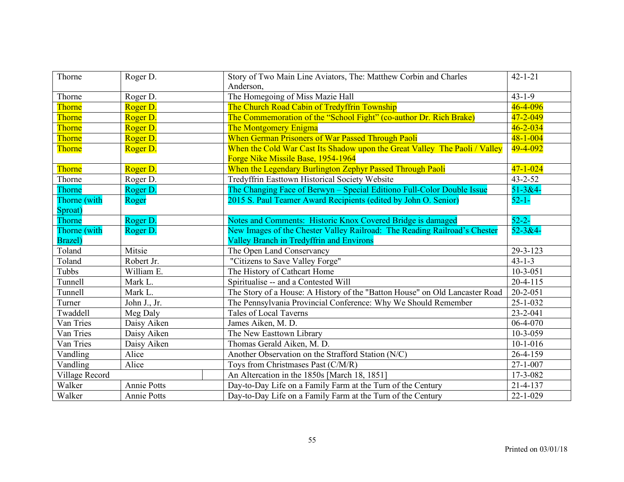| Thorne         | Roger D.     | Story of Two Main Line Aviators, The: Matthew Corbin and Charles<br>Anderson, | $42 - 1 - 21$  |
|----------------|--------------|-------------------------------------------------------------------------------|----------------|
| Thorne         | Roger D.     | The Homegoing of Miss Mazie Hall                                              | $43 - 1 - 9$   |
| Thorne         | Roger D.     | The Church Road Cabin of Tredyffrin Township                                  | 46-4-096       |
| Thorne         | Roger D.     | The Commemoration of the "School Fight" (co-author Dr. Rich Brake)            | 47-2-049       |
| Thorne         | Roger D.     | <b>The Montgomery Enigma</b>                                                  | $46 - 2 - 034$ |
| Thorne         | Roger D.     | When German Prisoners of War Passed Through Paoli                             | $48 - 1 - 004$ |
| Thorne         | Roger D.     | When the Cold War Cast Its Shadow upon the Great Valley The Paoli / Valley    | 49-4-092       |
|                |              | Forge Nike Missile Base, 1954-1964                                            |                |
| Thorne         | Roger D.     | When the Legendary Burlington Zephyr Passed Through Paoli                     | $47 - 1 - 024$ |
| Thorne         | Roger D.     | Tredyffrin Easttown Historical Society Website                                | $43 - 2 - 52$  |
| Thorne         | Roger D.     | The Changing Face of Berwyn – Special Editiono Full-Color Double Issue        | $51 - 384 -$   |
| Thorne (with   | Roger        | 2015 S. Paul Teamer Award Recipients (edited by John O. Senior)               | $52 - 1 -$     |
| Sproat)        |              |                                                                               |                |
| Thorne         | Roger D.     | Notes and Comments: Historic Knox Covered Bridge is damaged                   | $52 - 2 -$     |
| Thorne (with   | Roger D.     | New Images of the Chester Valley Railroad: The Reading Railroad's Chester     | $52 - 3 & 4 -$ |
| Brazel)        |              | Valley Branch in Tredyffrin and Environs                                      |                |
| Toland         | Mitsie       | The Open Land Conservancy                                                     | 29-3-123       |
| Toland         | Robert Jr.   | "Citizens to Save Valley Forge"                                               | $43 - 1 - 3$   |
| Tubbs          | William E.   | The History of Cathcart Home                                                  | $10 - 3 - 051$ |
| Tunnell        | Mark L.      | Spiritualise -- and a Contested Will                                          | $20 - 4 - 115$ |
| Tunnell        | Mark L.      | The Story of a House: A History of the "Batton House" on Old Lancaster Road   | $20 - 2 - 051$ |
| Turner         | John J., Jr. | The Pennsylvania Provincial Conference: Why We Should Remember                | $25 - 1 - 032$ |
| Twaddell       | Meg Daly     | <b>Tales of Local Taverns</b>                                                 | 23-2-041       |
| Van Tries      | Daisy Aiken  | James Aiken, M. D.                                                            | 06-4-070       |
| Van Tries      | Daisy Aiken  | The New Easttown Library                                                      | $10 - 3 - 059$ |
| Van Tries      | Daisy Aiken  | Thomas Gerald Aiken, M. D.                                                    | $10-1-016$     |
| Vandling       | Alice        | Another Observation on the Strafford Station (N/C)                            | 26-4-159       |
| Vandling       | Alice        | Toys from Christmases Past (C/M/R)                                            | $27 - 1 - 007$ |
| Village Record |              | An Altercation in the 1850s [March 18, 1851]                                  | 17-3-082       |
| Walker         | Annie Potts  | Day-to-Day Life on a Family Farm at the Turn of the Century                   | 21-4-137       |
| Walker         | Annie Potts  | Day-to-Day Life on a Family Farm at the Turn of the Century                   | $22 - 1 - 029$ |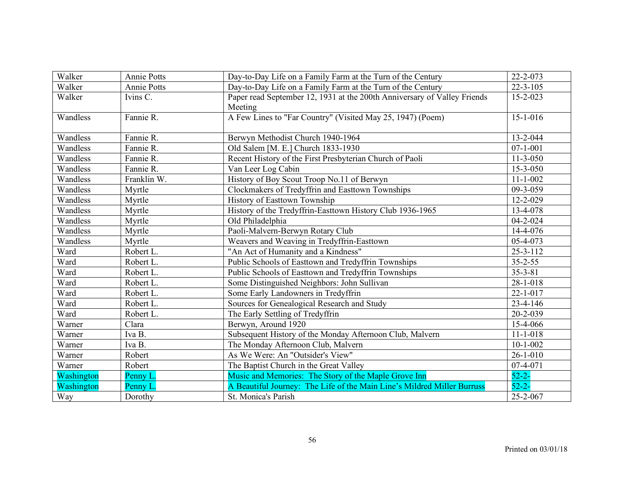| Walker     | <b>Annie Potts</b> | Day-to-Day Life on a Family Farm at the Turn of the Century              | 22-2-073               |
|------------|--------------------|--------------------------------------------------------------------------|------------------------|
| Walker     | <b>Annie Potts</b> | Day-to-Day Life on a Family Farm at the Turn of the Century              | $22 - 3 - 105$         |
| Walker     | Ivins C.           | Paper read September 12, 1931 at the 200th Anniversary of Valley Friends | $15 - 2 - 023$         |
|            |                    | Meeting                                                                  |                        |
| Wandless   | Fannie R.          | A Few Lines to "Far Country" (Visited May 25, 1947) (Poem)               | $15 - 1 - 016$         |
|            |                    |                                                                          |                        |
| Wandless   | Fannie R.          | Berwyn Methodist Church 1940-1964                                        | 13-2-044               |
| Wandless   | Fannie R.          | Old Salem [M. E.] Church 1833-1930                                       | $07 - 1 - 001$         |
| Wandless   | Fannie R.          | Recent History of the First Presbyterian Church of Paoli                 | $\overline{1}$ 1-3-050 |
| Wandless   | Fannie R.          | Van Leer Log Cabin                                                       | 15-3-050               |
| Wandless   | Franklin W.        | History of Boy Scout Troop No.11 of Berwyn                               | $11 - 1 - 002$         |
| Wandless   | Myrtle             | Clockmakers of Tredyffrin and Easttown Townships                         | 09-3-059               |
| Wandless   | Myrtle             | History of Easttown Township                                             | $12 - 2 - 029$         |
| Wandless   | Myrtle             | History of the Tredyffrin-Easttown History Club 1936-1965                | 13-4-078               |
| Wandless   | Myrtle             | Old Philadelphia                                                         | $04 - 2 - 024$         |
| Wandless   | Myrtle             | Paoli-Malvern-Berwyn Rotary Club                                         | 14-4-076               |
| Wandless   | Myrtle             | Weavers and Weaving in Tredyffrin-Easttown                               | 05-4-073               |
| Ward       | Robert L.          | "An Act of Humanity and a Kindness"                                      | $25 - 3 - 112$         |
| Ward       | Robert L.          | Public Schools of Easttown and Tredyffrin Townships                      | $35 - 2 - 55$          |
| Ward       | Robert L.          | Public Schools of Easttown and Tredyffrin Townships                      | $35 - 3 - 81$          |
| Ward       | Robert L.          | Some Distinguished Neighbors: John Sullivan                              | $28 - 1 - 018$         |
| Ward       | Robert L.          | Some Early Landowners in Tredyffrin                                      | $22 - 1 - 017$         |
| Ward       | Robert L.          | Sources for Genealogical Research and Study                              | $23 - 4 - 146$         |
| Ward       | Robert L.          | The Early Settling of Tredyffrin                                         | 20-2-039               |
| Warner     | Clara              | Berwyn, Around 1920                                                      | 15-4-066               |
| Warner     | Iva B.             | Subsequent History of the Monday Afternoon Club, Malvern                 | $11 - 1 - 018$         |
| Warner     | Iva B.             | The Monday Afternoon Club, Malvern                                       | $10 - 1 - 002$         |
| Warner     | Robert             | As We Were: An "Outsider's View"                                         | $26 - 1 - 010$         |
| Warner     | Robert             | The Baptist Church in the Great Valley                                   | 07-4-071               |
| Washington | Penny L.           | Music and Memories: The Story of the Maple Grove Inn                     | $52 - 2 -$             |
| Washington | Penny L            | A Beautiful Journey: The Life of the Main Line's Mildred Miller Burruss  | $52 - 2 -$             |
| Way        | Dorothy            | St. Monica's Parish                                                      | 25-2-067               |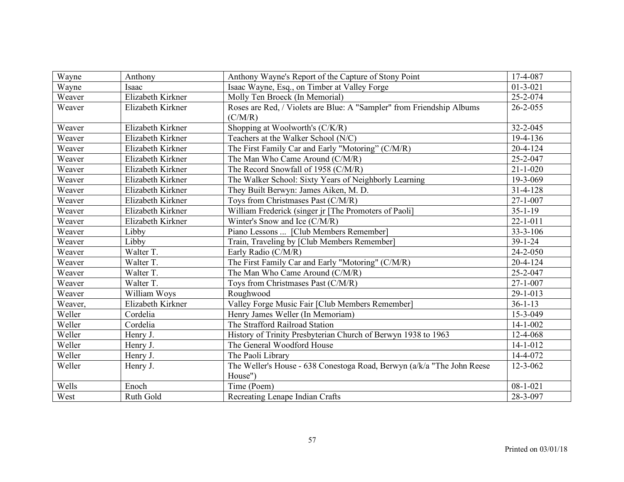| Wayne   | Anthony           | Anthony Wayne's Report of the Capture of Stony Point                   | 17-4-087       |
|---------|-------------------|------------------------------------------------------------------------|----------------|
| Wayne   | Isaac             | Isaac Wayne, Esq., on Timber at Valley Forge                           | $01 - 3 - 021$ |
| Weaver  | Elizabeth Kirkner | Molly Ten Broeck (In Memorial)                                         | 25-2-074       |
| Weaver  | Elizabeth Kirkner | Roses are Red, / Violets are Blue: A "Sampler" from Friendship Albums  | $26 - 2 - 055$ |
|         |                   | (C/M/R)                                                                |                |
| Weaver  | Elizabeth Kirkner | Shopping at Woolworth's (C/K/R)                                        | 32-2-045       |
| Weaver  | Elizabeth Kirkner | Teachers at the Walker School (N/C)                                    | 19-4-136       |
| Weaver  | Elizabeth Kirkner | The First Family Car and Early "Motoring" (C/M/R)                      | $20 - 4 - 124$ |
| Weaver  | Elizabeth Kirkner | The Man Who Came Around (C/M/R)                                        | 25-2-047       |
| Weaver  | Elizabeth Kirkner | The Record Snowfall of 1958 (C/M/R)                                    | $21 - 1 - 020$ |
| Weaver  | Elizabeth Kirkner | The Walker School: Sixty Years of Neighborly Learning                  | 19-3-069       |
| Weaver  | Elizabeth Kirkner | They Built Berwyn: James Aiken, M. D.                                  | $31 - 4 - 128$ |
| Weaver  | Elizabeth Kirkner | Toys from Christmases Past (C/M/R)                                     | $27 - 1 - 007$ |
| Weaver  | Elizabeth Kirkner | William Frederick (singer jr [The Promoters of Paoli]                  | $35 - 1 - 19$  |
| Weaver  | Elizabeth Kirkner | Winter's Snow and Ice (C/M/R)                                          | $22 - 1 - 011$ |
| Weaver  | Libby             | Piano Lessons  [Club Members Remember]                                 | $33 - 3 - 106$ |
| Weaver  | Libby             | Train, Traveling by [Club Members Remember]                            | $39 - 1 - 24$  |
| Weaver  | Walter T.         | Early Radio (C/M/R)                                                    | 24-2-050       |
| Weaver  | Walter T.         | The First Family Car and Early "Motoring" (C/M/R)                      | $20 - 4 - 124$ |
| Weaver  | Walter T.         | The Man Who Came Around (C/M/R)                                        | 25-2-047       |
| Weaver  | Walter T.         | Toys from Christmases Past (C/M/R)                                     | $27 - 1 - 007$ |
| Weaver  | William Woys      | Roughwood                                                              | 29-1-013       |
| Weaver, | Elizabeth Kirkner | Valley Forge Music Fair [Club Members Remember]                        | $36 - 1 - 13$  |
| Weller  | Cordelia          | Henry James Weller (In Memoriam)                                       | 15-3-049       |
| Weller  | Cordelia          | The Strafford Railroad Station                                         | $14 - 1 - 002$ |
| Weller  | Henry J.          | History of Trinity Presbyterian Church of Berwyn 1938 to 1963          | 12-4-068       |
| Weller  | Henry J.          | The General Woodford House                                             | $14 - 1 - 012$ |
| Weller  | Henry J.          | The Paoli Library                                                      | 14-4-072       |
| Weller  | Henry J.          | The Weller's House - 638 Conestoga Road, Berwyn (a/k/a "The John Reese | $12 - 3 - 062$ |
|         |                   | House")                                                                |                |
| Wells   | Enoch             | Time (Poem)                                                            | $08 - 1 - 021$ |
| West    | Ruth Gold         | Recreating Lenape Indian Crafts                                        | 28-3-097       |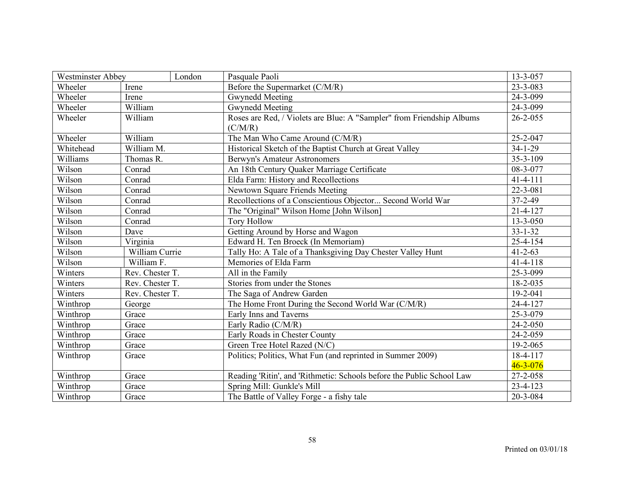| <b>Westminster Abbey</b><br>London |                 | Pasquale Paoli                                                        | 13-3-057       |
|------------------------------------|-----------------|-----------------------------------------------------------------------|----------------|
| Wheeler                            | Irene           | Before the Supermarket (C/M/R)                                        | $23 - 3 - 083$ |
| Wheeler                            | Irene           | Gwynedd Meeting                                                       | 24-3-099       |
| Wheeler                            | William         | <b>Gwynedd Meeting</b>                                                | 24-3-099       |
| Wheeler                            | William         | Roses are Red, / Violets are Blue: A "Sampler" from Friendship Albums | $26 - 2 - 055$ |
|                                    |                 | (C/M/R)                                                               |                |
| Wheeler                            | William         | The Man Who Came Around (C/M/R)                                       | 25-2-047       |
| Whitehead                          | William M.      | Historical Sketch of the Baptist Church at Great Valley               | $34 - 1 - 29$  |
| Williams                           | Thomas R.       | <b>Berwyn's Amateur Astronomers</b>                                   | $35 - 3 - 109$ |
| Wilson                             | Conrad          | An 18th Century Quaker Marriage Certificate                           | 08-3-077       |
| Wilson                             | Conrad          | Elda Farm: History and Recollections                                  | $41 - 4 - 111$ |
| Wilson                             | Conrad          | Newtown Square Friends Meeting                                        | 22-3-081       |
| Wilson                             | Conrad          | Recollections of a Conscientious Objector Second World War            | $37 - 2 - 49$  |
| Wilson                             | Conrad          | The "Original" Wilson Home [John Wilson]                              | $21 - 4 - 127$ |
| Wilson                             | Conrad          | <b>Tory Hollow</b>                                                    | 13-3-050       |
| Wilson                             | Dave            | Getting Around by Horse and Wagon                                     | $33 - 1 - 32$  |
| Wilson                             | Virginia        | Edward H. Ten Broeck (In Memoriam)                                    | 25-4-154       |
| Wilson                             | William Currie  | Tally Ho: A Tale of a Thanksgiving Day Chester Valley Hunt            | $41 - 2 - 63$  |
| Wilson                             | William F.      | Memories of Elda Farm                                                 | $41 - 4 - 118$ |
| Winters                            | Rev. Chester T. | All in the Family                                                     | 25-3-099       |
| Winters                            | Rev. Chester T. | Stories from under the Stones                                         | 18-2-035       |
| Winters                            | Rev. Chester T. | The Saga of Andrew Garden                                             | $19 - 2 - 041$ |
| Winthrop                           | George          | The Home Front During the Second World War (C/M/R)                    | 24-4-127       |
| Winthrop                           | Grace           | Early Inns and Taverns                                                | 25-3-079       |
| Winthrop                           | Grace           | Early Radio (C/M/R)                                                   | $24 - 2 - 050$ |
| Winthrop                           | Grace           | Early Roads in Chester County                                         | 24-2-059       |
| Winthrop                           | Grace           | Green Tree Hotel Razed (N/C)                                          | 19-2-065       |
| Winthrop                           | Grace           | Politics; Politics, What Fun (and reprinted in Summer 2009)           | 18-4-117       |
|                                    |                 |                                                                       | $46 - 3 - 076$ |
| Winthrop                           | Grace           | Reading 'Ritin', and 'Rithmetic: Schools before the Public School Law | 27-2-058       |
| Winthrop                           | Grace           | Spring Mill: Gunkle's Mill                                            | 23-4-123       |
| Winthrop                           | Grace           | The Battle of Valley Forge - a fishy tale                             | 20-3-084       |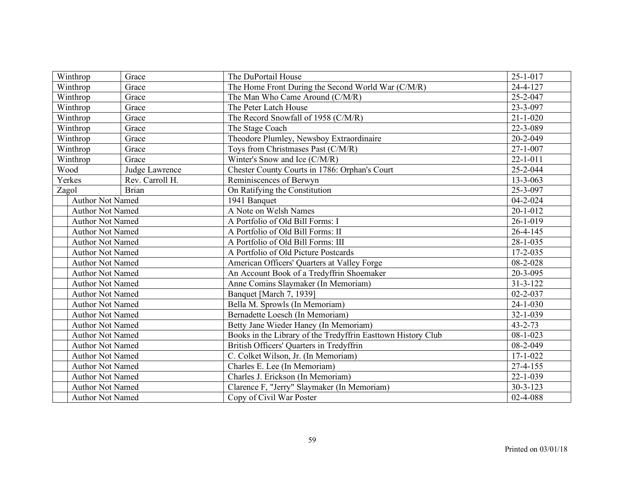| Winthrop                      | Grace           | The DuPortail House                                          | $25 - 1 - 017$ |
|-------------------------------|-----------------|--------------------------------------------------------------|----------------|
| Winthrop                      | Grace           | The Home Front During the Second World War (C/M/R)           | 24-4-127       |
| $\overline{\text{W}}$ inthrop | Grace           | The Man Who Came Around (C/M/R)                              | 25-2-047       |
| Winthrop                      | Grace           | The Peter Latch House                                        | 23-3-097       |
| Winthrop                      | Grace           | The Record Snowfall of 1958 (C/M/R)                          | $21 - 1 - 020$ |
| Winthrop                      | Grace           | The Stage Coach                                              | 22-3-089       |
| Winthrop                      | Grace           | Theodore Plumley, Newsboy Extraordinaire                     | 20-2-049       |
| Winthrop                      | Grace           | Toys from Christmases Past (C/M/R)                           | $27 - 1 - 007$ |
| Winthrop                      | Grace           | Winter's Snow and Ice (C/M/R)                                | $22 - 1 - 011$ |
| Wood                          | Judge Lawrence  | Chester County Courts in 1786: Orphan's Court                | 25-2-044       |
| Yerkes                        | Rev. Carroll H. | Reminiscences of Berwyn                                      | $13 - 3 - 063$ |
| Zagol                         | <b>Brian</b>    | On Ratifying the Constitution                                | 25-3-097       |
| <b>Author Not Named</b>       |                 | 1941 Banquet                                                 | $04 - 2 - 024$ |
| <b>Author Not Named</b>       |                 | A Note on Welsh Names                                        | $20 - 1 - 012$ |
| <b>Author Not Named</b>       |                 | A Portfolio of Old Bill Forms: I                             | $26 - 1 - 019$ |
| <b>Author Not Named</b>       |                 | A Portfolio of Old Bill Forms: II                            | $26 - 4 - 145$ |
| <b>Author Not Named</b>       |                 | A Portfolio of Old Bill Forms: III                           | $28 - 1 - 035$ |
| <b>Author Not Named</b>       |                 | A Portfolio of Old Picture Postcards                         | 17-2-035       |
| <b>Author Not Named</b>       |                 | American Officers' Quarters at Valley Forge                  | 08-2-028       |
| <b>Author Not Named</b>       |                 | An Account Book of a Tredyffrin Shoemaker                    | 20-3-095       |
| <b>Author Not Named</b>       |                 | Anne Comins Slaymaker (In Memoriam)                          | $31 - 3 - 122$ |
| <b>Author Not Named</b>       |                 | Banquet [March 7, 1939]                                      | $02 - 2 - 037$ |
| <b>Author Not Named</b>       |                 | Bella M. Sprowls (In Memoriam)                               | $24 - 1 - 030$ |
| <b>Author Not Named</b>       |                 | Bernadette Loesch (In Memoriam)                              | 32-1-039       |
| <b>Author Not Named</b>       |                 | Betty Jane Wieder Haney (In Memoriam)                        | $43 - 2 - 73$  |
| <b>Author Not Named</b>       |                 | Books in the Library of the Tredyffrin Easttown History Club | $08 - 1 - 023$ |
| <b>Author Not Named</b>       |                 | British Officers' Quarters in Tredyffrin                     | 08-2-049       |
| <b>Author Not Named</b>       |                 | C. Colket Wilson, Jr. (In Memoriam)                          | $17 - 1 - 022$ |
| <b>Author Not Named</b>       |                 | Charles E. Lee (In Memoriam)                                 | $27 - 4 - 155$ |
| <b>Author Not Named</b>       |                 | Charles J. Erickson (In Memoriam)                            | $22 - 1 - 039$ |
| <b>Author Not Named</b>       |                 | Clarence F, "Jerry" Slaymaker (In Memoriam)                  | $30 - 3 - 123$ |
| <b>Author Not Named</b>       |                 | Copy of Civil War Poster                                     | 02-4-088       |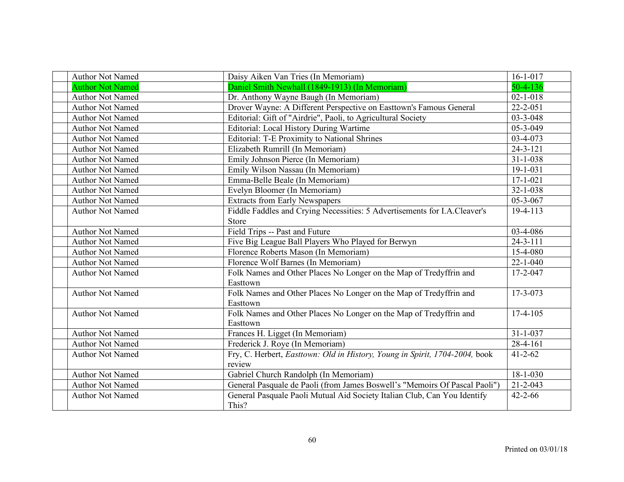| <b>Author Not Named</b> | Daisy Aiken Van Tries (In Memoriam)                                         | $16 - 1 - 017$ |
|-------------------------|-----------------------------------------------------------------------------|----------------|
| <b>Author Not Named</b> | Daniel Smith Newhall (1849-1913) (In Memoriam)                              | $50 - 4 - 136$ |
| Author Not Named        | Dr. Anthony Wayne Baugh (In Memoriam)                                       | $02 - 1 - 018$ |
| <b>Author Not Named</b> | Drover Wayne: A Different Perspective on Easttown's Famous General          | $22 - 2 - 051$ |
| <b>Author Not Named</b> | Editorial: Gift of "Airdrie", Paoli, to Agricultural Society                | $03 - 3 - 048$ |
| <b>Author Not Named</b> | Editorial: Local History During Wartime                                     | $05 - 3 - 049$ |
| <b>Author Not Named</b> | <b>Editorial: T-E Proximity to National Shrines</b>                         | 03-4-073       |
| <b>Author Not Named</b> | Elizabeth Rumrill (In Memoriam)                                             | $24 - 3 - 121$ |
| <b>Author Not Named</b> | Emily Johnson Pierce (In Memoriam)                                          | $31 - 1 - 038$ |
| <b>Author Not Named</b> | Emily Wilson Nassau (In Memoriam)                                           | $19 - 1 - 031$ |
| <b>Author Not Named</b> | Emma-Belle Beale (In Memoriam)                                              | $17 - 1 - 021$ |
| <b>Author Not Named</b> | Evelyn Bloomer (In Memoriam)                                                | $32 - 1 - 038$ |
| <b>Author Not Named</b> | <b>Extracts from Early Newspapers</b>                                       | $05 - 3 - 067$ |
| <b>Author Not Named</b> | Fiddle Faddles and Crying Necessities: 5 Advertisements for I.A.Cleaver's   | 19-4-113       |
|                         | Store                                                                       |                |
| <b>Author Not Named</b> | Field Trips -- Past and Future                                              | 03-4-086       |
| <b>Author Not Named</b> | Five Big League Ball Players Who Played for Berwyn                          | $24 - 3 - 111$ |
| <b>Author Not Named</b> | Florence Roberts Mason (In Memoriam)                                        | $15-4-080$     |
| <b>Author Not Named</b> | Florence Wolf Barnes (In Memoriam)                                          | $22 - 1 - 040$ |
| <b>Author Not Named</b> | Folk Names and Other Places No Longer on the Map of Tredyffrin and          | 17-2-047       |
|                         | Easttown                                                                    |                |
| <b>Author Not Named</b> | Folk Names and Other Places No Longer on the Map of Tredyffrin and          | 17-3-073       |
|                         | Easttown                                                                    |                |
| <b>Author Not Named</b> | Folk Names and Other Places No Longer on the Map of Tredyffrin and          | $17-4-105$     |
|                         | Easttown                                                                    |                |
| <b>Author Not Named</b> | Frances H. Ligget (In Memoriam)                                             | $31 - 1 - 037$ |
| <b>Author Not Named</b> | Frederick J. Roye (In Memoriam)                                             | 28-4-161       |
| <b>Author Not Named</b> | Fry, C. Herbert, Easttown: Old in History, Young in Spirit, 1704-2004, book | $41 - 2 - 62$  |
|                         | review                                                                      |                |
| <b>Author Not Named</b> | Gabriel Church Randolph (In Memoriam)                                       | $18 - 1 - 030$ |
| <b>Author Not Named</b> | General Pasquale de Paoli (from James Boswell's "Memoirs Of Pascal Paoli")  | $21 - 2 - 043$ |
| <b>Author Not Named</b> | General Pasquale Paoli Mutual Aid Society Italian Club, Can You Identify    | $42 - 2 - 66$  |
|                         | This?                                                                       |                |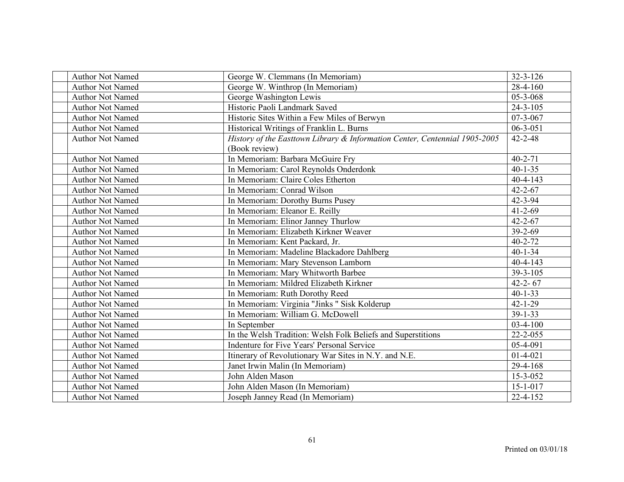| <b>Author Not Named</b> | George W. Clemmans (In Memoriam)                                           | $32 - 3 - 126$ |
|-------------------------|----------------------------------------------------------------------------|----------------|
| <b>Author Not Named</b> | George W. Winthrop (In Memoriam)                                           | $28-4-160$     |
| <b>Author Not Named</b> | George Washington Lewis                                                    | $05 - 3 - 068$ |
| <b>Author Not Named</b> | Historic Paoli Landmark Saved                                              | $24 - 3 - 105$ |
| <b>Author Not Named</b> | Historic Sites Within a Few Miles of Berwyn                                | $07 - 3 - 067$ |
| <b>Author Not Named</b> | Historical Writings of Franklin L. Burns                                   | $06 - 3 - 051$ |
| <b>Author Not Named</b> | History of the Easttown Library & Information Center, Centennial 1905-2005 | $42 - 2 - 48$  |
|                         | (Book review)                                                              |                |
| <b>Author Not Named</b> | In Memoriam: Barbara McGuire Fry                                           | $40 - 2 - 71$  |
| <b>Author Not Named</b> | In Memoriam: Carol Reynolds Onderdonk                                      | $40 - 1 - 35$  |
| <b>Author Not Named</b> | In Memoriam: Claire Coles Etherton                                         | $40 - 4 - 143$ |
| <b>Author Not Named</b> | In Memoriam: Conrad Wilson                                                 | $42 - 2 - 67$  |
| <b>Author Not Named</b> | In Memoriam: Dorothy Burns Pusey                                           | $42 - 3 - 94$  |
| <b>Author Not Named</b> | In Memoriam: Eleanor E. Reilly                                             | $41 - 2 - 69$  |
| <b>Author Not Named</b> | In Memoriam: Elinor Janney Thurlow                                         | $42 - 2 - 67$  |
| <b>Author Not Named</b> | In Memoriam: Elizabeth Kirkner Weaver                                      | $39 - 2 - 69$  |
| <b>Author Not Named</b> | In Memoriam: Kent Packard, Jr.                                             | $40 - 2 - 72$  |
| <b>Author Not Named</b> | In Memoriam: Madeline Blackadore Dahlberg                                  | $40 - 1 - 34$  |
| <b>Author Not Named</b> | In Memoriam: Mary Stevenson Lamborn                                        | $40 - 4 - 143$ |
| <b>Author Not Named</b> | In Memoriam: Mary Whitworth Barbee                                         | 39-3-105       |
| <b>Author Not Named</b> | In Memoriam: Mildred Elizabeth Kirkner                                     | $42 - 2 - 67$  |
| <b>Author Not Named</b> | In Memoriam: Ruth Dorothy Reed                                             | $40 - 1 - 33$  |
| <b>Author Not Named</b> | In Memoriam: Virginia "Jinks " Sisk Kolderup                               | $42 - 1 - 29$  |
| <b>Author Not Named</b> | In Memoriam: William G. McDowell                                           | $39 - 1 - 33$  |
| <b>Author Not Named</b> | In September                                                               | $03-4-100$     |
| <b>Author Not Named</b> | In the Welsh Tradition: Welsh Folk Beliefs and Superstitions               | $22 - 2 - 055$ |
| <b>Author Not Named</b> | Indenture for Five Years' Personal Service                                 | 05-4-091       |
| <b>Author Not Named</b> | Itinerary of Revolutionary War Sites in N.Y. and N.E.                      | $01-4-021$     |
| <b>Author Not Named</b> | Janet Irwin Malin (In Memoriam)                                            | 29-4-168       |
| <b>Author Not Named</b> | John Alden Mason                                                           | 15-3-052       |
| <b>Author Not Named</b> | John Alden Mason (In Memoriam)                                             | $15 - 1 - 017$ |
| <b>Author Not Named</b> | Joseph Janney Read (In Memoriam)                                           | $22 - 4 - 152$ |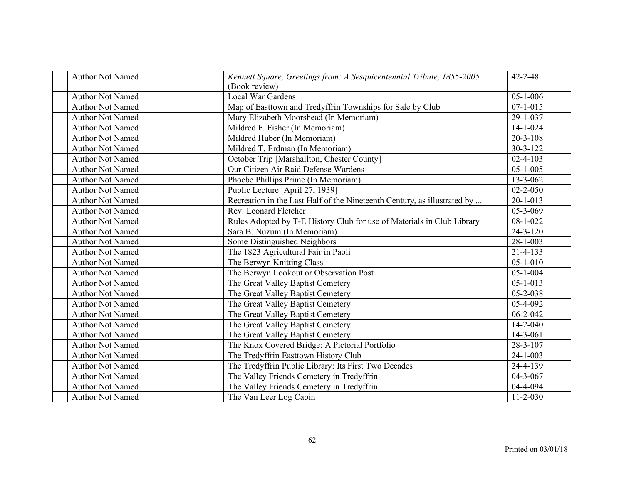| <b>Author Not Named</b> | Kennett Square, Greetings from: A Sesquicentennial Tribute, 1855-2005<br>(Book review) | $42 - 2 - 48$  |
|-------------------------|----------------------------------------------------------------------------------------|----------------|
| <b>Author Not Named</b> | <b>Local War Gardens</b>                                                               | $05 - 1 - 006$ |
| <b>Author Not Named</b> | Map of Easttown and Tredyffrin Townships for Sale by Club                              | $07 - 1 - 015$ |
| <b>Author Not Named</b> | Mary Elizabeth Moorshead (In Memoriam)                                                 | 29-1-037       |
| <b>Author Not Named</b> | Mildred F. Fisher (In Memoriam)                                                        | $14 - 1 - 024$ |
| <b>Author Not Named</b> | Mildred Huber (In Memoriam)                                                            | $20 - 3 - 108$ |
| <b>Author Not Named</b> | Mildred T. Erdman (In Memoriam)                                                        | $30 - 3 - 122$ |
| <b>Author Not Named</b> | October Trip [Marshallton, Chester County]                                             | $02 - 4 - 103$ |
| <b>Author Not Named</b> | Our Citizen Air Raid Defense Wardens                                                   | $05 - 1 - 005$ |
| <b>Author Not Named</b> | Phoebe Phillips Prime (In Memoriam)                                                    | $13 - 3 - 062$ |
| <b>Author Not Named</b> | Public Lecture [April 27, 1939]                                                        | $02 - 2 - 050$ |
| <b>Author Not Named</b> | Recreation in the Last Half of the Nineteenth Century, as illustrated by               | $20 - 1 - 013$ |
| <b>Author Not Named</b> | Rev. Leonard Fletcher                                                                  | 05-3-069       |
| <b>Author Not Named</b> | Rules Adopted by T-E History Club for use of Materials in Club Library                 | $08 - 1 - 022$ |
| <b>Author Not Named</b> | Sara B. Nuzum (In Memoriam)                                                            | $24 - 3 - 120$ |
| <b>Author Not Named</b> | Some Distinguished Neighbors                                                           | $28 - 1 - 003$ |
| <b>Author Not Named</b> | The 1823 Agricultural Fair in Paoli                                                    | $21 - 4 - 133$ |
| <b>Author Not Named</b> | The Berwyn Knitting Class                                                              | $05 - 1 - 010$ |
| <b>Author Not Named</b> | The Berwyn Lookout or Observation Post                                                 | $05 - 1 - 004$ |
| <b>Author Not Named</b> | The Great Valley Baptist Cemetery                                                      | $05 - 1 - 013$ |
| <b>Author Not Named</b> | The Great Valley Baptist Cemetery                                                      | $05 - 2 - 038$ |
| <b>Author Not Named</b> | The Great Valley Baptist Cemetery                                                      | 05-4-092       |
| <b>Author Not Named</b> | The Great Valley Baptist Cemetery                                                      | $06 - 2 - 042$ |
| <b>Author Not Named</b> | The Great Valley Baptist Cemetery                                                      | $14 - 2 - 040$ |
| <b>Author Not Named</b> | The Great Valley Baptist Cemetery                                                      | $14 - 3 - 061$ |
| <b>Author Not Named</b> | The Knox Covered Bridge: A Pictorial Portfolio                                         | 28-3-107       |
| <b>Author Not Named</b> | The Tredyffrin Easttown History Club                                                   | $24 - 1 - 003$ |
| <b>Author Not Named</b> | The Tredyffrin Public Library: Its First Two Decades                                   | 24-4-139       |
| <b>Author Not Named</b> | The Valley Friends Cemetery in Tredyffrin                                              | $04 - 3 - 067$ |
| <b>Author Not Named</b> | The Valley Friends Cemetery in Tredyffrin                                              | 04-4-094       |
| <b>Author Not Named</b> | The Van Leer Log Cabin                                                                 | $11 - 2 - 030$ |